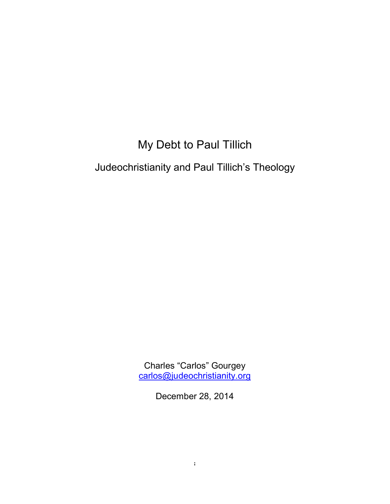# My Debt to Paul Tillich

Judeochristianity and Paul Tillich's Theology

Charles "Carlos" Gourgey [carlos@judeochristianity.org](mailto:carlos@judeochristianity.org)

December 28, 2014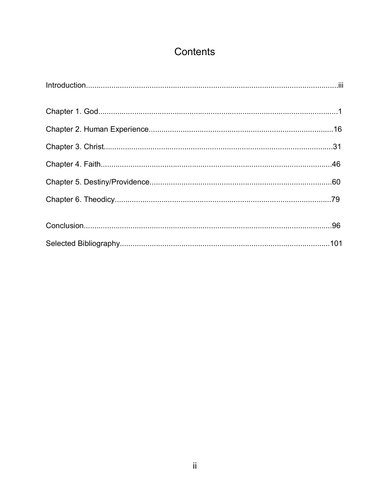# Contents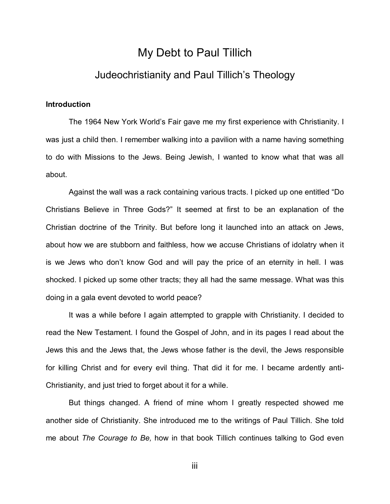## My Debt to Paul Tillich

## Judeochristianity and Paul Tillich's Theology

#### **Introduction**

The 1964 New York World's Fair gave me my first experience with Christianity. I was just a child then. I remember walking into a pavilion with a name having something to do with Missions to the Jews. Being Jewish, I wanted to know what that was all about.

Against the wall was a rack containing various tracts. I picked up one entitled "Do Christians Believe in Three Gods?" It seemed at first to be an explanation of the Christian doctrine of the Trinity. But before long it launched into an attack on Jews, about how we are stubborn and faithless, how we accuse Christians of idolatry when it is we Jews who don't know God and will pay the price of an eternity in hell. I was shocked. I picked up some other tracts; they all had the same message. What was this doing in a gala event devoted to world peace?

It was a while before I again attempted to grapple with Christianity. I decided to read the New Testament. I found the Gospel of John, and in its pages I read about the Jews this and the Jews that, the Jews whose father is the devil, the Jews responsible for killing Christ and for every evil thing. That did it for me. I became ardently anti-Christianity, and just tried to forget about it for a while.

But things changed. A friend of mine whom I greatly respected showed me another side of Christianity. She introduced me to the writings of Paul Tillich. She told me about *The Courage to Be,* how in that book Tillich continues talking to God even

iii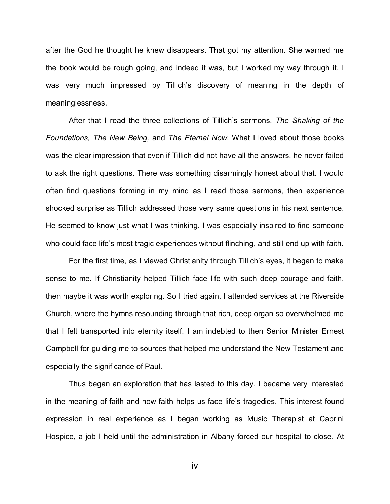after the God he thought he knew disappears. That got my attention. She warned me the book would be rough going, and indeed it was, but I worked my way through it. I was very much impressed by Tillich's discovery of meaning in the depth of meaninglessness.

After that I read the three collections of Tillich's sermons, *The Shaking of the Foundations, The New Being,* and *The Eternal Now*. What I loved about those books was the clear impression that even if Tillich did not have all the answers, he never failed to ask the right questions. There was something disarmingly honest about that. I would often find questions forming in my mind as I read those sermons, then experience shocked surprise as Tillich addressed those very same questions in his next sentence. He seemed to know just what I was thinking. I was especially inspired to find someone who could face life's most tragic experiences without flinching, and still end up with faith.

For the first time, as I viewed Christianity through Tillich's eyes, it began to make sense to me. If Christianity helped Tillich face life with such deep courage and faith, then maybe it was worth exploring. So I tried again. I attended services at the Riverside Church, where the hymns resounding through that rich, deep organ so overwhelmed me that I felt transported into eternity itself. I am indebted to then Senior Minister Ernest Campbell for guiding me to sources that helped me understand the New Testament and especially the significance of Paul.

Thus began an exploration that has lasted to this day. I became very interested in the meaning of faith and how faith helps us face life's tragedies. This interest found expression in real experience as I began working as Music Therapist at Cabrini Hospice, a job I held until the administration in Albany forced our hospital to close. At

iv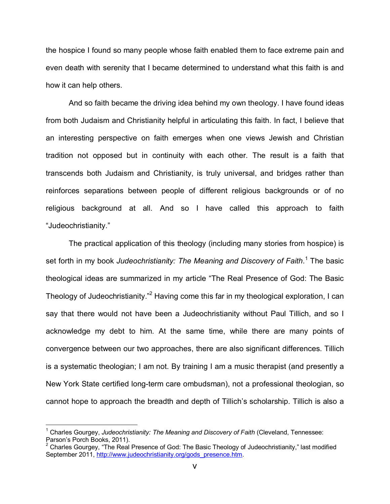the hospice I found so many people whose faith enabled them to face extreme pain and even death with serenity that I became determined to understand what this faith is and how it can help others.

And so faith became the driving idea behind my own theology. I have found ideas from both Judaism and Christianity helpful in articulating this faith. In fact, I believe that an interesting perspective on faith emerges when one views Jewish and Christian tradition not opposed but in continuity with each other. The result is a faith that transcends both Judaism and Christianity, is truly universal, and bridges rather than reinforces separations between people of different religious backgrounds or of no religious background at all. And so I have called this approach to faith "Judeochristianity."

The practical application of this theology (including many stories from hospice) is set forth in my book *Judeochristianity: [T](#page-4-0)he Meaning and Discovery of Faith*.<sup>1</sup> The basic theological ideas are summarized in my article "The Real Presence of God: The Basic Theology of Judeochristianity."<sup>2</sup> [H](#page-4-1)aving come this far in my theological exploration, I can say that there would not have been a Judeochristianity without Paul Tillich, and so I acknowledge my debt to him. At the same time, while there are many points of convergence between our two approaches, there are also significant differences. Tillich is a systematic theologian; I am not. By training I am a music therapist (and presently a New York State certified long-term care ombudsman), not a professional theologian, so cannot hope to approach the breadth and depth of Tillich's scholarship. Tillich is also a

 $\overline{a}$ 

<span id="page-4-0"></span><sup>&</sup>lt;sup>1</sup> Charles Gourgey, Judeochristianity: The Meaning and Discovery of Faith (Cleveland, Tennessee: Parson's Porch Books, 2011).

<span id="page-4-1"></span><sup>&</sup>lt;sup>2</sup> Charles Gourgey, "The Real Presence of God: The Basic Theology of Judeochristianity," last modified September 2011, http://www.judeochristianity.org/gods\_presence.htm.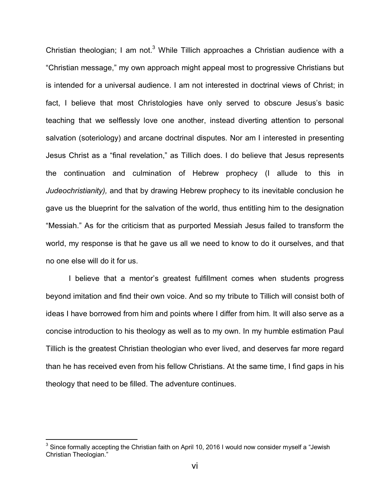Christian theologian; I am not. $3$  [W](#page-5-0)hile Tillich approaches a Christian audience with a "Christian message," my own approach might appeal most to progressive Christians but is intended for a universal audience. I am not interested in doctrinal views of Christ; in fact, I believe that most Christologies have only served to obscure Jesus's basic teaching that we selflessly love one another, instead diverting attention to personal salvation (soteriology) and arcane doctrinal disputes. Nor am I interested in presenting Jesus Christ as a "final revelation," as Tillich does. I do believe that Jesus represents the continuation and culmination of Hebrew prophecy (I allude to this in *Judeochristianity),* and that by drawing Hebrew prophecy to its inevitable conclusion he gave us the blueprint for the salvation of the world, thus entitling him to the designation "Messiah." As for the criticism that as purported Messiah Jesus failed to transform the world, my response is that he gave us all we need to know to do it ourselves, and that no one else will do it for us.

I believe that a mentor's greatest fulfillment comes when students progress beyond imitation and find their own voice. And so my tribute to Tillich will consist both of ideas I have borrowed from him and points where I differ from him. It will also serve as a concise introduction to his theology as well as to my own. In my humble estimation Paul Tillich is the greatest Christian theologian who ever lived, and deserves far more regard than he has received even from his fellow Christians. At the same time, I find gaps in his theology that need to be filled. The adventure continues.

 $\overline{a}$ 

<span id="page-5-0"></span><sup>&</sup>lt;sup>3</sup> Since formally accepting the Christian faith on April 10, 2016 I would now consider myself a "Jewish Christian Theologian."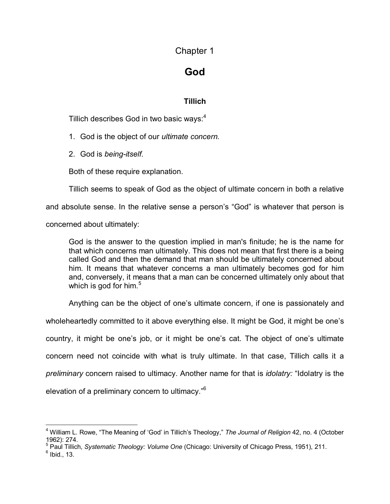Chapter 1

## **God**

### **Tillich**

Tillich describes God in two basic ways:<sup>[4](#page-6-0)</sup>

1. God is the object of our *ultimate concern.*

2. God is *being-itself.*

Both of these require explanation.

Tillich seems to speak of God as the object of ultimate concern in both a relative

and absolute sense. In the relative sense a person's "God" is whatever that person is

concerned about ultimately:

God is the answer to the question implied in man's finitude; he is the name for that which concerns man ultimately. This does not mean that first there is a being called God and then the demand that man should be ultimately concerned about him. It means that whatever concerns a man ultimately becomes god for him and, conversely, it means that a man can be concerned ultimately only about that which is god for him. $5$ 

Anything can be the object of one's ultimate concern, if one is passionately and

wholeheartedly committed to it above everything else. It might be God, it might be one's country, it might be one's job, or it might be one's cat. The object of one's ultimate concern need not coincide with what is truly ultimate. In that case, Tillich calls it a *preliminary* concern raised to ultimacy. Another name for that is *idolatry:* "Idolatry is the elevation of a preliminary concern to ultimacy."<sup>6</sup>

<span id="page-6-0"></span> $\overline{1}$ 4 William L. Rowe, "The Meaning of 'God' in Tillich's Theology," *The Journal of Religion* 42, no. 4 (October 1962): 274. 5 Paul Tillich, *Systematic Theology: Volume One* (Chicago: University of Chicago Press, 1951), 211.

<span id="page-6-1"></span>

 $<sup>6</sup>$  Ibid., 13.</sup>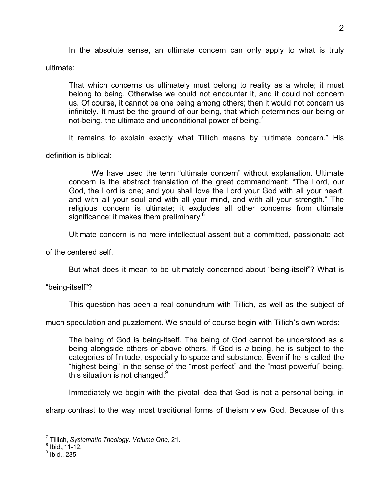In the absolute sense, an ultimate concern can only apply to what is truly

ultimate:

That which concerns us ultimately must belong to reality as a whole; it must belong to being. Otherwise we could not encounter it, and it could not concern us. Of course, it cannot be one being among others; then it would not concern us infinitely. It must be the ground of our being, that which determines our being or not-being, the ultimate and unconditional power of being. $<sup>7</sup>$  $<sup>7</sup>$  $<sup>7</sup>$ </sup>

It remains to explain exactly what Tillich means by "ultimate concern." His

definition is biblical:

We have used the term "ultimate concern" without explanation. Ultimate concern is the abstract translation of the great commandment: "The Lord, our God, the Lord is one; and you shall love the Lord your God with all your heart, and with all your soul and with all your mind, and with all your strength." The religious concern is ultimate; it excludes all other concerns from ultimate significance; it makes them preliminary.<sup>[8](#page-7-1)</sup>

Ultimate concern is no mere intellectual assent but a committed, passionate act

of the centered self.

But what does it mean to be ultimately concerned about "being-itself"? What is

"being-itself"?

This question has been a real conundrum with Tillich, as well as the subject of

much speculation and puzzlement. We should of course begin with Tillich's own words:

The being of God is being-itself. The being of God cannot be understood as a being alongside others or above others. If God is *a* being, he is subject to the categories of finitude, especially to space and substance. Even if he is called the "highest being" in the sense of the "most perfect" and the "most powerful" being, thissituation is not changed. $9$ 

Immediately we begin with the pivotal idea that God is not a personal being, in

sharp contrast to the way most traditional forms of theism view God. Because of this

 $\overline{a}$ 

<span id="page-7-0"></span><sup>7</sup> Tillich, *Systematic Theology: Volume One,* 21.

<span id="page-7-1"></span><sup>8</sup> Ibid.*,*11-12.

<span id="page-7-2"></span> $^9$  Ibid., 235.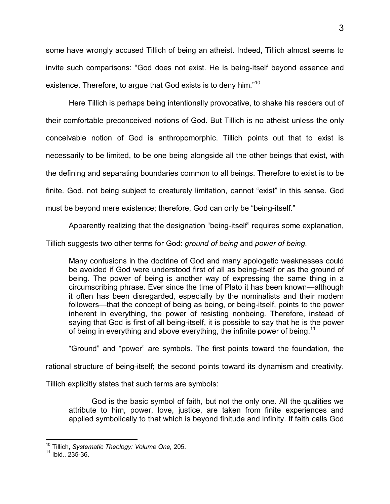some have wrongly accused Tillich of being an atheist. Indeed, Tillich almost seems to invite such comparisons: "God does not exist. He is being-itself beyond essence and existence. Therefore, to argue that God exists is to deny him."<sup>[10](#page-8-0)</sup>

Here Tillich is perhaps being intentionally provocative, to shake his readers out of their comfortable preconceived notions of God. But Tillich is no atheist unless the only conceivable notion of God is anthropomorphic. Tillich points out that to exist is necessarily to be limited, to be one being alongside all the other beings that exist, with the defining and separating boundaries common to all beings. Therefore to exist is to be finite. God, not being subject to creaturely limitation, cannot "exist" in this sense. God must be beyond mere existence; therefore, God can only be "being-itself."

Apparently realizing that the designation "being-itself" requires some explanation,

Tillich suggests two other terms for God: *ground of being* and *power of being.*

Many confusions in the doctrine of God and many apologetic weaknesses could be avoided if God were understood first of all as being-itself or as the ground of being. The power of being is another way of expressing the same thing in a circumscribing phrase. Ever since the time of Plato it has been known—although it often has been disregarded, especially by the nominalists and their modern followers—that the concept of being as being, or being-itself, points to the power inherent in everything, the power of resisting nonbeing. Therefore, instead of saying that God is first of all being-itself, it is possible to say that he is the power of being in everything and above everything, the infinite power of being.<sup>[11](#page-8-1)</sup>

"Ground" and "power" are symbols. The first points toward the foundation, the

rational structure of being-itself; the second points toward its dynamism and creativity.

Tillich explicitly states that such terms are symbols:

God is the basic symbol of faith, but not the only one. All the qualities we attribute to him, power, love, justice, are taken from finite experiences and applied symbolically to that which is beyond finitude and infinity. If faith calls God

 $\overline{a}$ <sup>10</sup> Tillich, *Systematic Theology: Volume One,* 205.

<span id="page-8-1"></span><span id="page-8-0"></span> $11$  Ibid., 235-36.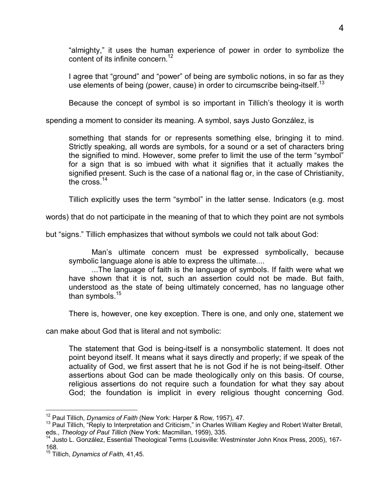"almighty," it uses the human experience of power in order to symbolize the content of its infinite concern.<sup>[12](#page-9-0)</sup>

I agree that "ground" and "power" of being are symbolic notions, in so far as they use elements of being (power, cause) in order to circumscribe being-itself.<sup>[13](#page-9-1)</sup>

Because the concept of symbol is so important in Tillich's theology it is worth

spending a moment to consider its meaning. A symbol, says Justo González, is

something that stands for or represents something else, bringing it to mind. Strictly speaking, all words are symbols, for a sound or a set of characters bring the signified to mind. However, some prefer to limit the use of the term "symbol" for a sign that is so imbued with what it signifies that it actually makes the signified present. Such is the case of a national flag or, in the case of Christianity, the cross.<sup>[14](#page-9-2)</sup>

Tillich explicitly uses the term "symbol" in the latter sense. Indicators (e.g. most

words) that do not participate in the meaning of that to which they point are not symbols

but "signs." Tillich emphasizes that without symbols we could not talk about God:

Man's ultimate concern must be expressed symbolically, because symbolic language alone is able to express the ultimate....

...The language of faith is the language of symbols. If faith were what we have shown that it is not, such an assertion could not be made. But faith, understood as the state of being ultimately concerned, has no language other than symbols.<sup>[15](#page-9-3)</sup>

There is, however, one key exception. There is one, and only one, statement we

can make about God that is literal and not symbolic:

The statement that God is being-itself is a nonsymbolic statement. It does not point beyond itself. It means what it says directly and properly; if we speak of the actuality of God, we first assert that he is not God if he is not being-itself. Other assertions about God can be made theologically only on this basis. Of course, religious assertions do not require such a foundation for what they say about God; the foundation is implicit in every religious thought concerning God.

l

<span id="page-9-0"></span><sup>12</sup> Paul Tillich, *Dynamics of Faith* (New York: Harper & Row, 1957), 47.

<span id="page-9-1"></span><sup>&</sup>lt;sup>13</sup> Paul Tillich, "Reply to Interpretation and Criticism," in Charles William Kegley and Robert Walter Bretall, eds., *Theology of Paul Tillich* (New York: Macmillan, 1959), 335.

<span id="page-9-2"></span><sup>14</sup> Justo L. González, Essential Theological Terms (Louisville: Westminster John Knox Press, 2005), 167- 168.

<span id="page-9-3"></span><sup>15</sup> Tillich, *Dynamics of Faith,* 41,45.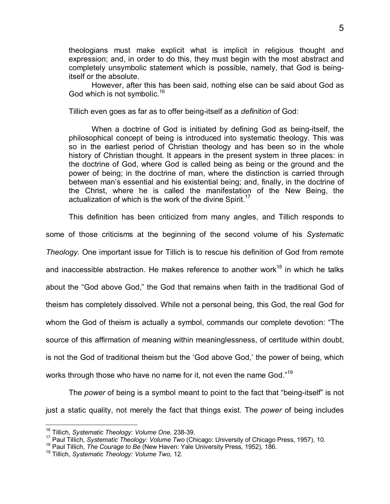theologians must make explicit what is implicit in religious thought and expression; and, in order to do this, they must begin with the most abstract and completely unsymbolic statement which is possible, namely, that God is beingitself or the absolute.

However, after this has been said, nothing else can be said about God as God which is not symbolic.<sup>[16](#page-10-0)</sup>

Tillich even goes as far as to offer being-itself as a *definition* of God:

When a doctrine of God is initiated by defining God as being-itself, the philosophical concept of being is introduced into systematic theology. This was so in the earliest period of Christian theology and has been so in the whole history of Christian thought. It appears in the present system in three places: in the doctrine of God, where God is called being as being or the ground and the power of being; in the doctrine of man, where the distinction is carried through between man's essential and his existential being; and, finally, in the doctrine of the Christ, where he is called the manifestation of the New Being, the actualization of which is the work of the divine Spirit.<sup>[17](#page-10-1)</sup>

This definition has been criticized from many angles, and Tillich responds to

some of those criticisms at the beginning of the second volume of his *Systematic Theology.* One important issue for Tillich is to rescue his definition of God from remote

andinaccessible abstraction. He makes reference to another work $^{18}$  in which he talks

about the "God above God," the God that remains when faith in the traditional God of

theism has completely dissolved. While not a personal being, this God, the real God for

whom the God of theism is actually a symbol, commands our complete devotion: "The

source of this affirmation of meaning within meaninglessness, of certitude within doubt,

is not the God of traditional theism but the 'God above God,' the power of being, which

works through those who have no name for it, not even the name God."<sup>[19](#page-10-3)</sup>

The *power* of being is a symbol meant to point to the fact that "being-itself" is not just a static quality, not merely the fact that things exist. The *power* of being includes

 $\overline{1}$ <sup>16</sup> Tillich, *Systematic Theology: Volume One,* 238-39.

<span id="page-10-1"></span><span id="page-10-0"></span><sup>17</sup> Paul Tillich, *Systematic Theology: Volume Two* (Chicago: University of Chicago Press, 1957), 10.

<span id="page-10-2"></span><sup>18</sup> Paul Tillich, *The Courage to Be* (New Haven: Yale University Press, 1952), 186.

<span id="page-10-3"></span><sup>19</sup> Tillich, *Systematic Theology: Volume Two,* 12.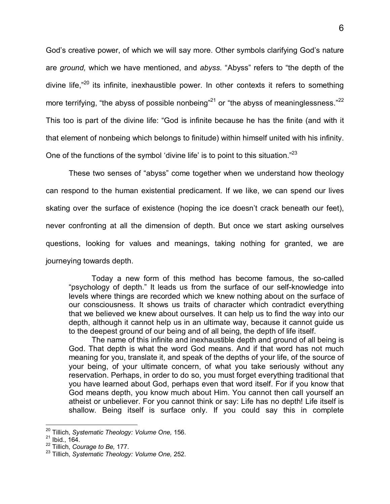God's creative power, of which we will say more. Other symbols clarifying God's nature are *ground,* which we have mentioned, and *abyss.* "Abyss" refers to "the depth of the divine life. $n^{20}$  its infinite, inexhaustible power. In other contexts it refers to something moreterrifying, "the abyss of possible nonbeing"<sup>21</sup> or "the abyss of meaninglessness."<sup>[22](#page-11-2)</sup> This too is part of the divine life: "God is infinite because he has the finite (and with it that element of nonbeing which belongs to finitude) within himself united with his infinity. One of the functions of the symbol 'divine life' is to point to this situation."<sup>[23](#page-11-3)</sup>

These two senses of "abyss" come together when we understand how theology can respond to the human existential predicament. If we like, we can spend our lives skating over the surface of existence (hoping the ice doesn't crack beneath our feet), never confronting at all the dimension of depth. But once we start asking ourselves questions, looking for values and meanings, taking nothing for granted, we are journeying towards depth.

Today a new form of this method has become famous, the so-called "psychology of depth." It leads us from the surface of our self-knowledge into levels where things are recorded which we knew nothing about on the surface of our consciousness. It shows us traits of character which contradict everything that we believed we knew about ourselves. It can help us to find the way into our depth, although it cannot help us in an ultimate way, because it cannot guide us to the deepest ground of our being and of all being, the depth of life itself.

The name of this infinite and inexhaustible depth and ground of all being is God. That depth is what the word God means. And if that word has not much meaning for you, translate it, and speak of the depths of your life, of the source of your being, of your ultimate concern, of what you take seriously without any reservation. Perhaps, in order to do so, you must forget everything traditional that you have learned about God, perhaps even that word itself. For if you know that God means depth, you know much about Him. You cannot then call yourself an atheist or unbeliever. For you cannot think or say: Life has no depth! Life itself is shallow. Being itself is surface only. If you could say this in complete

 $\overline{a}$ <sup>20</sup> Tillich, *Systematic Theology: Volume One,* 156.

<span id="page-11-1"></span><span id="page-11-0"></span> $21$  Ibid., 164.

<span id="page-11-2"></span><sup>22</sup> Tillich, *Courage to Be,* 177.

<span id="page-11-3"></span><sup>23</sup> Tillich, *Systematic Theology: Volume One,* 252.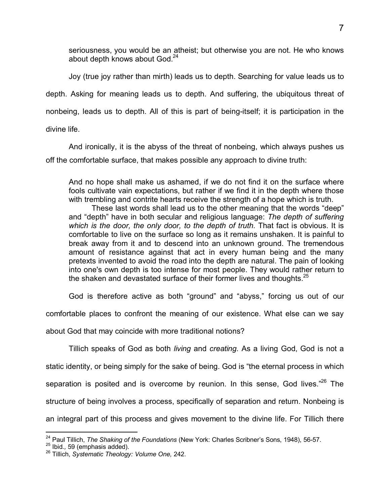seriousness, you would be an atheist; but otherwise you are not. He who knows about depth knows about God.<sup>[24](#page-12-0)</sup>

Joy (true joy rather than mirth) leads us to depth. Searching for value leads us to depth. Asking for meaning leads us to depth. And suffering, the ubiquitous threat of nonbeing, leads us to depth. All of this is part of being-itself; it is participation in the

divine life.

And ironically, it is the abyss of the threat of nonbeing, which always pushes us off the comfortable surface, that makes possible any approach to divine truth:

And no hope shall make us ashamed, if we do not find it on the surface where fools cultivate vain expectations, but rather if we find it in the depth where those with trembling and contrite hearts receive the strength of a hope which is truth.

These last words shall lead us to the other meaning that the words "deep" and "depth" have in both secular and religious language: *The depth of suffering which is the door, the only door, to the depth of truth.* That fact is obvious. It is comfortable to live on the surface so long as it remains unshaken. It is painful to break away from it and to descend into an unknown ground. The tremendous amount of resistance against that act in every human being and the many pretexts invented to avoid the road into the depth are natural. The pain of looking into one's own depth is too intense for most people. They would rather return to the shaken and devastated surface of their former lives and thoughts. $25$ 

God is therefore active as both "ground" and "abyss," forcing us out of our

comfortable places to confront the meaning of our existence. What else can we say

about God that may coincide with more traditional notions?

Tillich speaks of God as both *living* and *creating.* As a living God, God is not a static identity, or being simply for the sake of being. God is "the eternal process in which separation is posited and is overcome by reunion. In this sense, God lives.<sup>"[26](#page-12-2)</sup> The structure of being involves a process, specifically of separation and return. Nonbeing is an integral part of this process and gives movement to the divine life. For Tillich there

 $\overline{a}$ <sup>24</sup> Paul Tillich, *The Shaking of the Foundations* (New York: Charles Scribner's Sons, 1948), 56-57.

<span id="page-12-1"></span><span id="page-12-0"></span><sup>25</sup> Ibid.*,* 59 (emphasis added).

<span id="page-12-2"></span><sup>26</sup> Tillich, *Systematic Theology: Volume One,* 242.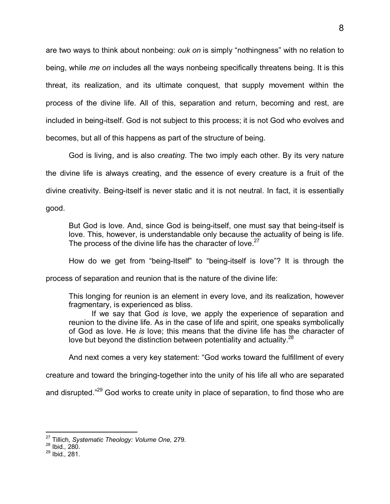are two ways to think about nonbeing: *ouk on* is simply "nothingness" with no relation to being, while *me on* includes all the ways nonbeing specifically threatens being. It is this threat, its realization, and its ultimate conquest, that supply movement within the process of the divine life. All of this, separation and return, becoming and rest, are included in being-itself. God is not subject to this process; it is not God who evolves and becomes, but all of this happens as part of the structure of being.

God is living, and is also *creating.* The two imply each other. By its very nature the divine life is always creating, and the essence of every creature is a fruit of the divine creativity. Being-itself is never static and it is not neutral. In fact, it is essentially good.

But God is love. And, since God is being-itself, one must say that being-itself is love. This, however, is understandable only because the actuality of being is life. The process of the divine life has the character of love. $27$ 

How do we get from "being-Itself" to "being-itself is love"? It is through the

process of separation and reunion that is the nature of the divine life:

This longing for reunion is an element in every love, and its realization, however fragmentary, is experienced as bliss.

If we say that God *is* love, we apply the experience of separation and reunion to the divine life. As in the case of life and spirit, one speaks symbolically of God as love. He *is* love; this means that the divine life has the character of love but beyond the distinction between potentiality and actuality.<sup>[28](#page-13-1)</sup>

And next comes a very key statement: "God works toward the fulfillment of every

creature and toward the bringing-together into the unity of his life all who are separated

and disrupted."<sup>29</sup> God works to create unity in place of separation, to find those who are

 $\overline{a}$ <sup>27</sup> Tillich, *Systematic Theology: Volume One,* 279.

<span id="page-13-1"></span><span id="page-13-0"></span><sup>28</sup> Ibid.*,* 280.

<sup>29</sup> Ibid.*,* 281.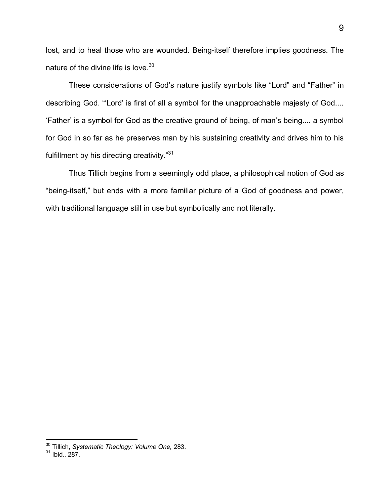lost, and to heal those who are wounded. Being-itself therefore implies goodness. The nature of the divine life is love.<sup>[30](#page-14-0)</sup>

These considerations of God's nature justify symbols like "Lord" and "Father" in describing God. "'Lord' is first of all a symbol for the unapproachable majesty of God.... 'Father' is a symbol for God as the creative ground of being, of man's being.... a symbol for God in so far as he preserves man by his sustaining creativity and drives him to his fulfillment by his directing creativity."<sup>[31](#page-14-1)</sup>

Thus Tillich begins from a seemingly odd place, a philosophical notion of God as "being-itself," but ends with a more familiar picture of a God of goodness and power, with traditional language still in use but symbolically and not literally.

 $\overline{a}$ 

<span id="page-14-0"></span><sup>30</sup> Tillich, *Systematic Theology: Volume One,* 283.

<span id="page-14-1"></span> $31$  Ibid., 287.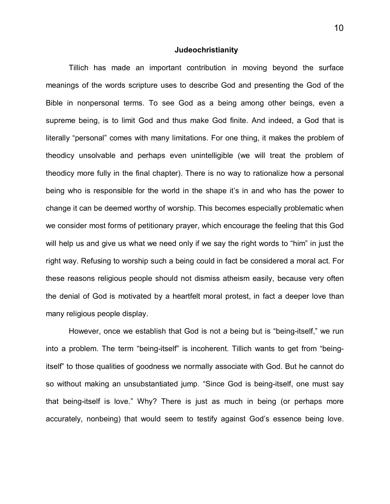#### **Judeochristianity**

Tillich has made an important contribution in moving beyond the surface meanings of the words scripture uses to describe God and presenting the God of the Bible in nonpersonal terms. To see God as a being among other beings, even a supreme being, is to limit God and thus make God finite. And indeed, a God that is literally "personal" comes with many limitations. For one thing, it makes the problem of theodicy unsolvable and perhaps even unintelligible (we will treat the problem of theodicy more fully in the final chapter). There is no way to rationalize how a personal being who is responsible for the world in the shape it's in and who has the power to change it can be deemed worthy of worship. This becomes especially problematic when we consider most forms of petitionary prayer, which encourage the feeling that this God will help us and give us what we need only if we say the right words to "him" in just the right way. Refusing to worship such a being could in fact be considered a moral act. For these reasons religious people should not dismiss atheism easily, because very often the denial of God is motivated by a heartfelt moral protest, in fact a deeper love than many religious people display.

However, once we establish that God is not *a* being but is "being-itself," we run into a problem. The term "being-itself" is incoherent. Tillich wants to get from "beingitself" to those qualities of goodness we normally associate with God. But he cannot do so without making an unsubstantiated jump. "Since God is being-itself, one must say that being-itself is love." Why? There is just as much in being (or perhaps more accurately, nonbeing) that would seem to testify against God's essence being love.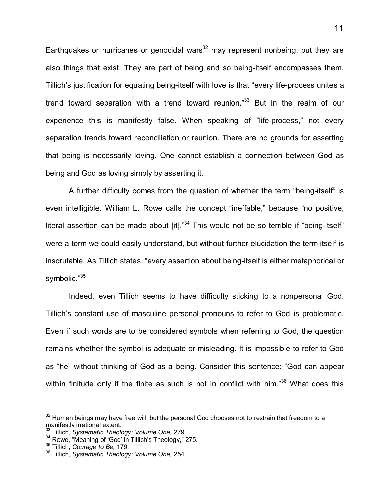Earthquakes or hurricanes or genocidal wars<sup>[32](#page-16-0)</sup> may represent nonbeing, but they are also things that exist. They are part of being and so being-itself encompasses them. Tillich's justification for equating being-itself with love is that "every life-process unites a trend toward separation with a trend toward reunion." $33$  But in the realm of our experience this is manifestly false. When speaking of "life-process," not every separation trends toward reconciliation or reunion. There are no grounds for asserting that being is necessarily loving. One cannot establish a connection between God as being and God as loving simply by asserting it.

A further difficulty comes from the question of whether the term "being-itself" is even intelligible. William L. Rowe calls the concept "ineffable," because "no positive, literal assertion can be made about  $\left[$ it]." $34$  This would not be so terrible if "being-itself" were a term we could easily understand, but without further elucidation the term itself is inscrutable. As Tillich states, "every assertion about being-itself is either metaphorical or symbolic."[35](#page-16-3)

Indeed, even Tillich seems to have difficulty sticking to a nonpersonal God. Tillich's constant use of masculine personal pronouns to refer to God is problematic. Even if such words are to be considered symbols when referring to God, the question remains whether the symbol is adequate or misleading. It is impossible to refer to God as "he" without thinking of God as a being. Consider this sentence: "God can appear within finitude only if the finite as such is not in conflict with him."<sup>36</sup> What does this

-

<span id="page-16-0"></span> $32$  Human beings may have free will, but the personal God chooses not to restrain that freedom to a manifestly irrational extent.

<span id="page-16-1"></span><sup>33</sup> Tillich, *Systematic Theology: Volume One,* 279.

<span id="page-16-2"></span><sup>&</sup>lt;sup>34</sup> Rowe, "Meaning of 'God' in Tillich's Theology," 275.

<span id="page-16-3"></span><sup>35</sup> Tillich, *Courage to Be,* 179.

<sup>36</sup> Tillich, *Systematic Theology: Volume One,* 254.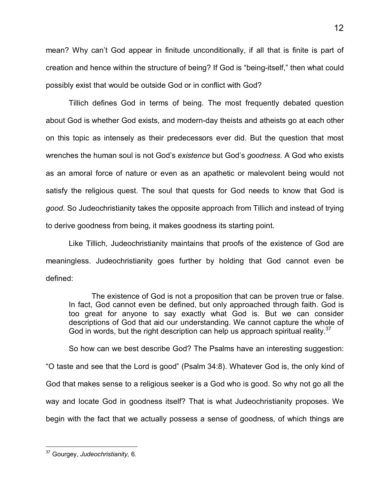mean? Why can't God appear in finitude unconditionally, if all that is finite is part of creation and hence within the structure of being? If God is "being-itself," then what could possibly exist that would be outside God or in conflict with God?

Tillich defines God in terms of being. The most frequently debated question about God is whether God exists, and modern-day theists and atheists go at each other on this topic as intensely as their predecessors ever did. But the question that most wrenches the human soul is not God's *existence* but God's *goodness.* A God who exists as an amoral force of nature or even as an apathetic or malevolent being would not satisfy the religious quest. The soul that quests for God needs to know that God is *good.* So Judeochristianity takes the opposite approach from Tillich and instead of trying to derive goodness from being, it makes goodness its starting point.

Like Tillich, Judeochristianity maintains that proofs of the existence of God are meaningless. Judeochristianity goes further by holding that God cannot even be defined:

The existence of God is not a proposition that can be proven true or false. In fact, God cannot even be defined, but only approached through faith. God is too great for anyone to say exactly what God is. But we can consider descriptions of God that aid our understanding. We cannot capture the whole of God in words, but the right description can help us approach spiritual reality. $37$ 

So how can we best describe God? The Psalms have an interesting suggestion: "O taste and see that the Lord is good" (Psalm 34:8). Whatever God is, the only kind of God that makes sense to a religious seeker is a God who is good. So why not go all the way and locate God in goodness itself? That is what Judeochristianity proposes. We begin with the fact that we actually possess a sense of goodness, of which things are

<span id="page-17-0"></span><sup>-</sup><sup>37</sup> Gourgey, *Judeochristianity,* 6.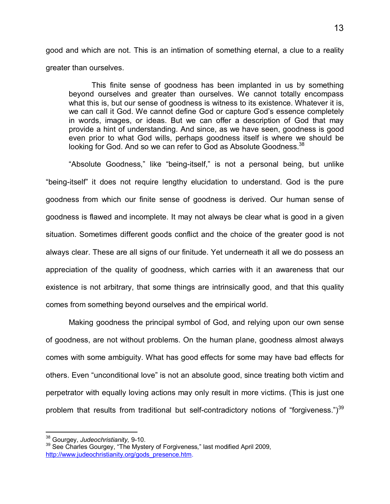good and which are not. This is an intimation of something eternal, a clue to a reality greater than ourselves.

This finite sense of goodness has been implanted in us by something beyond ourselves and greater than ourselves. We cannot totally encompass what this is, but our sense of goodness is witness to its existence. Whatever it is, we can call it God. We cannot define God or capture God's essence completely in words, images, or ideas. But we can offer a description of God that may provide a hint of understanding. And since, as we have seen, goodness is good even prior to what God wills, perhaps goodness itself is where we should be looking for God. And so we can refer to God as Absolute Goodness.<sup>[38](#page-18-0)</sup>

"Absolute Goodness," like "being-itself," is not a personal being, but unlike "being-itself" it does not require lengthy elucidation to understand. God is the pure goodness from which our finite sense of goodness is derived. Our human sense of goodness is flawed and incomplete. It may not always be clear what is good in a given situation. Sometimes different goods conflict and the choice of the greater good is not always clear. These are all signs of our finitude. Yet underneath it all we do possess an appreciation of the quality of goodness, which carries with it an awareness that our existence is not arbitrary, that some things are intrinsically good, and that this quality comes from something beyond ourselves and the empirical world.

Making goodness the principal symbol of God, and relying upon our own sense of goodness, are not without problems. On the human plane, goodness almost always comes with some ambiguity. What has good effects for some may have bad effects for others. Even "unconditional love" is not an absolute good, since treating both victim and perpetrator with equally loving actions may only result in more victims. (This is just one problem that results from traditional but self-contradictory notions of "forgiveness.")<sup>39</sup>

 $\overline{a}$ 

<span id="page-18-0"></span><sup>38</sup> Gourgey, *Judeochristianity,* 9-10.

<sup>39</sup> See Charles Gourgey, "The Mystery of Forgiveness*,*" last modified April 2009, http://www.judeochristianity.org/gods\_presence.htm.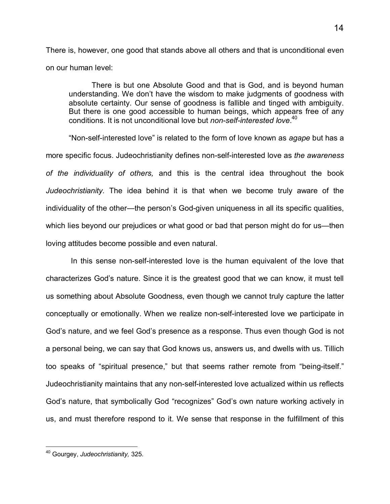There is, however, one good that stands above all others and that is unconditional even on our human level:

There is but one Absolute Good and that is God, and is beyond human understanding. We don't have the wisdom to make judgments of goodness with absolute certainty. Our sense of goodness is fallible and tinged with ambiguity. But there is one good accessible to human beings, which appears free of any conditions. It is not unconditional love but *non-self-interested love*. [40](#page-19-0)

"Non-self-interested love" is related to the form of love known as *agape* but has a more specific focus. Judeochristianity defines non-self-interested love as *the awareness of the individuality of others,* and this is the central idea throughout the book *Judeochristianity.* The idea behind it is that when we become truly aware of the individuality of the other—the person's God-given uniqueness in all its specific qualities, which lies beyond our prejudices or what good or bad that person might do for us—then loving attitudes become possible and even natural.

 In this sense non-self-interested love is the human equivalent of the love that characterizes God's nature. Since it is the greatest good that we can know, it must tell us something about Absolute Goodness, even though we cannot truly capture the latter conceptually or emotionally. When we realize non-self-interested love we participate in God's nature, and we feel God's presence as a response. Thus even though God is not a personal being, we can say that God knows us, answers us, and dwells with us. Tillich too speaks of "spiritual presence," but that seems rather remote from "being-itself." Judeochristianity maintains that any non-self-interested love actualized within us reflects God's nature, that symbolically God "recognizes" God's own nature working actively in us, and must therefore respond to it. We sense that response in the fulfillment of this

<span id="page-19-0"></span><sup>-</sup><sup>40</sup> Gourgey, *Judeochristianity,* 325.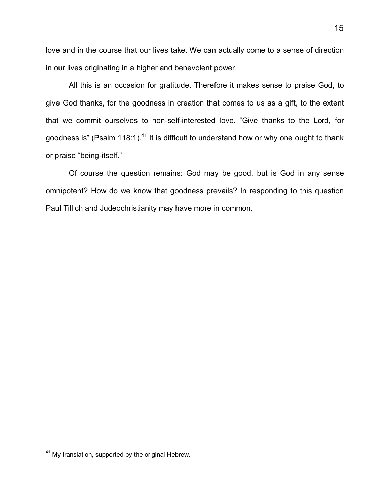love and in the course that our lives take. We can actually come to a sense of direction in our lives originating in a higher and benevolent power.

All this is an occasion for gratitude. Therefore it makes sense to praise God, to give God thanks, for the goodness in creation that comes to us as a gift, to the extent that we commit ourselves to non-self-interested love. "Give thanks to the Lord, for goodness is" (Psalm 118:1).<sup>[41](#page-20-0)</sup> It is difficult to understand how or why one ought to thank or praise "being-itself."

Of course the question remains: God may be good, but is God in any sense omnipotent? How do we know that goodness prevails? In responding to this question Paul Tillich and Judeochristianity may have more in common.

l

<span id="page-20-0"></span><sup>&</sup>lt;sup>41</sup> My translation, supported by the original Hebrew.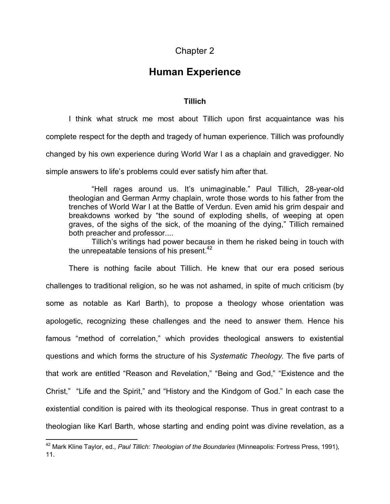### Chapter 2

## **Human Experience**

### **Tillich**

I think what struck me most about Tillich upon first acquaintance was his complete respect for the depth and tragedy of human experience. Tillich was profoundly changed by his own experience during World War I as a chaplain and gravedigger. No simple answers to life's problems could ever satisfy him after that.

"Hell rages around us. It's unimaginable." Paul Tillich, 28-year-old theologian and German Army chaplain, wrote those words to his father from the trenches of World War I at the Battle of Verdun. Even amid his grim despair and breakdowns worked by "the sound of exploding shells, of weeping at open graves, of the sighs of the sick, of the moaning of the dying," Tillich remained both preacher and professor....

Tillich's writings had power because in them he risked being in touch with the unrepeatable tensions of his present. $42$ 

There is nothing facile about Tillich. He knew that our era posed serious challenges to traditional religion, so he was not ashamed, in spite of much criticism (by some as notable as Karl Barth), to propose a theology whose orientation was apologetic, recognizing these challenges and the need to answer them. Hence his famous "method of correlation," which provides theological answers to existential questions and which forms the structure of his *Systematic Theology.* The five parts of that work are entitled "Reason and Revelation," "Being and God," "Existence and the Christ," "Life and the Spirit," and "History and the Kindgom of God." In each case the existential condition is paired with its theological response. Thus in great contrast to a theologian like Karl Barth, whose starting and ending point was divine revelation, as a

 $\overline{1}$ 

<span id="page-21-0"></span><sup>42</sup> Mark Kline Taylor, ed., *Paul Tillich: Theologian of the Boundaries* (Minneapolis: Fortress Press, 1991), 11.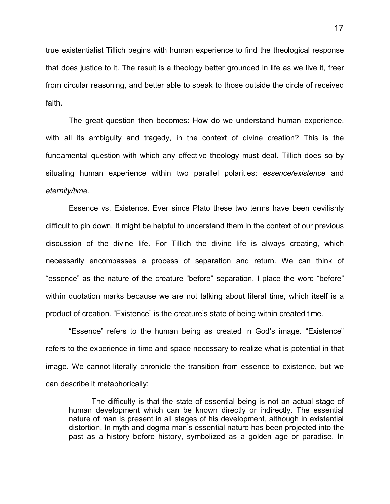true existentialist Tillich begins with human experience to find the theological response that does justice to it. The result is a theology better grounded in life as we live it, freer from circular reasoning, and better able to speak to those outside the circle of received faith.

The great question then becomes: How do we understand human experience, with all its ambiguity and tragedy, in the context of divine creation? This is the fundamental question with which any effective theology must deal. Tillich does so by situating human experience within two parallel polarities: *essence/existence* and *eternity/time.*

Essence vs. Existence. Ever since Plato these two terms have been devilishly difficult to pin down. It might be helpful to understand them in the context of our previous discussion of the divine life. For Tillich the divine life is always creating, which necessarily encompasses a process of separation and return. We can think of "essence" as the nature of the creature "before" separation. I place the word "before" within quotation marks because we are not talking about literal time, which itself is a product of creation. "Existence" is the creature's state of being within created time.

"Essence" refers to the human being as created in God's image. "Existence" refers to the experience in time and space necessary to realize what is potential in that image. We cannot literally chronicle the transition from essence to existence, but we can describe it metaphorically:

The difficulty is that the state of essential being is not an actual stage of human development which can be known directly or indirectly. The essential nature of man is present in all stages of his development, although in existential distortion. In myth and dogma man's essential nature has been projected into the past as a history before history, symbolized as a golden age or paradise. In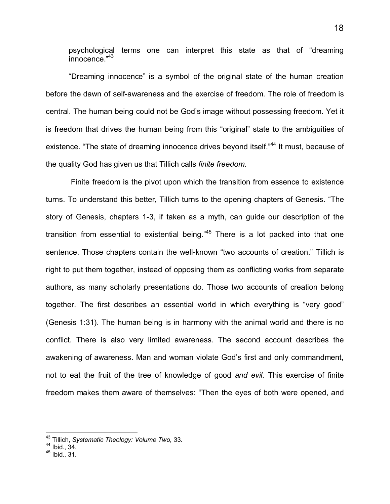psychological terms one can interpret this state as that of "dreaming innocence."[43](#page-23-0)

"Dreaming innocence" is a symbol of the original state of the human creation before the dawn of self-awareness and the exercise of freedom. The role of freedom is central. The human being could not be God's image without possessing freedom. Yet it is freedom that drives the human being from this "original" state to the ambiguities of existence. ["](#page-23-1)The state of dreaming innocence drives beyond itself."<sup>44</sup> It must, because of the quality God has given us that Tillich calls *finite freedom.*

 Finite freedom is the pivot upon which the transition from essence to existence turns. To understand this better, Tillich turns to the opening chapters of Genesis. "The story of Genesis, chapters 1-3, if taken as a myth, can guide our description of the transitionfrom essential to existential being." $45$  There is a lot packed into that one sentence. Those chapters contain the well-known "two accounts of creation." Tillich is right to put them together, instead of opposing them as conflicting works from separate authors, as many scholarly presentations do. Those two accounts of creation belong together. The first describes an essential world in which everything is "very good" (Genesis 1:31). The human being is in harmony with the animal world and there is no conflict. There is also very limited awareness. The second account describes the awakening of awareness. Man and woman violate God's first and only commandment, not to eat the fruit of the tree of knowledge of good *and evil.* This exercise of finite freedom makes them aware of themselves: "Then the eyes of both were opened, and

 $\overline{1}$ 

<span id="page-23-0"></span><sup>43</sup> Tillich, *Systematic Theology: Volume Two,* 33.

<span id="page-23-1"></span> $44$  Ibid., 34.

<span id="page-23-2"></span> $45$  Ibid., 31.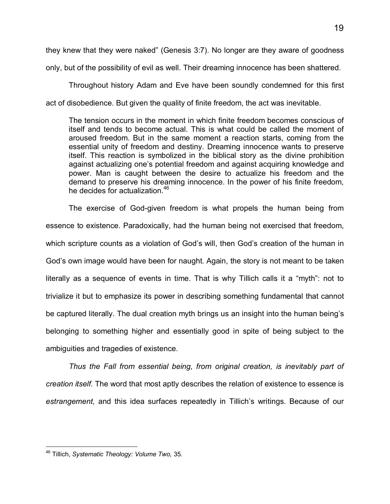they knew that they were naked" (Genesis 3:7). No longer are they aware of goodness

only, but of the possibility of evil as well. Their dreaming innocence has been shattered.

Throughout history Adam and Eve have been soundly condemned for this first act of disobedience. But given the quality of finite freedom, the act was inevitable.

The tension occurs in the moment in which finite freedom becomes conscious of itself and tends to become actual. This is what could be called the moment of aroused freedom. But in the same moment a reaction starts, coming from the essential unity of freedom and destiny. Dreaming innocence wants to preserve itself. This reaction is symbolized in the biblical story as the divine prohibition against actualizing one's potential freedom and against acquiring knowledge and power. Man is caught between the desire to actualize his freedom and the demand to preserve his dreaming innocence. In the power of his finite freedom, he decides for actualization.<sup>[46](#page-24-0)</sup>

The exercise of God-given freedom is what propels the human being from essence to existence. Paradoxically, had the human being not exercised that freedom, which scripture counts as a violation of God's will, then God's creation of the human in God's own image would have been for naught. Again, the story is not meant to be taken literally as a sequence of events in time. That is why Tillich calls it a "myth": not to trivialize it but to emphasize its power in describing something fundamental that cannot be captured literally. The dual creation myth brings us an insight into the human being's belonging to something higher and essentially good in spite of being subject to the ambiguities and tragedies of existence.

*Thus the Fall from essential being, from original creation, is inevitably part of creation itself.* The word that most aptly describes the relation of existence to essence is *estrangement,* and this idea surfaces repeatedly in Tillich's writings. Because of our

<span id="page-24-0"></span>l <sup>46</sup> Tillich, *Systematic Theology: Volume Two,* 35.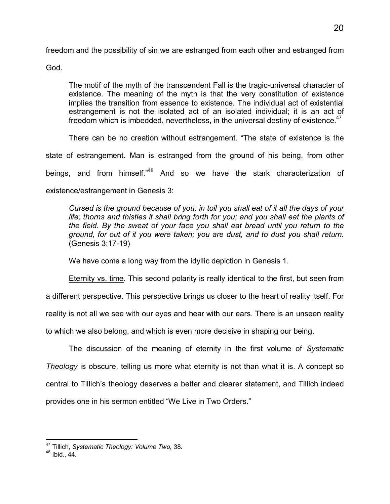freedom and the possibility of sin we are estranged from each other and estranged from

God.

The motif of the myth of the transcendent Fall is the tragic-universal character of existence. The meaning of the myth is that the very constitution of existence implies the transition from essence to existence. The individual act of existential estrangement is not the isolated act of an isolated individual; it is an act of freedom which is imbedded, nevertheless, in the universal destiny of existence. $47$ 

There can be no creation without estrangement. "The state of existence is the state of estrangement. Man is estranged from the ground of his being, from other beings,and from himself.<sup>"48</sup> And so we have the stark characterization of existence/estrangement in Genesis 3:

*Cursed is the ground because of you; in toil you shall eat of it all the days of your life; thorns and thistles it shall bring forth for you; and you shall eat the plants of the field. By the sweat of your face you shall eat bread until you return to the ground, for out of it you were taken; you are dust, and to dust you shall return.* (Genesis 3:17-19)

We have come a long way from the idyllic depiction in Genesis 1.

Eternity vs. time. This second polarity is really identical to the first, but seen from a different perspective. This perspective brings us closer to the heart of reality itself. For reality is not all we see with our eyes and hear with our ears. There is an unseen reality to which we also belong, and which is even more decisive in shaping our being.

The discussion of the meaning of eternity in the first volume of *Systematic Theology* is obscure, telling us more what eternity is not than what it is. A concept so central to Tillich's theology deserves a better and clearer statement, and Tillich indeed provides one in his sermon entitled "We Live in Two Orders."

 $\overline{1}$ <sup>47</sup> Tillich, *Systematic Theology: Volume Two,* 38.

<span id="page-25-1"></span><span id="page-25-0"></span><sup>48</sup> Ibid., 44.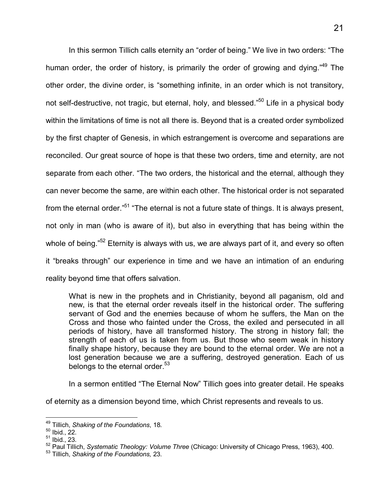In this sermon Tillich calls eternity an "order of being." We live in two orders: "The human order, the order of history, is primarily the order of growing and dying."<sup>[49](#page-26-0)</sup> The other order, the divine order, is "something infinite, in an order which is not transitory, not self-destructive, not tragic, but eternal, holy, and blessed."<sup>[50](#page-26-1)</sup> Life in a physical body within the limitations of time is not all there is. Beyond that is a created order symbolized by the first chapter of Genesis, in which estrangement is overcome and separations are reconciled. Our great source of hope is that these two orders, time and eternity, are not separate from each other. "The two orders, the historical and the eternal, although they can never become the same, are within each other. The historical order is not separated from the eternal order."<sup>[51](#page-26-2)</sup> "The eternal is not a future state of things. It is always present, not only in man (who is aware of it), but also in everything that has being within the whole of being.["](#page-26-3)<sup>52</sup> Eternity is always with us, we are always part of it, and every so often it "breaks through" our experience in time and we have an intimation of an enduring reality beyond time that offers salvation.

What is new in the prophets and in Christianity, beyond all paganism, old and new, is that the eternal order reveals itself in the historical order. The suffering servant of God and the enemies because of whom he suffers, the Man on the Cross and those who fainted under the Cross, the exiled and persecuted in all periods of history, have all transformed history. The strong in history fall; the strength of each of us is taken from us. But those who seem weak in history finally shape history, because they are bound to the eternal order. We are not a lost generation because we are a suffering, destroyed generation. Each of us belongs to the eternal order. $53$ 

In a sermon entitled "The Eternal Now" Tillich goes into greater detail. He speaks

of eternity as a dimension beyond time, which Christ represents and reveals to us.

 $\overline{a}$ <sup>49</sup> Tillich, *Shaking of the Foundations*, 18.

<span id="page-26-1"></span><span id="page-26-0"></span> $50$  Ibid., 22.

<span id="page-26-2"></span> $51$  Ibid., 23.

<span id="page-26-3"></span><sup>52</sup> Paul Tillich, *Systematic Theology: Volume Three* (Chicago: University of Chicago Press, 1963), 400.

<span id="page-26-4"></span><sup>53</sup> Tillich, *Shaking of the Foundations,* 23.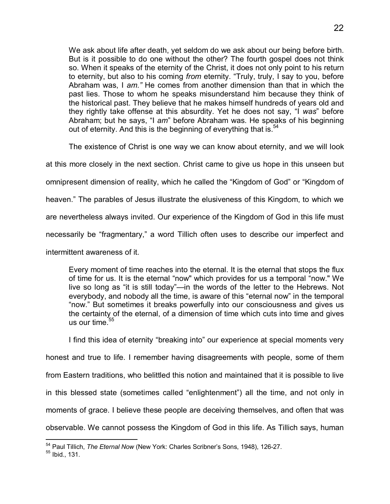We ask about life after death, yet seldom do we ask about our being before birth. But is it possible to do one without the other? The fourth gospel does not think so. When it speaks of the eternity of the Christ, it does not only point to his return to eternity, but also to his coming *from* eternity. "Truly, truly, I say to you, before Abraham was, I *am."* He comes from another dimension than that in which the past lies. Those to whom he speaks misunderstand him because they think of the historical past. They believe that he makes himself hundreds of years old and they rightly take offense at this absurdity. Yet he does not say, "I *was*" before Abraham; but he says, "I *am*" before Abraham was. He speaks of his beginning out of eternity. And this is the beginning of everything that is.<sup>[54](#page-27-0)</sup>

The existence of Christ is one way we can know about eternity, and we will look

at this more closely in the next section. Christ came to give us hope in this unseen but

omnipresent dimension of reality, which he called the "Kingdom of God" or "Kingdom of

heaven." The parables of Jesus illustrate the elusiveness of this Kingdom, to which we

are nevertheless always invited. Our experience of the Kingdom of God in this life must

necessarily be "fragmentary," a word Tillich often uses to describe our imperfect and

intermittent awareness of it.

Every moment of time reaches into the eternal. It is the eternal that stops the flux of time for us. It is the eternal "now" which provides for us a temporal "now." We live so long as "it is still today"—in the words of the letter to the Hebrews. Not everybody, and nobody all the time, is aware of this "eternal now" in the temporal "now." But sometimes it breaks powerfully into our consciousness and gives us the certainty of the eternal, of a dimension of time which cuts into time and gives us our time. $55$ 

I find this idea of eternity "breaking into" our experience at special moments very

honest and true to life. I remember having disagreements with people, some of them from Eastern traditions, who belittled this notion and maintained that it is possible to live in this blessed state (sometimes called "enlightenment") all the time, and not only in moments of grace. I believe these people are deceiving themselves, and often that was observable. We cannot possess the Kingdom of God in this life. As Tillich says, human

 $\overline{a}$ <sup>54</sup> Paul Tillich, *The Eternal Now* (New York: Charles Scribner's Sons, 1948), 126-27.

<span id="page-27-1"></span><span id="page-27-0"></span><sup>55</sup> Ibid., 131.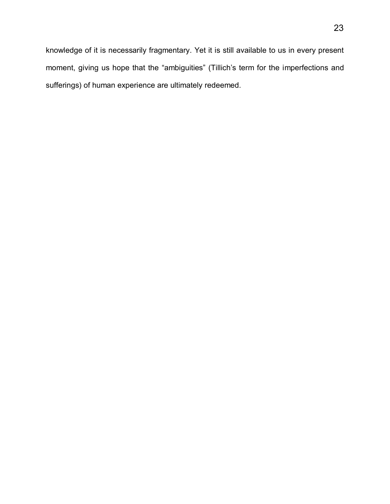knowledge of it is necessarily fragmentary. Yet it is still available to us in every present moment, giving us hope that the "ambiguities" (Tillich's term for the imperfections and sufferings) of human experience are ultimately redeemed.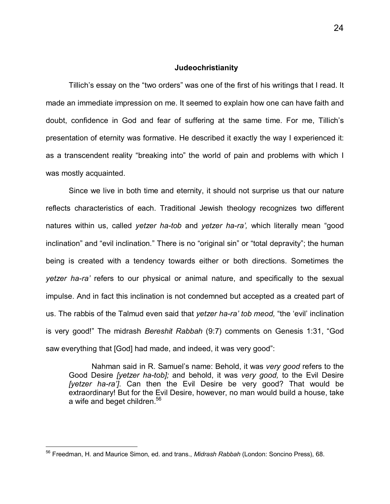#### **Judeochristianity**

Tillich's essay on the "two orders" was one of the first of his writings that I read. It made an immediate impression on me. It seemed to explain how one can have faith and doubt, confidence in God and fear of suffering at the same time. For me, Tillich's presentation of eternity was formative. He described it exactly the way I experienced it: as a transcendent reality "breaking into" the world of pain and problems with which I was mostly acquainted.

Since we live in both time and eternity, it should not surprise us that our nature reflects characteristics of each. Traditional Jewish theology recognizes two different natures within us, called *yetzer ha-tob* and *yetzer ha-ra',* which literally mean "good inclination" and "evil inclination*.*" There is no "original sin" or "total depravity"; the human being is created with a tendency towards either or both directions. Sometimes the *yetzer ha-ra'* refers to our physical or animal nature, and specifically to the sexual impulse. And in fact this inclination is not condemned but accepted as a created part of us. The rabbis of the Talmud even said that *yetzer ha-ra' tob meod,* "the 'evil' inclination is very good!" The midrash *Bereshit Rabbah* (9:7) comments on Genesis 1:31, "God saw everything that [God] had made, and indeed, it was very good":

Nahman said in R. Samuel's name: Behold, it was *very good* refers to the Good Desire *[yetzer ha-tob];* and behold, it was *very good,* to the Evil Desire *[yetzer ha-ra']*. Can then the Evil Desire be very good? That would be extraordinary! But for the Evil Desire, however, no man would build a house, take a wife and beget children.<sup>[56](#page-29-0)</sup>

-

<span id="page-29-0"></span><sup>56</sup> Freedman, H. and Maurice Simon, ed. and trans., *Midrash Rabbah* (London: Soncino Press), 68.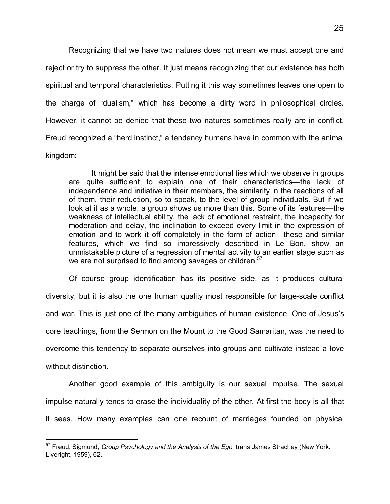Recognizing that we have two natures does not mean we must accept one and reject or try to suppress the other. It just means recognizing that our existence has both spiritual and temporal characteristics. Putting it this way sometimes leaves one open to the charge of "dualism," which has become a dirty word in philosophical circles. However, it cannot be denied that these two natures sometimes really are in conflict. Freud recognized a "herd instinct," a tendency humans have in common with the animal kingdom:

It might be said that the intense emotional ties which we observe in groups are quite sufficient to explain one of their characteristics—the lack of independence and initiative in their members, the similarity in the reactions of all of them, their reduction, so to speak, to the level of group individuals. But if we look at it as a whole, a group shows us more than this. Some of its features—the weakness of intellectual ability, the lack of emotional restraint, the incapacity for moderation and delay, the inclination to exceed every limit in the expression of emotion and to work it off completely in the form of action—these and similar features, which we find so impressively described in Le Bon, show an unmistakable picture of a regression of mental activity to an earlier stage such as we are not surprised to find among savages or children.<sup>[57](#page-30-0)</sup>

Of course group identification has its positive side, as it produces cultural diversity, but it is also the one human quality most responsible for large-scale conflict and war. This is just one of the many ambiguities of human existence. One of Jesus's core teachings, from the Sermon on the Mount to the Good Samaritan, was the need to overcome this tendency to separate ourselves into groups and cultivate instead a love without distinction.

Another good example of this ambiguity is our sexual impulse. The sexual impulse naturally tends to erase the individuality of the other. At first the body is all that it sees. How many examples can one recount of marriages founded on physical

<span id="page-30-0"></span> $\overline{a}$ <sup>57</sup> Freud, Sigmund, *Group Psychology and the Analysis of the Ego,* trans James Strachey (New York: Liveright, 1959), 62.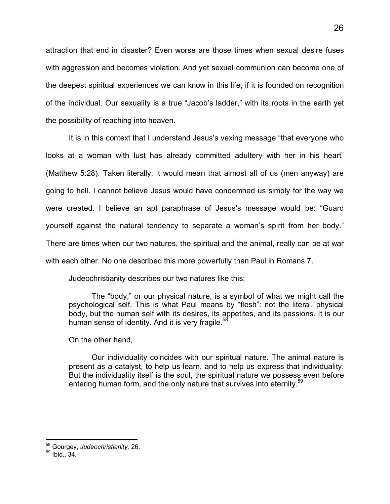attraction that end in disaster? Even worse are those times when sexual desire fuses with aggression and becomes violation. And yet sexual communion can become one of the deepest spiritual experiences we can know in this life, if it is founded on recognition of the individual. Our sexuality is a true "Jacob's ladder," with its roots in the earth yet the possibility of reaching into heaven.

It is in this context that I understand Jesus's vexing message "that everyone who looks at a woman with lust has already committed adultery with her in his heart" (Matthew 5:28). Taken literally, it would mean that almost all of us (men anyway) are going to hell. I cannot believe Jesus would have condemned us simply for the way we were created. I believe an apt paraphrase of Jesus's message would be: "Guard yourself against the natural tendency to separate a woman's spirit from her body." There are times when our two natures, the spiritual and the animal, really can be at war with each other. No one described this more powerfully than Paul in Romans 7.

Judeochristianity describes our two natures like this:

The "body," or our physical nature, is a symbol of what we might call the psychological self. This is what Paul means by "flesh": not the literal, physical body, but the human self with its desires, its appetites, and its passions. It is our human sense of identity. And it is very fragile. $56$ 

On the other hand,

Our individuality coincides with our spiritual nature. The animal nature is present as a catalyst, to help us learn, and to help us express that individuality. But the individuality itself is the soul, the spiritual nature we possess even before entering human form, and the only nature that survives into eternity.<sup>[59](#page-31-1)</sup>

 $\overline{a}$ <sup>58</sup> Gourgey, *Judeochristianity,* 26.

<span id="page-31-1"></span><span id="page-31-0"></span> $59$  Ibid.,  $34$ .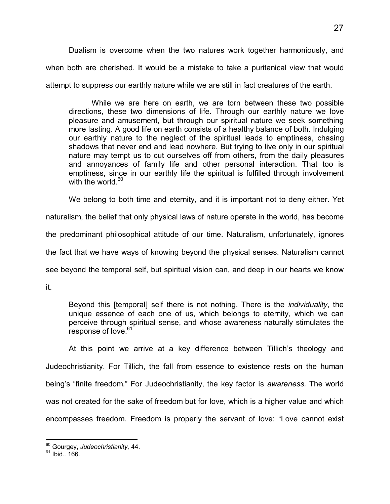Dualism is overcome when the two natures work together harmoniously, and when both are cherished. It would be a mistake to take a puritanical view that would attempt to suppress our earthly nature while we are still in fact creatures of the earth.

While we are here on earth, we are torn between these two possible directions, these two dimensions of life. Through our earthly nature we love pleasure and amusement, but through our spiritual nature we seek something more lasting. A good life on earth consists of a healthy balance of both. Indulging our earthly nature to the neglect of the spiritual leads to emptiness, chasing shadows that never end and lead nowhere. But trying to live only in our spiritual nature may tempt us to cut ourselves off from others, from the daily pleasures and annoyances of family life and other personal interaction. That too is emptiness, since in our earthly life the spiritual is fulfilled through involvement with the world. $60<sup>60</sup>$  $60<sup>60</sup>$ 

We belong to both time and eternity, and it is important not to deny either. Yet

naturalism, the belief that only physical laws of nature operate in the world, has become

the predominant philosophical attitude of our time. Naturalism, unfortunately, ignores

the fact that we have ways of knowing beyond the physical senses. Naturalism cannot

see beyond the temporal self, but spiritual vision can, and deep in our hearts we know

it.

Beyond this [temporal] self there is not nothing. There is the *individuality*, the unique essence of each one of us, which belongs to eternity, which we can perceive through spiritual sense, and whose awareness naturally stimulates the response of love.<sup>[61](#page-32-1)</sup>

At this point we arrive at a key difference between Tillich's theology and Judeochristianity. For Tillich, the fall from essence to existence rests on the human being's "finite freedom." For Judeochristianity, the key factor is *awareness.* The world was not created for the sake of freedom but for love, which is a higher value and which encompasses freedom. Freedom is properly the servant of love: "Love cannot exist

 $\overline{a}$ <sup>60</sup> Gourgey, *Judeochristianity,* 44.

<span id="page-32-1"></span><span id="page-32-0"></span><sup>61</sup> Ibid.*,* 166.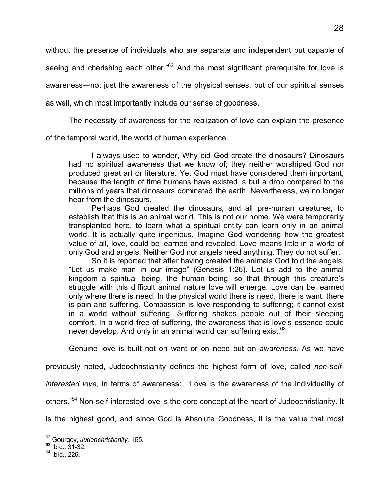without the presence of individuals who are separate and independent but capable of seeing and cherishing each other."<sup>[62](#page-33-0)</sup> And the most significant prerequisite for love is awareness—not just the awareness of the physical senses, but of our spiritual senses as well, which most importantly include our sense of goodness.

The necessity of awareness for the realization of love can explain the presence

of the temporal world, the world of human experience.

I always used to wonder, Why did God create the dinosaurs? Dinosaurs had no spiritual awareness that we know of; they neither worshiped God nor produced great art or literature. Yet God must have considered them important, because the length of time humans have existed is but a drop compared to the millions of years that dinosaurs dominated the earth. Nevertheless, we no longer hear from the dinosaurs.

Perhaps God created the dinosaurs, and all pre-human creatures, to establish that this is an animal world. This is not our home. We were temporarily transplanted here, to learn what a spiritual entity can learn only in an animal world. It is actually quite ingenious. Imagine God wondering how the greatest value of all, love, could be learned and revealed. Love means little in a world of only God and angels. Neither God nor angels need anything. They do not suffer.

So it is reported that after having created the animals God told the angels, "Let us make man in our image" (Genesis 1:26). Let us add to the animal kingdom a spiritual being, the human being, so that through this creature's struggle with this difficult animal nature love will emerge. Love can be learned only where there is need. In the physical world there is need, there is want, there is pain and suffering. Compassion is love responding to suffering; it cannot exist in a world without suffering. Suffering shakes people out of their sleeping comfort. In a world free of suffering, the awareness that is love's essence could never develop. And only in an animal world can suffering exist.<sup>[63](#page-33-1)</sup>

Genuine love is built not on want or on need but on *awareness.* As we have

previously noted, Judeochristianity defines the highest form of love, called *non-self-*

*interested love,* in terms of awareness: "Love is the awareness of the individuality of

others."[64](#page-33-2) Non-self-interested love is the core concept at the heart of Judeochristianity. It

is the highest good, and since God is Absolute Goodness, it is the value that most

 $\overline{a}$ 

<span id="page-33-0"></span><sup>62</sup> Gourgey, *Judeochristianity,* 165.

<span id="page-33-1"></span><sup>63</sup> Ibid.*,* 31-32.

<span id="page-33-2"></span> $64$  Ibid., 226.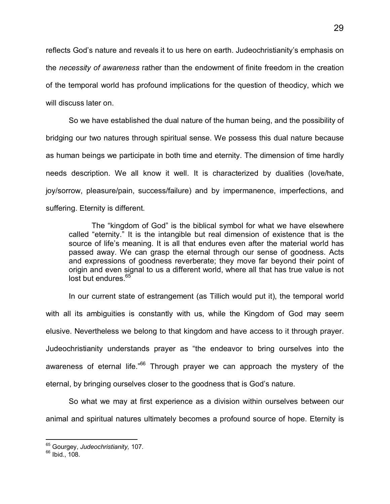reflects God's nature and reveals it to us here on earth. Judeochristianity's emphasis on the *necessity of awareness* rather than the endowment of finite freedom in the creation of the temporal world has profound implications for the question of theodicy, which we will discuss later on.

So we have established the dual nature of the human being, and the possibility of bridging our two natures through spiritual sense. We possess this dual nature because as human beings we participate in both time and eternity. The dimension of time hardly needs description. We all know it well. It is characterized by dualities (love/hate, joy/sorrow, pleasure/pain, success/failure) and by impermanence, imperfections, and suffering. Eternity is different.

The "kingdom of God" is the biblical symbol for what we have elsewhere called "eternity." It is the intangible but real dimension of existence that is the source of life's meaning. It is all that endures even after the material world has passed away. We can grasp the eternal through our sense of goodness. Acts and expressions of goodness reverberate; they move far beyond their point of origin and even signal to us a different world, where all that has true value is not lost but endures.<sup>[65](#page-34-0)</sup>

In our current state of estrangement (as Tillich would put it), the temporal world with all its ambiguities is constantly with us, while the Kingdom of God may seem elusive. Nevertheless we belong to that kingdom and have access to it through prayer. Judeochristianity understands prayer as "the endeavor to bring ourselves into the awareness of eternal life."<sup>[66](#page-34-1)</sup> Through prayer we can approach the mystery of the eternal, by bringing ourselves closer to the goodness that is God's nature.

So what we may at first experience as a division within ourselves between our animal and spiritual natures ultimately becomes a profound source of hope. Eternity is

 $\overline{a}$ 

<span id="page-34-0"></span><sup>65</sup> Gourgey, *Judeochristianity,* 107.

<span id="page-34-1"></span><sup>66</sup> Ibid., 108.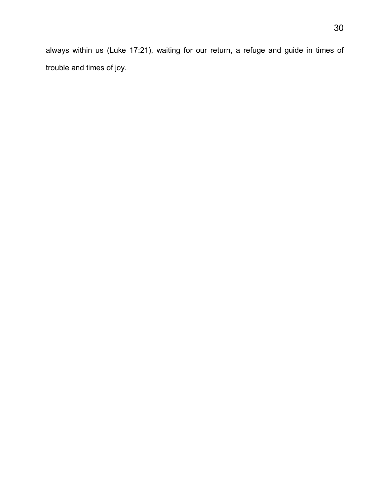always within us (Luke 17:21), waiting for our return, a refuge and guide in times of trouble and times of joy.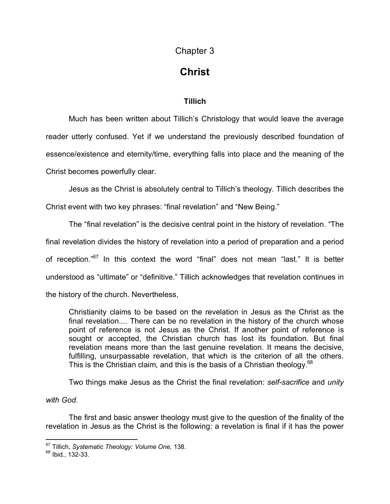## Chapter 3

# **Christ**

### **Tillich**

Much has been written about Tillich's Christology that would leave the average reader utterly confused. Yet if we understand the previously described foundation of essence/existence and eternity/time, everything falls into place and the meaning of the Christ becomes powerfully clear.

Jesus as the Christ is absolutely central to Tillich's theology. Tillich describes the Christ event with two key phrases: "final revelation" and "New Being."

The "final revelation" is the decisive central point in the history of revelation. "The final revelation divides the history of revelation into a period of preparation and a period of reception."<sup>[67](#page-36-0)</sup> In this context the word "final" does not mean "last." It is better understood as "ultimate" or "definitive." Tillich acknowledges that revelation continues in the history of the church. Nevertheless,

Christianity claims to be based on the revelation in Jesus as the Christ as the final revelation.... There can be no revelation in the history of the church whose point of reference is not Jesus as the Christ. If another point of reference is sought or accepted, the Christian church has lost its foundation. But final revelation means more than the last genuine revelation. It means the decisive, fulfilling, unsurpassable revelation, that which is the criterion of all the others. This is the Christian claim, and this is the basis of a Christian theology.<sup>[68](#page-36-1)</sup>

Two things make Jesus as the Christ the final revelation: *self-sacrifice* and *unity* 

*with God.*

The first and basic answer theology must give to the question of the finality of the revelation in Jesus as the Christ is the following: a revelation is final if it has the power

 $\overline{a}$ <sup>67</sup> Tillich, *Systematic Theology: Volume One,* 138.

<span id="page-36-1"></span><span id="page-36-0"></span><sup>68</sup> Ibid., 132-33.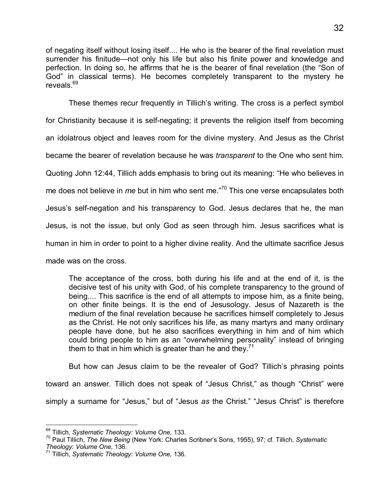of negating itself without losing itself.... He who is the bearer of the final revelation must surrender his finitude—not only his life but also his finite power and knowledge and perfection. In doing so, he affirms that he is the bearer of final revelation (the "Son of God" in classical terms). He becomes completely transparent to the mystery he reveals.<sup>[69](#page-37-0)</sup>

These themes recur frequently in Tillich's writing. The cross is a perfect symbol for Christianity because it is self-negating; it prevents the religion itself from becoming an idolatrous object and leaves room for the divine mystery. And Jesus as the Christ became the bearer of revelation because he was *transparent* to the One who sent him. Quoting John 12:44, Tillich adds emphasis to bring out its meaning: "He who believes in me does not believe in *me* but in him who sent me."<sup>70</sup>This one verse encapsulates both Jesus's self-negation and his transparency to God. Jesus declares that he, the man Jesus, is not the issue, but only God as seen through him. Jesus sacrifices what is human in him in order to point to a higher divine reality. And the ultimate sacrifice Jesus made was on the cross.

The acceptance of the cross, both during his life and at the end of it, is the decisive test of his unity with God, of his complete transparency to the ground of being.... This sacrifice is the end of all attempts to impose him, as a finite being, on other finite beings. It is the end of Jesusology. Jesus of Nazareth is the medium of the final revelation because he sacrifices himself completely to Jesus as the Christ. He not only sacrifices his life, as many martyrs and many ordinary people have done, but he also sacrifices everything in him and of him which could bring people to him as an "overwhelming personality" instead of bringing them to that in him which is greater than he and they.<sup>[71](#page-37-2)</sup>

But how can Jesus claim to be the revealer of God? Tillich's phrasing points toward an answer. Tillich does not speak of "Jesus Christ," as though "Christ" were simply a surname for "Jesus," but of "Jesus *as* the Christ." "Jesus Christ" is therefore

 $\overline{a}$ <sup>69</sup> Tillich, *Systematic Theology: Volume One,* 133.

<span id="page-37-1"></span><span id="page-37-0"></span><sup>70</sup> Paul Tillich, *The New Being* (New York: Charles Scribner's Sons, 1955), 97; cf. Tillich, *Systematic Theology: Volume One,* 136.

<span id="page-37-2"></span><sup>71</sup> Tillich, *Systematic Theology: Volume One,* 136.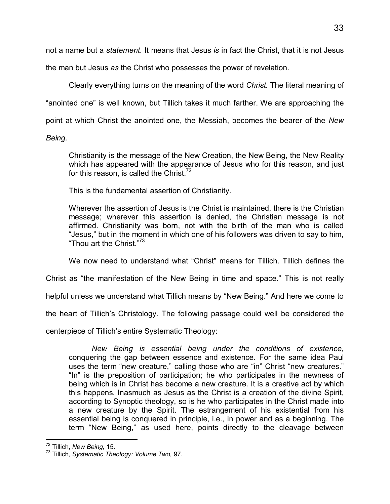not a name but a *statement.* It means that Jesus *is* in fact the Christ, that it is not Jesus

the man but Jesus *as* the Christ who possesses the power of revelation.

Clearly everything turns on the meaning of the word *Christ.* The literal meaning of

"anointed one" is well known, but Tillich takes it much farther. We are approaching the

point at which Christ the anointed one, the Messiah, becomes the bearer of the *New* 

*Being.* 

Christianity is the message of the New Creation, the New Being, the New Reality which has appeared with the appearance of Jesus who for this reason, and just for this reason, is called the Christ.<sup>[72](#page-38-0)</sup>

This is the fundamental assertion of Christianity.

Wherever the assertion of Jesus is the Christ is maintained, there is the Christian message; wherever this assertion is denied, the Christian message is not affirmed. Christianity was born, not with the birth of the man who is called "Jesus," but in the moment in which one of his followers was driven to say to him, "Thou art the Christ."<sup>[73](#page-38-1)</sup>

We now need to understand what "Christ" means for Tillich. Tillich defines the

Christ as "the manifestation of the New Being in time and space." This is not really

helpful unless we understand what Tillich means by "New Being." And here we come to

the heart of Tillich's Christology. The following passage could well be considered the

centerpiece of Tillich's entire Systematic Theology:

*New Being is essential being under the conditions of existence*, conquering the gap between essence and existence. For the same idea Paul uses the term "new creature," calling those who are "in" Christ "new creatures." "In" is the preposition of participation; he who participates in the newness of being which is in Christ has become a new creature. It is a creative act by which this happens. Inasmuch as Jesus as the Christ is a creation of the divine Spirit, according to Synoptic theology, so is he who participates in the Christ made into a new creature by the Spirit. The estrangement of his existential from his essential being is conquered in principle, i.e., in power and as a beginning. The term "New Being," as used here, points directly to the cleavage between

 $\overline{a}$ <sup>72</sup> Tillich, *New Being,* 15.

<span id="page-38-1"></span><span id="page-38-0"></span><sup>73</sup> Tillich, *Systematic Theology: Volume Two,* 97.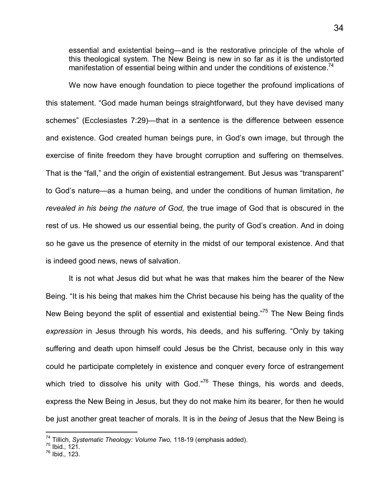essential and existential being—and is the restorative principle of the whole of this theological system. The New Being is new in so far as it is the undistorted manifestation of essential being within and under the conditions of existence.<sup>[74](#page-39-0)</sup>

We now have enough foundation to piece together the profound implications of this statement. "God made human beings straightforward, but they have devised many schemes" (Ecclesiastes 7:29)—that in a sentence is the difference between essence and existence. God created human beings pure, in God's own image, but through the exercise of finite freedom they have brought corruption and suffering on themselves. That is the "fall," and the origin of existential estrangement. But Jesus was "transparent" to God's nature—as a human being, and under the conditions of human limitation, *he revealed in his being the nature of God,* the true image of God that is obscured in the rest of us. He showed us our essential being, the purity of God's creation. And in doing so he gave us the presence of eternity in the midst of our temporal existence. And that is indeed good news, news of salvation.

It is not what Jesus did but what he was that makes him the bearer of the New Being. "It is his being that makes him the Christ because his being has the quality of the New Being beyond the split of essential and existential being.<sup>[75](#page-39-1)</sup> The New Being finds *expression* in Jesus through his words, his deeds, and his suffering. "Only by taking suffering and death upon himself could Jesus be the Christ, because only in this way could he participate completely in existence and conquer every force of estrangement whichtried to dissolve his unity with God. $176$  These things, his words and deeds, express the New Being in Jesus, but they do not make him its bearer, for then he would be just another great teacher of morals. It is in the *being* of Jesus that the New Being is

<span id="page-39-0"></span><sup>74</sup> Tillich, *Systematic Theology: Volume Two,* 118-19 (emphasis added).

<span id="page-39-1"></span><sup>75</sup> Ibid.*,* 121.

<span id="page-39-2"></span><sup>76</sup> Ibid.*,* 123.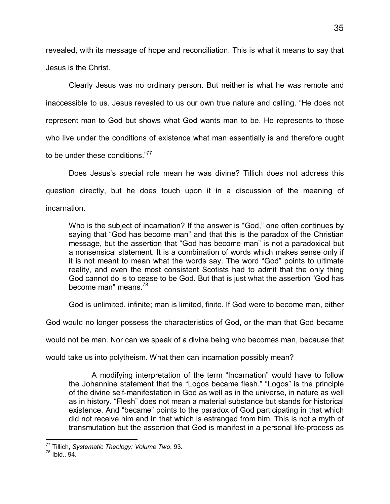revealed, with its message of hope and reconciliation. This is what it means to say that Jesus is the Christ.

Clearly Jesus was no ordinary person. But neither is what he was remote and inaccessible to us. Jesus revealed to us our own true nature and calling. "He does not represent man to God but shows what God wants man to be. He represents to those who live under the conditions of existence what man essentially is and therefore ought to be under these conditions.["](#page-40-0)<sup>77</sup>

Does Jesus's special role mean he was divine? Tillich does not address this question directly, but he does touch upon it in a discussion of the meaning of incarnation.

Who is the subject of incarnation? If the answer is "God," one often continues by saying that "God has become man" and that this is the paradox of the Christian message, but the assertion that "God has become man" is not a paradoxical but a nonsensical statement. It is a combination of words which makes sense only if it is not meant to mean what the words say. The word "God" points to ultimate reality, and even the most consistent Scotists had to admit that the only thing God cannot do is to cease to be God. But that is just what the assertion "God has become man" means.<sup>[78](#page-40-1)</sup>

God is unlimited, infinite; man is limited, finite. If God were to become man, either

God would no longer possess the characteristics of God, or the man that God became

would not be man. Nor can we speak of a divine being who becomes man, because that

would take us into polytheism. What then can incarnation possibly mean?

A modifying interpretation of the term "Incarnation" would have to follow the Johannine statement that the "Logos became flesh." "Logos" is the principle of the divine self-manifestation in God as well as in the universe, in nature as well as in history. "Flesh" does not mean a material substance but stands for historical existence. And "became" points to the paradox of God participating in that which did not receive him and in that which is estranged from him. This is not a myth of transmutation but the assertion that God is manifest in a personal life-process as

 $\overline{a}$ <sup>77</sup> Tillich, *Systematic Theology: Volume Two*, 93.

<span id="page-40-1"></span><span id="page-40-0"></span> $78$  Ibid., 94.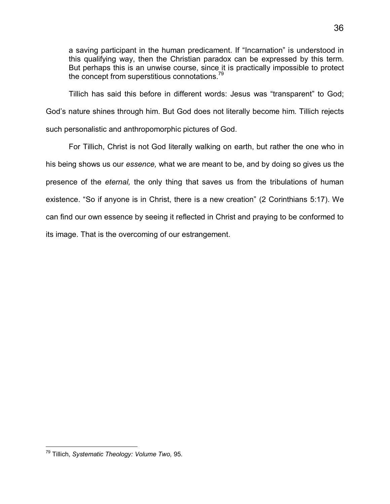a saving participant in the human predicament. If "Incarnation" is understood in this qualifying way, then the Christian paradox can be expressed by this term. But perhaps this is an unwise course, since it is practically impossible to protect the concept from superstitious connotations.<sup>[79](#page-41-0)</sup>

Tillich has said this before in different words: Jesus was "transparent" to God; God's nature shines through him. But God does not literally become him. Tillich rejects such personalistic and anthropomorphic pictures of God.

For Tillich, Christ is not God literally walking on earth, but rather the one who in his being shows us our *essence,* what we are meant to be, and by doing so gives us the presence of the *eternal,* the only thing that saves us from the tribulations of human existence. "So if anyone is in Christ, there is a new creation" (2 Corinthians 5:17). We can find our own essence by seeing it reflected in Christ and praying to be conformed to its image. That is the overcoming of our estrangement.

<span id="page-41-0"></span>-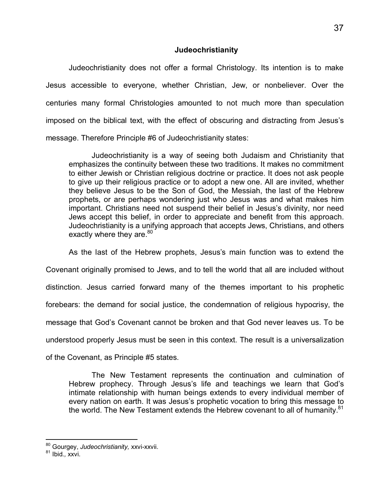#### **Judeochristianity**

Judeochristianity does not offer a formal Christology. Its intention is to make Jesus accessible to everyone, whether Christian, Jew, or nonbeliever. Over the centuries many formal Christologies amounted to not much more than speculation imposed on the biblical text, with the effect of obscuring and distracting from Jesus's message. Therefore Principle #6 of Judeochristianity states:

Judeochristianity is a way of seeing both Judaism and Christianity that emphasizes the continuity between these two traditions. It makes no commitment to either Jewish or Christian religious doctrine or practice. It does not ask people to give up their religious practice or to adopt a new one. All are invited, whether they believe Jesus to be the Son of God, the Messiah, the last of the Hebrew prophets, or are perhaps wondering just who Jesus was and what makes him important. Christians need not suspend their belief in Jesus's divinity, nor need Jews accept this belief, in order to appreciate and benefit from this approach. Judeochristianity is a unifying approach that accepts Jews, Christians, and others exactly where they are. $80^\circ$  $80^\circ$ 

As the last of the Hebrew prophets, Jesus's main function was to extend the Covenant originally promised to Jews, and to tell the world that all are included without distinction. Jesus carried forward many of the themes important to his prophetic forebears: the demand for social justice, the condemnation of religious hypocrisy, the message that God's Covenant cannot be broken and that God never leaves us. To be understood properly Jesus must be seen in this context. The result is a universalization of the Covenant, as Principle #5 states.

The New Testament represents the continuation and culmination of Hebrew prophecy. Through Jesus's life and teachings we learn that God's intimate relationship with human beings extends to every individual member of every nation on earth. It was Jesus's prophetic vocation to bring this message to

the world. The New Testament extends the Hebrew covenant to all of humanity.<sup>[81](#page-42-1)</sup>

 $\overline{a}$ <sup>80</sup> Gourgey, *Judeochristianity,* xxvi-xxvii.

<span id="page-42-1"></span><span id="page-42-0"></span><sup>81</sup> Ibid.*,* xxvi.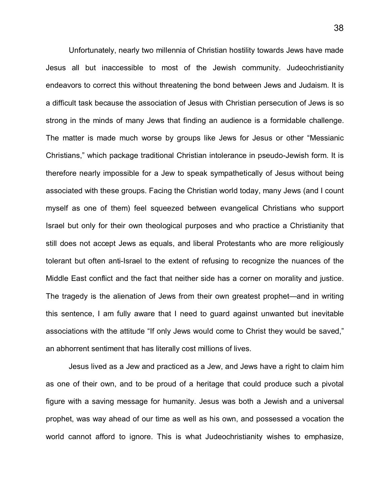Unfortunately, nearly two millennia of Christian hostility towards Jews have made Jesus all but inaccessible to most of the Jewish community. Judeochristianity endeavors to correct this without threatening the bond between Jews and Judaism. It is a difficult task because the association of Jesus with Christian persecution of Jews is so strong in the minds of many Jews that finding an audience is a formidable challenge. The matter is made much worse by groups like Jews for Jesus or other "Messianic Christians," which package traditional Christian intolerance in pseudo-Jewish form. It is therefore nearly impossible for a Jew to speak sympathetically of Jesus without being associated with these groups. Facing the Christian world today, many Jews (and I count myself as one of them) feel squeezed between evangelical Christians who support Israel but only for their own theological purposes and who practice a Christianity that still does not accept Jews as equals, and liberal Protestants who are more religiously tolerant but often anti-Israel to the extent of refusing to recognize the nuances of the Middle East conflict and the fact that neither side has a corner on morality and justice. The tragedy is the alienation of Jews from their own greatest prophet—and in writing this sentence, I am fully aware that I need to guard against unwanted but inevitable associations with the attitude "If only Jews would come to Christ they would be saved," an abhorrent sentiment that has literally cost millions of lives.

Jesus lived as a Jew and practiced as a Jew, and Jews have a right to claim him as one of their own, and to be proud of a heritage that could produce such a pivotal figure with a saving message for humanity. Jesus was both a Jewish and a universal prophet, was way ahead of our time as well as his own, and possessed a vocation the world cannot afford to ignore. This is what Judeochristianity wishes to emphasize,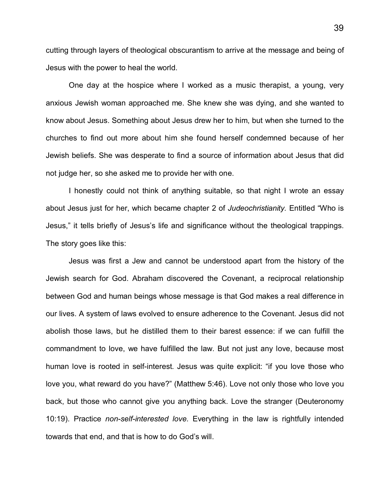cutting through layers of theological obscurantism to arrive at the message and being of Jesus with the power to heal the world.

One day at the hospice where I worked as a music therapist, a young, very anxious Jewish woman approached me. She knew she was dying, and she wanted to know about Jesus. Something about Jesus drew her to him, but when she turned to the churches to find out more about him she found herself condemned because of her Jewish beliefs. She was desperate to find a source of information about Jesus that did not judge her, so she asked me to provide her with one.

I honestly could not think of anything suitable, so that night I wrote an essay about Jesus just for her, which became chapter 2 of *Judeochristianity.* Entitled "Who is Jesus," it tells briefly of Jesus's life and significance without the theological trappings. The story goes like this:

Jesus was first a Jew and cannot be understood apart from the history of the Jewish search for God. Abraham discovered the Covenant, a reciprocal relationship between God and human beings whose message is that God makes a real difference in our lives. A system of laws evolved to ensure adherence to the Covenant. Jesus did not abolish those laws, but he distilled them to their barest essence: if we can fulfill the commandment to love, we have fulfilled the law. But not just any love, because most human love is rooted in self-interest. Jesus was quite explicit: "if you love those who love you, what reward do you have?" (Matthew 5:46). Love not only those who love you back, but those who cannot give you anything back. Love the stranger (Deuteronomy 10:19). Practice *non-self-interested love.* Everything in the law is rightfully intended towards that end, and that is how to do God's will.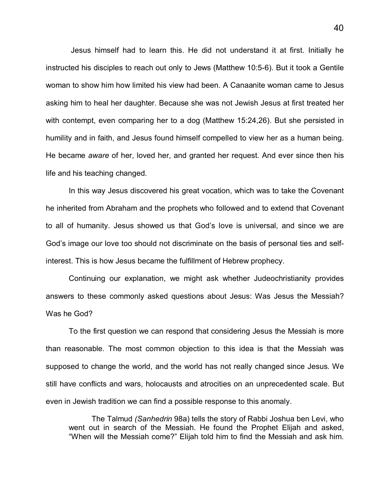Jesus himself had to learn this. He did not understand it at first. Initially he instructed his disciples to reach out only to Jews (Matthew 10:5-6). But it took a Gentile woman to show him how limited his view had been. A Canaanite woman came to Jesus asking him to heal her daughter. Because she was not Jewish Jesus at first treated her with contempt, even comparing her to a dog (Matthew 15:24,26). But she persisted in humility and in faith, and Jesus found himself compelled to view her as a human being. He became *aware* of her, loved her, and granted her request. And ever since then his life and his teaching changed.

In this way Jesus discovered his great vocation, which was to take the Covenant he inherited from Abraham and the prophets who followed and to extend that Covenant to all of humanity. Jesus showed us that God's love is universal, and since we are God's image our love too should not discriminate on the basis of personal ties and selfinterest. This is how Jesus became the fulfillment of Hebrew prophecy.

Continuing our explanation, we might ask whether Judeochristianity provides answers to these commonly asked questions about Jesus: Was Jesus the Messiah? Was he God?

To the first question we can respond that considering Jesus the Messiah is more than reasonable. The most common objection to this idea is that the Messiah was supposed to change the world, and the world has not really changed since Jesus. We still have conflicts and wars, holocausts and atrocities on an unprecedented scale. But even in Jewish tradition we can find a possible response to this anomaly.

The Talmud *(Sanhedrin* 98a) tells the story of Rabbi Joshua ben Levi, who went out in search of the Messiah. He found the Prophet Elijah and asked, "When will the Messiah come?" Elijah told him to find the Messiah and ask him.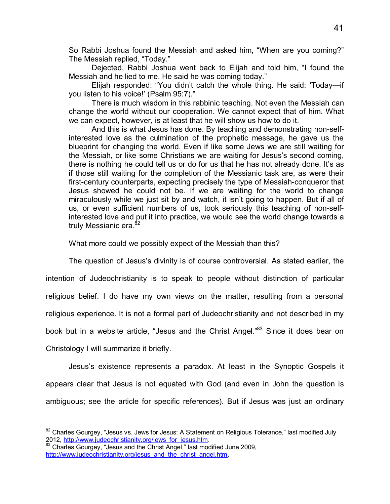So Rabbi Joshua found the Messiah and asked him, "When are you coming?" The Messiah replied, "Today."

Dejected, Rabbi Joshua went back to Elijah and told him, "I found the Messiah and he lied to me. He said he was coming today."

Elijah responded: "You didn't catch the whole thing. He said: 'Today—if you listen to his voice!' (Psalm 95:7)."

There is much wisdom in this rabbinic teaching. Not even the Messiah can change the world without our cooperation. We cannot expect that of him. What we can expect, however, is at least that he will show us how to do it.

And this is what Jesus has done. By teaching and demonstrating non-selfinterested love as the culmination of the prophetic message, he gave us the blueprint for changing the world. Even if like some Jews we are still waiting for the Messiah, or like some Christians we are waiting for Jesus's second coming, there is nothing he could tell us or do for us that he has not already done. It's as if those still waiting for the completion of the Messianic task are, as were their first-century counterparts, expecting precisely the type of Messiah-conqueror that Jesus showed he could not be. If we are waiting for the world to change miraculously while we just sit by and watch, it isn't going to happen. But if all of us, or even sufficient numbers of us, took seriously this teaching of non-selfinterested love and put it into practice, we would see the world change towards a truly Messianic era.<sup>[82](#page-46-0)</sup>

What more could we possibly expect of the Messiah than this?

The question of Jesus's divinity is of course controversial. As stated earlier, the

intention of Judeochristianity is to speak to people without distinction of particular religious belief. I do have my own views on the matter, resulting from a personal religious experience. It is not a formal part of Judeochristianity and not described in my book but in a website article, "Jesus and the Christ Angel."<sup>[83](#page-46-1)</sup> Since it does bear on Christology I will summarize it briefly.

Jesus's existence represents a paradox. At least in the Synoptic Gospels it appears clear that Jesus is not equated with God (and even in John the question is ambiguous; see the article for specific references). But if Jesus was just an ordinary

l

<span id="page-46-0"></span> $82$  Charles Gourgey, "Jesus vs. Jews for Jesus: A Statement on Religious Tolerance," last modified July 2012, http://www.judeochristianity.org/jews\_for\_jesus.htm.

<span id="page-46-1"></span><sup>&</sup>lt;sup>83</sup> Charles Gourgey, "Jesus and the Christ Angel," last modified June 2009, http://www.judeochristianity.org/jesus\_and\_the\_christ\_angel.htm.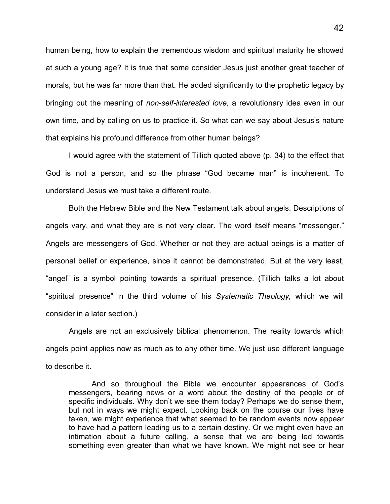human being, how to explain the tremendous wisdom and spiritual maturity he showed at such a young age? It is true that some consider Jesus just another great teacher of morals, but he was far more than that. He added significantly to the prophetic legacy by bringing out the meaning of *non-self-interested love,* a revolutionary idea even in our own time, and by calling on us to practice it. So what can we say about Jesus's nature that explains his profound difference from other human beings?

I would agree with the statement of Tillich quoted above (p. 34) to the effect that God is not a person, and so the phrase "God became man" is incoherent. To understand Jesus we must take a different route.

Both the Hebrew Bible and the New Testament talk about angels. Descriptions of angels vary, and what they are is not very clear. The word itself means "messenger." Angels are messengers of God. Whether or not they are actual beings is a matter of personal belief or experience, since it cannot be demonstrated, But at the very least, "angel" is a symbol pointing towards a spiritual presence. (Tillich talks a lot about "spiritual presence" in the third volume of his *Systematic Theology,* which we will consider in a later section.)

Angels are not an exclusively biblical phenomenon. The reality towards which angels point applies now as much as to any other time. We just use different language to describe it.

And so throughout the Bible we encounter appearances of God's messengers, bearing news or a word about the destiny of the people or of specific individuals. Why don't we see them today? Perhaps we do sense them, but not in ways we might expect. Looking back on the course our lives have taken, we might experience that what seemed to be random events now appear to have had a pattern leading us to a certain destiny. Or we might even have an intimation about a future calling, a sense that we are being led towards something even greater than what we have known. We might not see or hear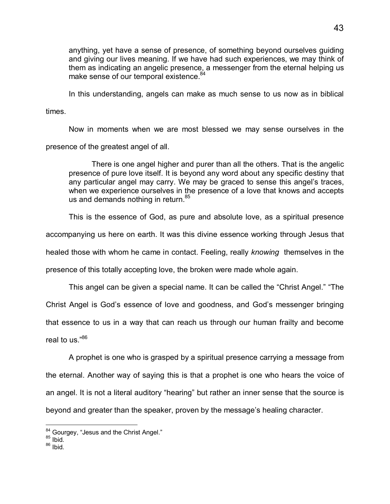anything, yet have a sense of presence, of something beyond ourselves guiding and giving our lives meaning. If we have had such experiences, we may think of them as indicating an angelic presence, a messenger from the eternal helping us make sense of our temporal existence.<sup>[84](#page-48-0)</sup>

In this understanding, angels can make as much sense to us now as in biblical

times.

Now in moments when we are most blessed we may sense ourselves in the presence of the greatest angel of all.

There is one angel higher and purer than all the others. That is the angelic presence of pure love itself. It is beyond any word about any specific destiny that any particular angel may carry. We may be graced to sense this angel's traces, when we experience ourselves in the presence of a love that knows and accepts us and demands nothing in return.<sup>[85](#page-48-1)</sup>

This is the essence of God, as pure and absolute love, as a spiritual presence

accompanying us here on earth. It was this divine essence working through Jesus that

healed those with whom he came in contact. Feeling, really *knowing* themselves in the

presence of this totally accepting love, the broken were made whole again.

This angel can be given a special name. It can be called the "Christ Angel." "The Christ Angel is God's essence of love and goodness, and God's messenger bringing that essence to us in a way that can reach us through our human frailty and become real to us."[86](#page-48-2)

A prophet is one who is grasped by a spiritual presence carrying a message from the eternal. Another way of saying this is that a prophet is one who hears the voice of an angel. It is not a literal auditory "hearing" but rather an inner sense that the source is beyond and greater than the speaker, proven by the message's healing character.

<sup>-</sup><sup>84</sup> Gourgey, "Jesus and the Christ Angel."

<span id="page-48-1"></span><span id="page-48-0"></span> $85$  Ibid.

<span id="page-48-2"></span> $86$  Ibid.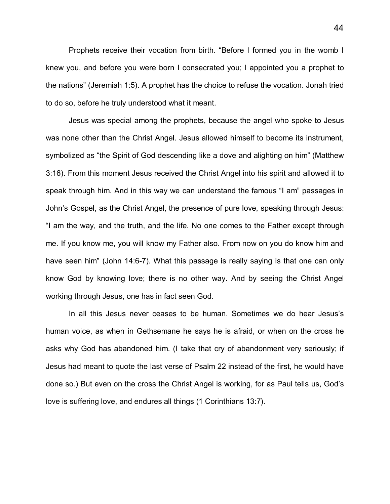Prophets receive their vocation from birth. "Before I formed you in the womb I knew you, and before you were born I consecrated you; I appointed you a prophet to the nations" (Jeremiah 1:5). A prophet has the choice to refuse the vocation. Jonah tried to do so, before he truly understood what it meant.

Jesus was special among the prophets, because the angel who spoke to Jesus was none other than the Christ Angel. Jesus allowed himself to become its instrument, symbolized as "the Spirit of God descending like a dove and alighting on him" (Matthew 3:16). From this moment Jesus received the Christ Angel into his spirit and allowed it to speak through him. And in this way we can understand the famous "I am" passages in John's Gospel, as the Christ Angel, the presence of pure love, speaking through Jesus: "I am the way, and the truth, and the life. No one comes to the Father except through me. If you know me, you will know my Father also. From now on you do know him and have seen him" (John 14:6-7). What this passage is really saying is that one can only know God by knowing love; there is no other way. And by seeing the Christ Angel working through Jesus, one has in fact seen God.

In all this Jesus never ceases to be human. Sometimes we do hear Jesus's human voice, as when in Gethsemane he says he is afraid, or when on the cross he asks why God has abandoned him. (I take that cry of abandonment very seriously; if Jesus had meant to quote the last verse of Psalm 22 instead of the first, he would have done so.) But even on the cross the Christ Angel is working, for as Paul tells us, God's love is suffering love, and endures all things (1 Corinthians 13:7).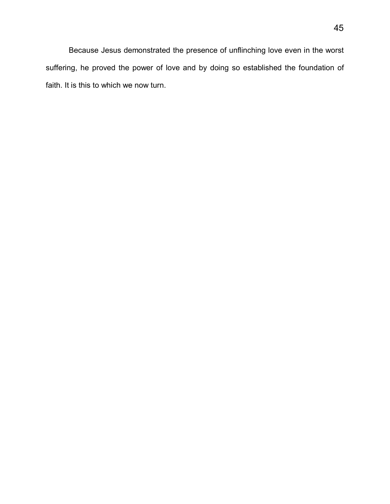Because Jesus demonstrated the presence of unflinching love even in the worst suffering, he proved the power of love and by doing so established the foundation of faith. It is this to which we now turn.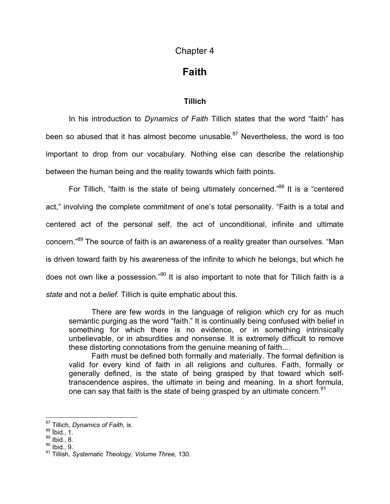### Chapter 4

## **Faith**

#### **Tillich**

In his introduction to *Dynamics of Faith* Tillich states that the word "faith" has beenso abused that it has almost become unusable. $87$  Nevertheless, the word is too important to drop from our vocabulary. Nothing else can describe the relationship between the human being and the reality towards which faith points.

For Tillich, "faith is the state of being ultimately concerned."<sup>[88](#page-51-1)</sup> It is a "centered" act," involving the complete commitment of one's total personality. "Faith is a total and centered act of the personal self, the act of unconditional, infinite and ultimate concern."[89](#page-51-2) The source of faith is an awareness of a reality greater than ourselves. "Man is driven toward faith by his awareness of the infinite to which he belongs, but which he does not own like a possession.["](#page-51-3)<sup>90</sup> It is also important to note that for Tillich faith is a *state* and not a *belief.* Tillich is quite emphatic about this.

There are few words in the language of religion which cry for as much semantic purging as the word "faith." It is continually being confused with belief in something for which there is no evidence, or in something intrinsically unbelievable, or in absurdities and nonsense. It is extremely difficult to remove these distorting connotations from the genuine meaning of faith....

Faith must be defined both formally and materially. The formal definition is valid for every kind of faith in all religions and cultures. Faith, formally or generally defined, is the state of being grasped by that toward which selftranscendence aspires, the ultimate in being and meaning. In a short formula, one can say that faith is the state of being grasped by an ultimate concern.  $91$ 

<span id="page-51-0"></span><sup>87</sup> Tillich, *Dynamics of Faith,* ix.

<span id="page-51-1"></span> $88$  ibid., 1.

<span id="page-51-2"></span> $89$  Ibid., 8.

<span id="page-51-3"></span> $90$  Ibid., 9.

<sup>91</sup> Tillish, *Systematic Theology, Volume Three,* 130.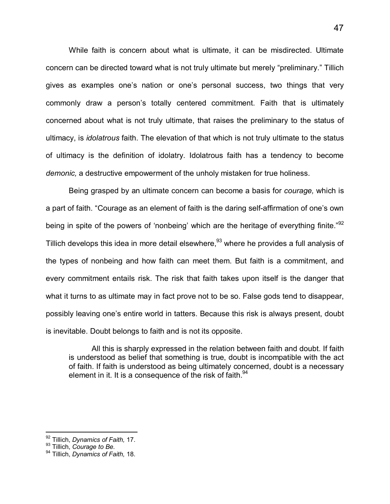While faith is concern about what is ultimate, it can be misdirected. Ultimate concern can be directed toward what is not truly ultimate but merely "preliminary." Tillich gives as examples one's nation or one's personal success, two things that very commonly draw a person's totally centered commitment. Faith that is ultimately concerned about what is not truly ultimate, that raises the preliminary to the status of ultimacy, is *idolatrous* faith. The elevation of that which is not truly ultimate to the status of ultimacy is the definition of idolatry. Idolatrous faith has a tendency to become *demonic,* a destructive empowerment of the unholy mistaken for true holiness.

Being grasped by an ultimate concern can become a basis for *courage,* which is a part of faith. "Courage as an element of faith is the daring self-affirmation of one's own being in spite of the powers of 'nonbeing' which are the heritage of everything finite."<sup>[92](#page-52-0)</sup> Tillich develops this idea in more detail elsewhere,<sup>[93](#page-52-1)</sup> where he provides a full analysis of the types of nonbeing and how faith can meet them. But faith is a commitment, and every commitment entails risk. The risk that faith takes upon itself is the danger that what it turns to as ultimate may in fact prove not to be so. False gods tend to disappear, possibly leaving one's entire world in tatters. Because this risk is always present, doubt is inevitable. Doubt belongs to faith and is not its opposite.

All this is sharply expressed in the relation between faith and doubt. If faith is understood as belief that something is true, doubt is incompatible with the act of faith. If faith is understood as being ultimately concerned, doubt is a necessary element in it. It is a consequence of the risk of faith.<sup>[94](#page-52-2)</sup>

<span id="page-52-0"></span><sup>92</sup> Tillich, *Dynamics of Faith,* 17.

<span id="page-52-1"></span><sup>93</sup> Tillich, *Courage to Be*.

<span id="page-52-2"></span><sup>94</sup> Tillich, *Dynamics of Faith,* 18.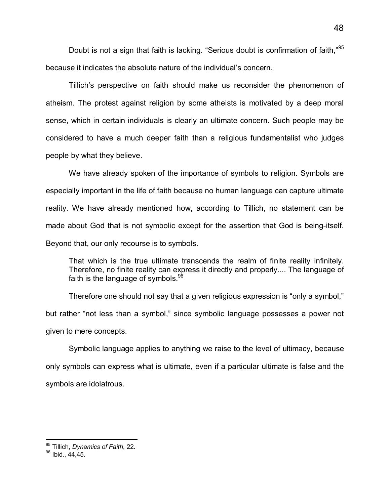Doubt is not a sign that faith is lacking. "Serious doubt is confirmation of faith,"[95](#page-53-0) because it indicates the absolute nature of the individual's concern.

Tillich's perspective on faith should make us reconsider the phenomenon of atheism. The protest against religion by some atheists is motivated by a deep moral sense, which in certain individuals is clearly an ultimate concern. Such people may be considered to have a much deeper faith than a religious fundamentalist who judges people by what they believe.

We have already spoken of the importance of symbols to religion. Symbols are especially important in the life of faith because no human language can capture ultimate reality. We have already mentioned how, according to Tillich, no statement can be made about God that is not symbolic except for the assertion that God is being-itself. Beyond that, our only recourse is to symbols.

That which is the true ultimate transcends the realm of finite reality infinitely. Therefore, no finite reality can express it directly and properly.... The language of faith is the language of symbols. $96$ 

Therefore one should not say that a given religious expression is "only a symbol," but rather "not less than a symbol," since symbolic language possesses a power not given to mere concepts.

Symbolic language applies to anything we raise to the level of ultimacy, because only symbols can express what is ultimate, even if a particular ultimate is false and the symbols are idolatrous.

<span id="page-53-0"></span><sup>95</sup> Tillich, *Dynamics of Faith*, 22.

<span id="page-53-1"></span> $96$  Ibid., 44,45.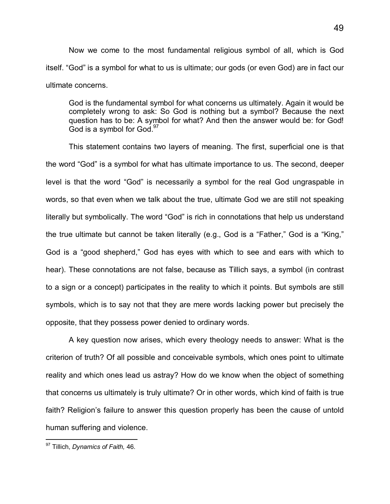Now we come to the most fundamental religious symbol of all, which is God itself. "God" is a symbol for what to us is ultimate; our gods (or even God) are in fact our ultimate concerns.

God is the fundamental symbol for what concerns us ultimately. Again it would be completely wrong to ask: So God is nothing but a symbol? Because the next question has to be: A symbol for what? And then the answer would be: for God! God is a symbol for  $God.<sup>97</sup>$  $God.<sup>97</sup>$  $God.<sup>97</sup>$ 

This statement contains two layers of meaning. The first, superficial one is that the word "God" is a symbol for what has ultimate importance to us. The second, deeper level is that the word "God" is necessarily a symbol for the real God ungraspable in words, so that even when we talk about the true, ultimate God we are still not speaking literally but symbolically. The word "God" is rich in connotations that help us understand the true ultimate but cannot be taken literally (e.g., God is a "Father," God is a "King," God is a "good shepherd," God has eyes with which to see and ears with which to hear). These connotations are not false, because as Tillich says, a symbol (in contrast to a sign or a concept) participates in the reality to which it points. But symbols are still symbols, which is to say not that they are mere words lacking power but precisely the opposite, that they possess power denied to ordinary words.

A key question now arises, which every theology needs to answer: What is the criterion of truth? Of all possible and conceivable symbols, which ones point to ultimate reality and which ones lead us astray? How do we know when the object of something that concerns us ultimately is truly ultimate? Or in other words, which kind of faith is true faith? Religion's failure to answer this question properly has been the cause of untold human suffering and violence.

<span id="page-54-0"></span> $\overline{a}$ <sup>97</sup> Tillich, *Dynamics of Faith,* 46.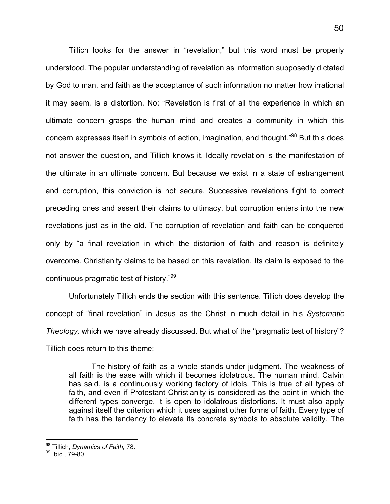Tillich looks for the answer in "revelation," but this word must be properly understood. The popular understanding of revelation as information supposedly dictated by God to man, and faith as the acceptance of such information no matter how irrational it may seem, is a distortion. No: "Revelation is first of all the experience in which an ultimate concern grasps the human mind and creates a community in which this concern expresses itself in symbols of action, imagination, and thought."[98](#page-55-0) But this does not answer the question, and Tillich knows it. Ideally revelation is the manifestation of the ultimate in an ultimate concern. But because we exist in a state of estrangement and corruption, this conviction is not secure. Successive revelations fight to correct preceding ones and assert their claims to ultimacy, but corruption enters into the new revelations just as in the old. The corruption of revelation and faith can be conquered only by "a final revelation in which the distortion of faith and reason is definitely overcome. Christianity claims to be based on this revelation. Its claim is exposed to the continuouspragmatic test of history."<sup>99</sup>

Unfortunately Tillich ends the section with this sentence. Tillich does develop the concept of "final revelation" in Jesus as the Christ in much detail in his *Systematic Theology,* which we have already discussed. But what of the "pragmatic test of history"? Tillich does return to this theme:

The history of faith as a whole stands under judgment. The weakness of all faith is the ease with which it becomes idolatrous. The human mind, Calvin has said, is a continuously working factory of idols. This is true of all types of faith, and even if Protestant Christianity is considered as the point in which the different types converge, it is open to idolatrous distortions. It must also apply against itself the criterion which it uses against other forms of faith. Every type of faith has the tendency to elevate its concrete symbols to absolute validity. The

<span id="page-55-0"></span><sup>98</sup> Tillich, *Dynamics of Faith,* 78.

<span id="page-55-1"></span><sup>99</sup> Ibid.*,* 79-80.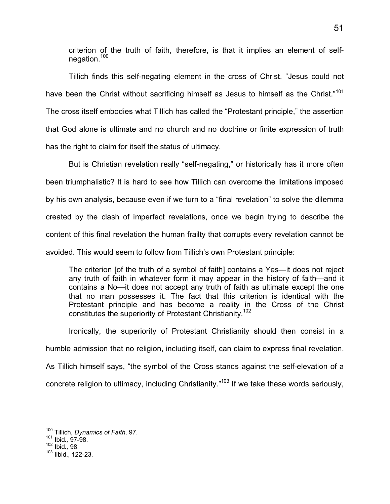criterion of the truth of faith, therefore, is that it implies an element of self-negation.<sup>[10](#page-56-0)0</sup>

Tillich finds this self-negating element in the cross of Christ. "Jesus could not have been the Christ without sacrificing himself as Jesus to himself as the Christ."<sup>[101](#page-56-1)</sup> The cross itself embodies what Tillich has called the "Protestant principle," the assertion that God alone is ultimate and no church and no doctrine or finite expression of truth has the right to claim for itself the status of ultimacy.

But is Christian revelation really "self-negating," or historically has it more often been triumphalistic? It is hard to see how Tillich can overcome the limitations imposed by his own analysis, because even if we turn to a "final revelation" to solve the dilemma created by the clash of imperfect revelations, once we begin trying to describe the content of this final revelation the human frailty that corrupts every revelation cannot be avoided. This would seem to follow from Tillich's own Protestant principle:

The criterion [of the truth of a symbol of faith] contains a Yes—it does not reject any truth of faith in whatever form it may appear in the history of faith—and it contains a No—it does not accept any truth of faith as ultimate except the one that no man possesses it. The fact that this criterion is identical with the Protestant principle and has become a reality in the Cross of the Christ constitutes the superiority of Protestant Christianity.[102](#page-56-2)

Ironically, the superiority of Protestant Christianity should then consist in a humble admission that no religion, including itself, can claim to express final revelation. As Tillich himself says, "the symbol of the Cross stands against the self-elevation of a concrete religion to ultimacy, including Christianity."<sup>103</sup> If we take these words seriously,

 $\overline{1}$ <sup>100</sup> Tillich, *Dynamics of Faith*, 97.

<span id="page-56-1"></span><span id="page-56-0"></span><sup>101</sup> Ibid.*,* 97-98.

<span id="page-56-2"></span><sup>102</sup> Ibid.*,* 98.

<sup>103</sup> Iibid., 122-23.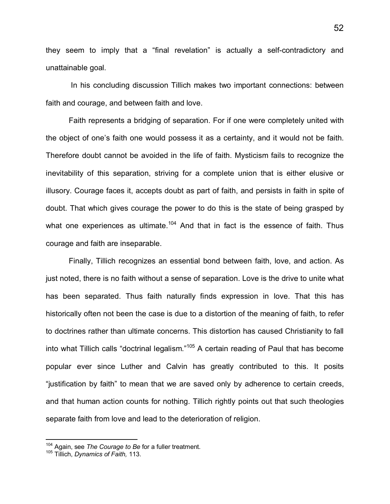they seem to imply that a "final revelation" is actually a self-contradictory and unattainable goal.

 In his concluding discussion Tillich makes two important connections: between faith and courage, and between faith and love.

Faith represents a bridging of separation. For if one were completely united with the object of one's faith one would possess it as a certainty, and it would not be faith. Therefore doubt cannot be avoided in the life of faith. Mysticism fails to recognize the inevitability of this separation, striving for a complete union that is either elusive or illusory. Courage faces it, accepts doubt as part of faith, and persists in faith in spite of doubt. That which gives courage the power to do this is the state of being grasped by what one experiences as ultimate. $104$  $104$  And that in fact is the essence of faith. Thus courage and faith are inseparable.

Finally, Tillich recognizes an essential bond between faith, love, and action. As just noted, there is no faith without a sense of separation. Love is the drive to unite what has been separated. Thus faith naturally finds expression in love. That this has historically often not been the case is due to a distortion of the meaning of faith, to refer to doctrines rather than ultimate concerns. This distortion has caused Christianity to fall into what Tillich calls "doctrinal legalism."<sup>[105](#page-57-1)</sup> A certain reading of Paul that has become popular ever since Luther and Calvin has greatly contributed to this. It posits "justification by faith" to mean that we are saved only by adherence to certain creeds, and that human action counts for nothing. Tillich rightly points out that such theologies separate faith from love and lead to the deterioration of religion.

<span id="page-57-0"></span><sup>104</sup> Again, see *The Courage to Be* for a fuller treatment.

<span id="page-57-1"></span><sup>105</sup> Tillich, *Dynamics of Faith,* 113.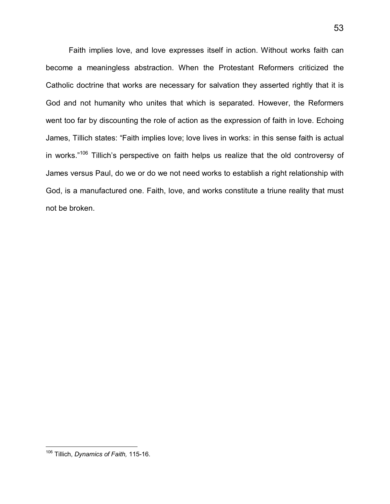Faith implies love, and love expresses itself in action. Without works faith can become a meaningless abstraction. When the Protestant Reformers criticized the Catholic doctrine that works are necessary for salvation they asserted rightly that it is God and not humanity who unites that which is separated. However, the Reformers went too far by discounting the role of action as the expression of faith in love. Echoing James, Tillich states: "Faith implies love; love lives in works: in this sense faith is actual in works."<sup>[106](#page-58-0)</sup> Tillich's perspective on faith helps us realize that the old controversy of James versus Paul, do we or do we not need works to establish a right relationship with God, is a manufactured one. Faith, love, and works constitute a triune reality that must not be broken.

<span id="page-58-0"></span>l <sup>106</sup> Tillich, *Dynamics of Faith,* 115-16.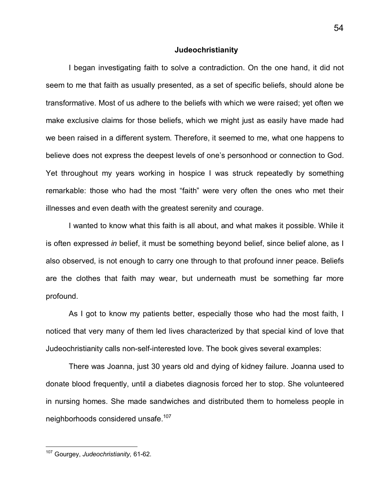#### **Judeochristianity**

I began investigating faith to solve a contradiction. On the one hand, it did not seem to me that faith as usually presented, as a set of specific beliefs, should alone be transformative. Most of us adhere to the beliefs with which we were raised; yet often we make exclusive claims for those beliefs, which we might just as easily have made had we been raised in a different system. Therefore, it seemed to me, what one happens to believe does not express the deepest levels of one's personhood or connection to God. Yet throughout my years working in hospice I was struck repeatedly by something remarkable: those who had the most "faith" were very often the ones who met their illnesses and even death with the greatest serenity and courage.

I wanted to know what this faith is all about, and what makes it possible. While it is often expressed *in* belief, it must be something beyond belief, since belief alone, as I also observed, is not enough to carry one through to that profound inner peace. Beliefs are the clothes that faith may wear, but underneath must be something far more profound.

As I got to know my patients better, especially those who had the most faith, I noticed that very many of them led lives characterized by that special kind of love that Judeochristianity calls non-self-interested love. The book gives several examples:

There was Joanna, just 30 years old and dying of kidney failure. Joanna used to donate blood frequently, until a diabetes diagnosis forced her to stop. She volunteered in nursing homes. She made sandwiches and distributed them to homeless people in neighborhoods considered unsafe.<sup>107</sup>

l

<sup>107</sup> Gourgey, *Judeochristianity,* 61-62.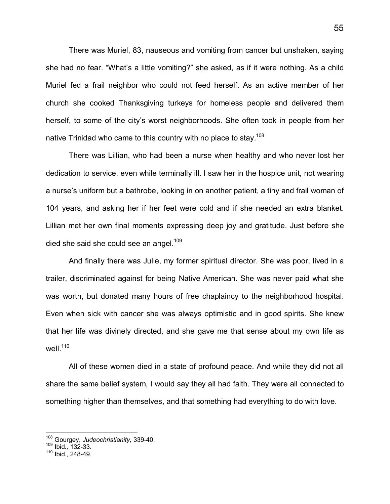There was Muriel, 83, nauseous and vomiting from cancer but unshaken, saying she had no fear. "What's a little vomiting?" she asked, as if it were nothing. As a child Muriel fed a frail neighbor who could not feed herself. As an active member of her church she cooked Thanksgiving turkeys for homeless people and delivered them herself, to some of the city's worst neighborhoods. She often took in people from her native Trinidad who came to this country with no place to stay.<sup>[108](#page-60-0)</sup>

There was Lillian, who had been a nurse when healthy and who never lost her dedication to service, even while terminally ill. I saw her in the hospice unit, not wearing a nurse's uniform but a bathrobe, looking in on another patient, a tiny and frail woman of 104 years, and asking her if her feet were cold and if she needed an extra blanket. Lillian met her own final moments expressing deep joy and gratitude. Just before she died she said she could see an angel[.](#page-60-1)<sup>109</sup>

And finally there was Julie, my former spiritual director. She was poor, lived in a trailer, discriminated against for being Native American. She was never paid what she was worth, but donated many hours of free chaplaincy to the neighborhood hospital. Even when sick with cancer she was always optimistic and in good spirits. She knew that her life was divinely directed, and she gave me that sense about my own life as well[.](#page-60-2) $110$ 

All of these women died in a state of profound peace. And while they did not all share the same belief system, I would say they all had faith. They were all connected to something higher than themselves, and that something had everything to do with love.

<span id="page-60-0"></span><sup>108</sup> Gourgey, *Judeochristianity,* 339-40.

<span id="page-60-1"></span><sup>109</sup> Ibid.*,* 132-33.

<span id="page-60-2"></span><sup>110</sup> Ibid.*,* 248-49.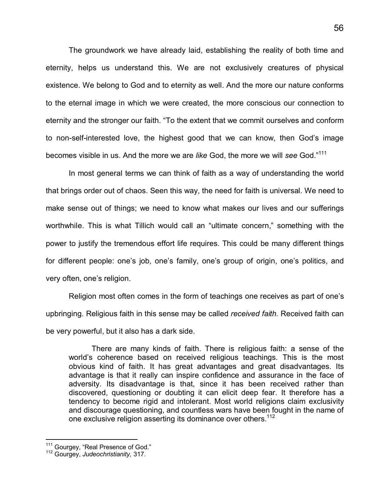The groundwork we have already laid, establishing the reality of both time and eternity, helps us understand this. We are not exclusively creatures of physical existence. We belong to God and to eternity as well. And the more our nature conforms to the eternal image in which we were created, the more conscious our connection to eternity and the stronger our faith. "To the extent that we commit ourselves and conform to non-self-interested love, the highest good that we can know, then God's image becomes visible in us. And the more we are *like* God, the more we will *see* God."[111](#page-61-0)

In most general terms we can think of faith as a way of understanding the world that brings order out of chaos. Seen this way, the need for faith is universal. We need to make sense out of things; we need to know what makes our lives and our sufferings worthwhile. This is what Tillich would call an "ultimate concern," something with the power to justify the tremendous effort life requires. This could be many different things for different people: one's job, one's family, one's group of origin, one's politics, and very often, one's religion.

Religion most often comes in the form of teachings one receives as part of one's upbringing. Religious faith in this sense may be called *received faith.* Received faith can be very powerful, but it also has a dark side.

There are many kinds of faith. There is religious faith: a sense of the world's coherence based on received religious teachings. This is the most obvious kind of faith. It has great advantages and great disadvantages. Its advantage is that it really can inspire confidence and assurance in the face of adversity. Its disadvantage is that, since it has been received rather than discovered, questioning or doubting it can elicit deep fear. It therefore has a tendency to become rigid and intolerant. Most world religions claim exclusivity and discourage questioning, and countless wars have been fought in the name of one exclusive religion asserting its dominance over others.<sup>[112](#page-61-1)</sup>

<span id="page-61-0"></span><sup>&</sup>lt;sup>111</sup> Gourgey, "Real Presence of God."

<span id="page-61-1"></span><sup>112</sup> Gourgey, *Judeochristianity,* 317.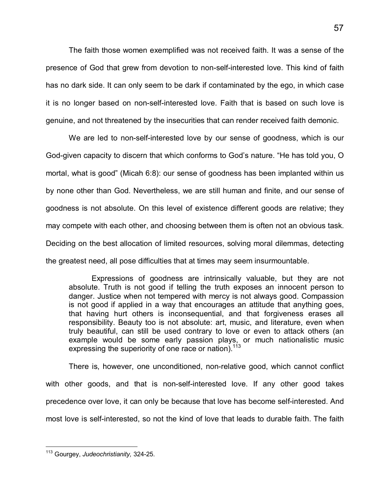The faith those women exemplified was not received faith. It was a sense of the presence of God that grew from devotion to non-self-interested love. This kind of faith has no dark side. It can only seem to be dark if contaminated by the ego, in which case it is no longer based on non-self-interested love. Faith that is based on such love is genuine, and not threatened by the insecurities that can render received faith demonic.

We are led to non-self-interested love by our sense of goodness, which is our God-given capacity to discern that which conforms to God's nature. "He has told you, O mortal, what is good" (Micah 6:8): our sense of goodness has been implanted within us by none other than God. Nevertheless, we are still human and finite, and our sense of goodness is not absolute. On this level of existence different goods are relative; they may compete with each other, and choosing between them is often not an obvious task. Deciding on the best allocation of limited resources, solving moral dilemmas, detecting the greatest need, all pose difficulties that at times may seem insurmountable.

Expressions of goodness are intrinsically valuable, but they are not absolute. Truth is not good if telling the truth exposes an innocent person to danger. Justice when not tempered with mercy is not always good. Compassion is not good if applied in a way that encourages an attitude that anything goes, that having hurt others is inconsequential, and that forgiveness erases all responsibility. Beauty too is not absolute: art, music, and literature, even when truly beautiful, can still be used contrary to love or even to attack others (an example would be some early passion plays, or much nationalistic music expressing the superiority of one race or nation).<sup>[113](#page-62-0)</sup>

There is, however, one unconditioned, non-relative good, which cannot conflict with other goods, and that is non-self-interested love. If any other good takes precedence over love, it can only be because that love has become self-interested. And most love is self-interested, so not the kind of love that leads to durable faith. The faith

<span id="page-62-0"></span><sup>-</sup><sup>113</sup> Gourgey, *Judeochristianity,* 324-25.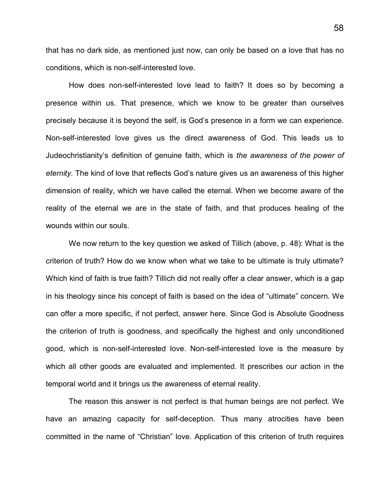that has no dark side, as mentioned just now, can only be based on a love that has no conditions, which is non-self-interested love.

How does non-self-interested love lead to faith? It does so by becoming a presence within us. That presence, which we know to be greater than ourselves precisely because it is beyond the self, is God's presence in a form we can experience. Non-self-interested love gives us the direct awareness of God. This leads us to Judeochristianity's definition of genuine faith, which is *the awareness of the power of eternity.* The kind of love that reflects God's nature gives us an awareness of this higher dimension of reality, which we have called the eternal. When we become aware of the reality of the eternal we are in the state of faith, and that produces healing of the wounds within our souls.

We now return to the key question we asked of Tillich (above, p. 48): What is the criterion of truth? How do we know when what we take to be ultimate is truly ultimate? Which kind of faith is true faith? Tillich did not really offer a clear answer, which is a gap in his theology since his concept of faith is based on the idea of "ultimate" concern. We can offer a more specific, if not perfect, answer here. Since God is Absolute Goodness the criterion of truth is goodness, and specifically the highest and only unconditioned good, which is non-self-interested love. Non-self-interested love is the measure by which all other goods are evaluated and implemented. It prescribes our action in the temporal world and it brings us the awareness of eternal reality.

The reason this answer is not perfect is that human beings are not perfect. We have an amazing capacity for self-deception. Thus many atrocities have been committed in the name of "Christian" love. Application of this criterion of truth requires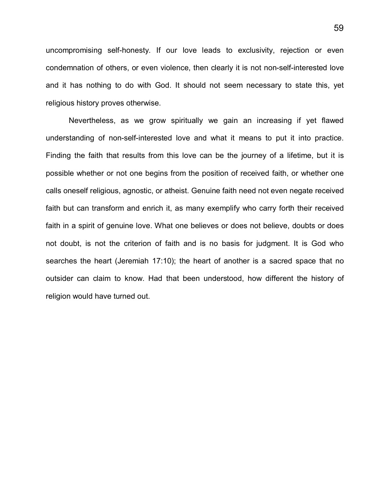uncompromising self-honesty. If our love leads to exclusivity, rejection or even condemnation of others, or even violence, then clearly it is not non-self-interested love and it has nothing to do with God. It should not seem necessary to state this, yet religious history proves otherwise.

Nevertheless, as we grow spiritually we gain an increasing if yet flawed understanding of non-self-interested love and what it means to put it into practice. Finding the faith that results from this love can be the journey of a lifetime, but it is possible whether or not one begins from the position of received faith, or whether one calls oneself religious, agnostic, or atheist. Genuine faith need not even negate received faith but can transform and enrich it, as many exemplify who carry forth their received faith in a spirit of genuine love. What one believes or does not believe, doubts or does not doubt, is not the criterion of faith and is no basis for judgment. It is God who searches the heart (Jeremiah 17:10); the heart of another is a sacred space that no outsider can claim to know. Had that been understood, how different the history of religion would have turned out.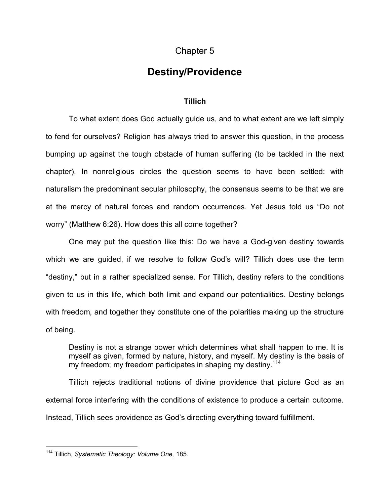### Chapter 5

## **Destiny/Providence**

#### **Tillich**

To what extent does God actually guide us, and to what extent are we left simply to fend for ourselves? Religion has always tried to answer this question, in the process bumping up against the tough obstacle of human suffering (to be tackled in the next chapter). In nonreligious circles the question seems to have been settled: with naturalism the predominant secular philosophy, the consensus seems to be that we are at the mercy of natural forces and random occurrences. Yet Jesus told us "Do not worry" (Matthew 6:26). How does this all come together?

One may put the question like this: Do we have a God-given destiny towards which we are guided, if we resolve to follow God's will? Tillich does use the term "destiny," but in a rather specialized sense. For Tillich, destiny refers to the conditions given to us in this life, which both limit and expand our potentialities. Destiny belongs with freedom, and together they constitute one of the polarities making up the structure of being.

Destiny is not a strange power which determines what shall happen to me. It is myself as given, formed by nature, history, and myself. My destiny is the basis of my freedom; my freedom participates in shaping my destiny.<sup>[114](#page-65-0)</sup>

Tillich rejects traditional notions of divine providence that picture God as an external force interfering with the conditions of existence to produce a certain outcome. Instead, Tillich sees providence as God's directing everything toward fulfillment.

<span id="page-65-0"></span><sup>-</sup><sup>114</sup> Tillich, *Systematic Theology: Volume One,* 185.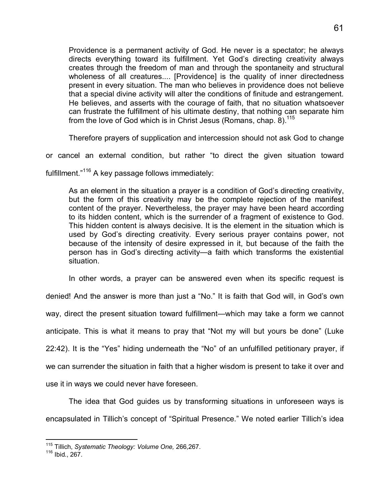Providence is a permanent activity of God. He never is a spectator; he always directs everything toward its fulfillment. Yet God's directing creativity always creates through the freedom of man and through the spontaneity and structural wholeness of all creatures.... [Providence] is the quality of inner directedness present in every situation. The man who believes in providence does not believe that a special divine activity will alter the conditions of finitude and estrangement. He believes, and asserts with the courage of faith, that no situation whatsoever can frustrate the fulfillment of his ultimate destiny, that nothing can separate him from the love of God which is in Christ Jesus (Romans, chap. 8).  $115$ 

Therefore prayers of supplication and intercession should not ask God to change

or cancel an external condition, but rather "to direct the given situation toward

fulfillment."[11](#page-66-1)6 A key passage follows immediately:

As an element in the situation a prayer is a condition of God's directing creativity, but the form of this creativity may be the complete rejection of the manifest content of the prayer. Nevertheless, the prayer may have been heard according to its hidden content, which is the surrender of a fragment of existence to God. This hidden content is always decisive. It is the element in the situation which is used by God's directing creativity. Every serious prayer contains power, not because of the intensity of desire expressed in it, but because of the faith the person has in God's directing activity—a faith which transforms the existential situation.

In other words, a prayer can be answered even when its specific request is

denied! And the answer is more than just a "No." It is faith that God will, in God's own way, direct the present situation toward fulfillment—which may take a form we cannot anticipate. This is what it means to pray that "Not my will but yours be done" (Luke 22:42). It is the "Yes" hiding underneath the "No" of an unfulfilled petitionary prayer, if we can surrender the situation in faith that a higher wisdom is present to take it over and use it in ways we could never have foreseen.

The idea that God guides us by transforming situations in unforeseen ways is encapsulated in Tillich's concept of "Spiritual Presence." We noted earlier Tillich's idea

 $\overline{1}$ <sup>115</sup> Tillich, *Systematic Theology: Volume One,* 266,267.

<span id="page-66-1"></span><span id="page-66-0"></span><sup>116</sup> Ibid., 267.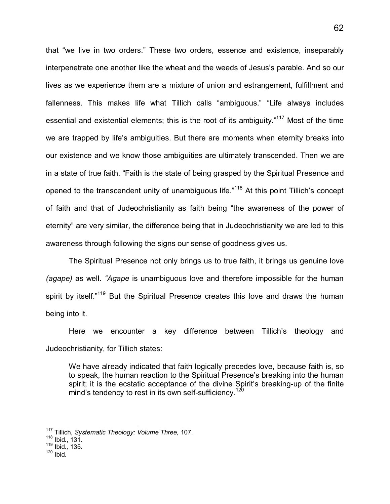that "we live in two orders." These two orders, essence and existence, inseparably interpenetrate one another like the wheat and the weeds of Jesus's parable. And so our lives as we experience them are a mixture of union and estrangement, fulfillment and fallenness. This makes life what Tillich calls "ambiguous." "Life always includes essential and existential elements; this is the root of its ambiguity."<sup>[11](#page-67-0)7</sup> Most of the time we are trapped by life's ambiguities. But there are moments when eternity breaks into our existence and we know those ambiguities are ultimately transcended. Then we are in a state of true faith. "Faith is the state of being grasped by the Spiritual Presence and opened to the transcendent unity of unambiguous life."<sup>[118](#page-67-1)</sup> At this point Tillich's concept of faith and that of Judeochristianity as faith being "the awareness of the power of eternity" are very similar, the difference being that in Judeochristianity we are led to this awareness through following the signs our sense of goodness gives us.

The Spiritual Presence not only brings us to true faith, it brings us genuine love *(agape)* as well. *"Agape* is unambiguous love and therefore impossible for the human spirit by itself."<sup>[119](#page-67-2)</sup> But the Spiritual Presence creates this love and draws the human being into it.

Here we encounter a key difference between Tillich's theology and Judeochristianity, for Tillich states:

We have already indicated that faith logically precedes love, because faith is, so to speak, the human reaction to the Spiritual Presence's breaking into the human spirit; it is the ecstatic acceptance of the divine Spirit's breaking-up of the finite mind's tendency to rest in its own self-sufficiency.<sup>[12](#page-67-3)0</sup>

<span id="page-67-3"></span> $120$  Ibid.

<span id="page-67-0"></span><sup>117</sup> Tillich, *Systematic Theology: Volume Three,* 107.

<span id="page-67-1"></span><sup>118</sup> Ibid., 131.

<span id="page-67-2"></span><sup>119</sup> Ibid.*,* 135.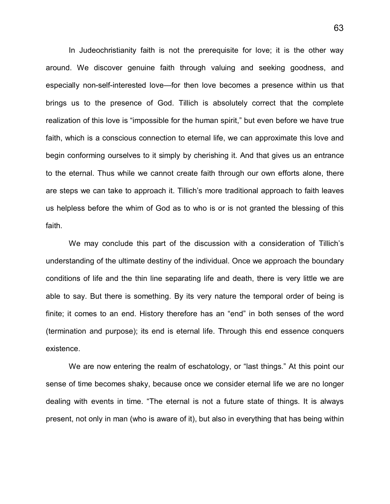In Judeochristianity faith is not the prerequisite for love; it is the other way around. We discover genuine faith through valuing and seeking goodness, and especially non-self-interested love—for then love becomes a presence within us that brings us to the presence of God. Tillich is absolutely correct that the complete realization of this love is "impossible for the human spirit," but even before we have true faith, which is a conscious connection to eternal life, we can approximate this love and begin conforming ourselves to it simply by cherishing it. And that gives us an entrance to the eternal. Thus while we cannot create faith through our own efforts alone, there are steps we can take to approach it. Tillich's more traditional approach to faith leaves us helpless before the whim of God as to who is or is not granted the blessing of this faith.

We may conclude this part of the discussion with a consideration of Tillich's understanding of the ultimate destiny of the individual. Once we approach the boundary conditions of life and the thin line separating life and death, there is very little we are able to say. But there is something. By its very nature the temporal order of being is finite; it comes to an end. History therefore has an "end" in both senses of the word (termination and purpose); its end is eternal life. Through this end essence conquers existence.

We are now entering the realm of eschatology, or "last things." At this point our sense of time becomes shaky, because once we consider eternal life we are no longer dealing with events in time. "The eternal is not a future state of things. It is always present, not only in man (who is aware of it), but also in everything that has being within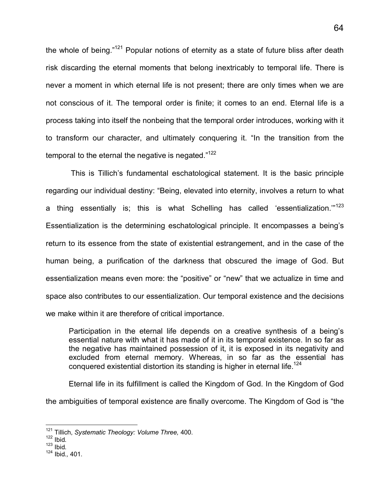the whole of being."<sup>[121](#page-69-0)</sup> Popular notions of eternity as a state of future bliss after death risk discarding the eternal moments that belong inextricably to temporal life. There is never a moment in which eternal life is not present; there are only times when we are not conscious of it. The temporal order is finite; it comes to an end. Eternal life is a process taking into itself the nonbeing that the temporal order introduces, working with it to transform our character, and ultimately conquering it. "In the transition from the temporal to the eternal the negative is negated.["](#page-69-1)<sup>122</sup>

 This is Tillich's fundamental eschatological statement. It is the basic principle regarding our individual destiny: "Being, elevated into eternity, involves a return to what a thing essentially is; this is what Schelling has called 'essentialization.["](#page-69-2)<sup>123</sup> Essentialization is the determining eschatological principle. It encompasses a being's return to its essence from the state of existential estrangement, and in the case of the human being, a purification of the darkness that obscured the image of God. But essentialization means even more: the "positive" or "new" that we actualize in time and space also contributes to our essentialization. Our temporal existence and the decisions we make within it are therefore of critical importance.

Participation in the eternal life depends on a creative synthesis of a being's essential nature with what it has made of it in its temporal existence. In so far as the negative has maintained possession of it, it is exposed in its negativity and excluded from eternal memory. Whereas, in so far as the essential has conquered existential distortion its standing is higher in eternal life.<sup>[124](#page-69-3)</sup>

Eternal life in its fulfillment is called the Kingdom of God. In the Kingdom of God

the ambiguities of temporal existence are finally overcome. The Kingdom of God is "the

<span id="page-69-2"></span> $123$  Ibid.

 $\overline{1}$ <sup>121</sup> Tillich, *Systematic Theology: Volume Three,* 400.

<span id="page-69-1"></span><span id="page-69-0"></span> $122$  Ibid.

<span id="page-69-3"></span><sup>124</sup> Ibid.*,* 401.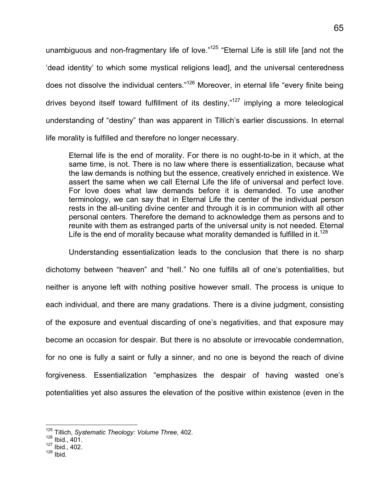unambiguous and non-fragmentary life of love."<sup>[12](#page-70-0)5</sup> "Eternal Life is still life [and not the 'dead identity' to which some mystical religions lead], and the universal centeredness does not dissolve the individual centers."<sup>[126](#page-70-1)</sup> Moreover, in eternal life "every finite being drives beyond itself toward fulfillment of its destiny," $127$  implying a more teleological understanding of "destiny" than was apparent in Tillich's earlier discussions. In eternal life morality is fulfilled and therefore no longer necessary.

Eternal life is the end of morality. For there is no ought-to-be in it which, at the same time, is not. There is no law where there is essentialization, because what the law demands is nothing but the essence, creatively enriched in existence. We assert the same when we call Eternal Life the life of universal and perfect love. For love does what law demands before it is demanded. To use another terminology, we can say that in Eternal Life the center of the individual person rests in the all-uniting divine center and through it is in communion with all other personal centers. Therefore the demand to acknowledge them as persons and to reunite with them as estranged parts of the universal unity is not needed. Eternal Life is the end of morality because what morality demanded is fulfilled in it.<sup>[128](#page-70-3)</sup>

Understanding essentialization leads to the conclusion that there is no sharp dichotomy between "heaven" and "hell." No one fulfills all of one's potentialities, but neither is anyone left with nothing positive however small. The process is unique to each individual, and there are many gradations. There is a divine judgment, consisting of the exposure and eventual discarding of one's negativities, and that exposure may become an occasion for despair. But there is no absolute or irrevocable condemnation, for no one is fully a saint or fully a sinner, and no one is beyond the reach of divine forgiveness. Essentialization "emphasizes the despair of having wasted one's potentialities yet also assures the elevation of the positive within existence (even in the

<span id="page-70-3"></span> $128$  Ibid.

 $\overline{a}$ <sup>125</sup> Tillich, *Systematic Theology: Volume Three*, 402.

<span id="page-70-1"></span><span id="page-70-0"></span><sup>126</sup> Ibid., 401.

<span id="page-70-2"></span><sup>127</sup> Ibid., 402.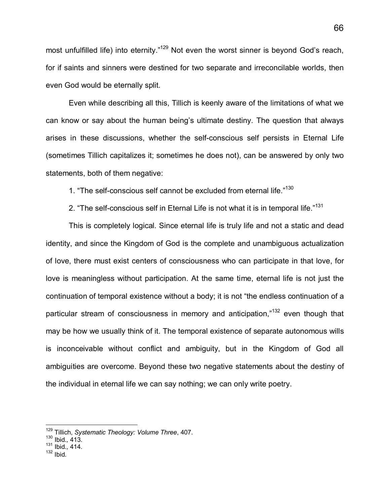most unfulfilled life) into eternity."<sup>[129](#page-71-0)</sup> Not even the worst sinner is beyond God's reach, for if saints and sinners were destined for two separate and irreconcilable worlds, then even God would be eternally split.

Even while describing all this, Tillich is keenly aware of the limitations of what we can know or say about the human being's ultimate destiny. The question that always arises in these discussions, whether the self-conscious self persists in Eternal Life (sometimes Tillich capitalizes it; sometimes he does not), can be answered by only two statements, both of them negative:

1. "The self-conscious self cannot be excluded from eternal life."[130](#page-71-1)

2. ["](#page-71-2)The self-conscious self in Eternal Life is not what it is in temporal life."<sup>131</sup>

This is completely logical. Since eternal life is truly life and not a static and dead identity, and since the Kingdom of God is the complete and unambiguous actualization of love, there must exist centers of consciousness who can participate in that love, for love is meaningless without participation. At the same time, eternal life is not just the continuation of temporal existence without a body; it is not "the endless continuation of a particular stream of consciousness in memory and anticipation,"[132](#page-71-3) even though that may be how we usually think of it. The temporal existence of separate autonomous wills is inconceivable without conflict and ambiguity, but in the Kingdom of God all ambiguities are overcome. Beyond these two negative statements about the destiny of the individual in eternal life we can say nothing; we can only write poetry.

<span id="page-71-3"></span><span id="page-71-2"></span> $132$  Ibid.

<span id="page-71-0"></span><sup>129</sup> Tillich, *Systematic Theology: Volume Three*, 407.

<span id="page-71-1"></span><sup>130</sup> Ibid.*,* 413.

<sup>131</sup> Ibid.*,* 414.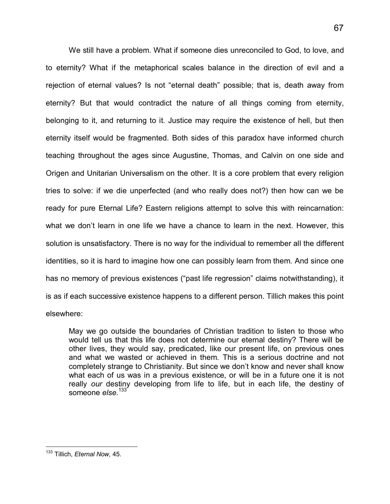We still have a problem. What if someone dies unreconciled to God, to love, and to eternity? What if the metaphorical scales balance in the direction of evil and a rejection of eternal values? Is not "eternal death" possible; that is, death away from eternity? But that would contradict the nature of all things coming from eternity, belonging to it, and returning to it. Justice may require the existence of hell, but then eternity itself would be fragmented. Both sides of this paradox have informed church teaching throughout the ages since Augustine, Thomas, and Calvin on one side and Origen and Unitarian Universalism on the other. It is a core problem that every religion tries to solve: if we die unperfected (and who really does not?) then how can we be ready for pure Eternal Life? Eastern religions attempt to solve this with reincarnation: what we don't learn in one life we have a chance to learn in the next. However, this solution is unsatisfactory. There is no way for the individual to remember all the different identities, so it is hard to imagine how one can possibly learn from them. And since one has no memory of previous existences ("past life regression" claims notwithstanding), it is as if each successive existence happens to a different person. Tillich makes this point elsewhere:

May we go outside the boundaries of Christian tradition to listen to those who would tell us that this life does not determine our eternal destiny? There will be other lives, they would say, predicated, like our present life, on previous ones and what we wasted or achieved in them. This is a serious doctrine and not completely strange to Christianity. But since we don't know and never shall know what each of us was in a previous existence, or will be in a future one it is not really *our* destiny developing from life to life, but in each life, the destiny of someone else.<sup>[13](#page-72-0)3</sup>

<span id="page-72-0"></span><sup>-</sup><sup>133</sup> Tillich, *Eternal Now,* 45.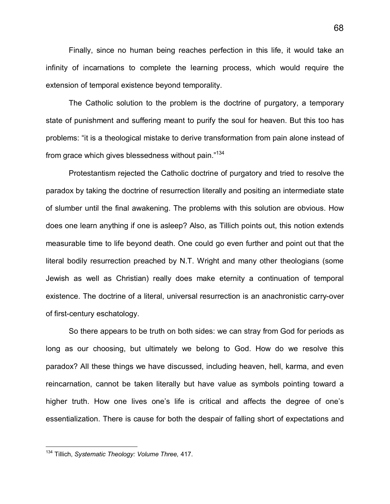Finally, since no human being reaches perfection in this life, it would take an infinity of incarnations to complete the learning process, which would require the extension of temporal existence beyond temporality.

The Catholic solution to the problem is the doctrine of purgatory, a temporary state of punishment and suffering meant to purify the soul for heaven. But this too has problems: "it is a theological mistake to derive transformation from pain alone instead of from grace which gives blessedness without pain."[134](#page-73-0)

Protestantism rejected the Catholic doctrine of purgatory and tried to resolve the paradox by taking the doctrine of resurrection literally and positing an intermediate state of slumber until the final awakening. The problems with this solution are obvious. How does one learn anything if one is asleep? Also, as Tillich points out, this notion extends measurable time to life beyond death. One could go even further and point out that the literal bodily resurrection preached by N.T. Wright and many other theologians (some Jewish as well as Christian) really does make eternity a continuation of temporal existence. The doctrine of a literal, universal resurrection is an anachronistic carry-over of first-century eschatology.

So there appears to be truth on both sides: we can stray from God for periods as long as our choosing, but ultimately we belong to God. How do we resolve this paradox? All these things we have discussed, including heaven, hell, karma, and even reincarnation, cannot be taken literally but have value as symbols pointing toward a higher truth. How one lives one's life is critical and affects the degree of one's essentialization. There is cause for both the despair of falling short of expectations and

l

<span id="page-73-0"></span><sup>134</sup> Tillich, *Systematic Theology: Volume Three,* 417.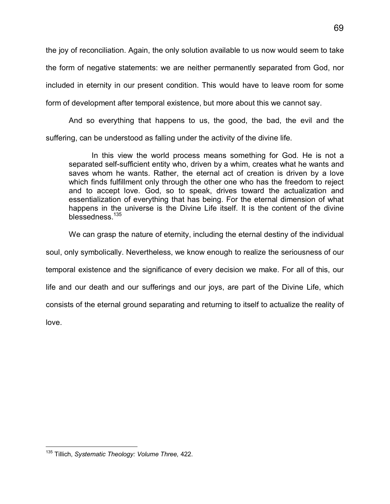the joy of reconciliation. Again, the only solution available to us now would seem to take the form of negative statements: we are neither permanently separated from God, nor included in eternity in our present condition. This would have to leave room for some form of development after temporal existence, but more about this we cannot say.

And so everything that happens to us, the good, the bad, the evil and the suffering, can be understood as falling under the activity of the divine life.

In this view the world process means something for God. He is not a separated self-sufficient entity who, driven by a whim, creates what he wants and saves whom he wants. Rather, the eternal act of creation is driven by a love which finds fulfillment only through the other one who has the freedom to reject and to accept love. God, so to speak, drives toward the actualization and essentialization of everything that has being. For the eternal dimension of what happens in the universe is the Divine Life itself. It is the content of the divine blessedness.<sup>[13](#page-74-0)5</sup>

We can grasp the nature of eternity, including the eternal destiny of the individual

soul, only symbolically. Nevertheless, we know enough to realize the seriousness of our

temporal existence and the significance of every decision we make. For all of this, our

life and our death and our sufferings and our joys, are part of the Divine Life, which

consists of the eternal ground separating and returning to itself to actualize the reality of

love.

<span id="page-74-0"></span><sup>-</sup><sup>135</sup> Tillich, *Systematic Theology: Volume Three,* 422.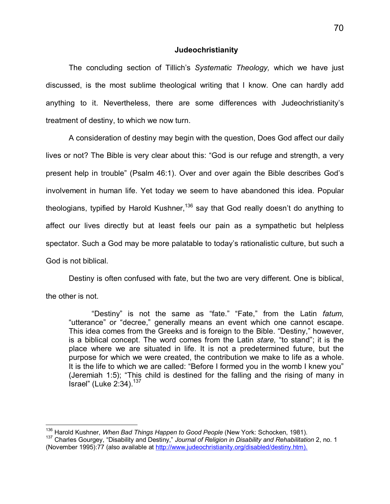#### **Judeochristianity**

The concluding section of Tillich's *Systematic Theology,* which we have just discussed, is the most sublime theological writing that I know. One can hardly add anything to it. Nevertheless, there are some differences with Judeochristianity's treatment of destiny, to which we now turn.

A consideration of destiny may begin with the question, Does God affect our daily lives or not? The Bible is very clear about this: "God is our refuge and strength, a very present help in trouble" (Psalm 46:1). Over and over again the Bible describes God's involvement in human life. Yet today we seem to have abandoned this idea. Popular theologians, typified by Harold Kushner,<sup>[13](#page-75-0)6</sup> say that God really doesn't do anything to affect our lives directly but at least feels our pain as a sympathetic but helpless spectator. Such a God may be more palatable to today's rationalistic culture, but such a God is not biblical.

Destiny is often confused with fate, but the two are very different. One is biblical,

the other is not.

 $\overline{a}$ 

"Destiny" is not the same as "fate." "Fate," from the Latin *fatum,* "utterance" or "decree," generally means an event which one cannot escape. This idea comes from the Greeks and is foreign to the Bible. "Destiny," however, is a biblical concept. The word comes from the Latin *stare,* "to stand"; it is the place where we are situated in life. It is not a predetermined future, but the purpose for which we were created, the contribution we make to life as a whole. It is the life to which we are called: "Before I formed you in the womb I knew you" (Jeremiah 1:5); "This child is destined for the falling and the rising of many in Israel" (Luke 2:34).[137](#page-75-1)

<span id="page-75-0"></span><sup>136</sup> Harold Kushner, *When Bad Things Happen to Good People* (New York: Schocken, 1981).

<span id="page-75-1"></span><sup>137</sup> Charles Gourgey, "Disability and Destiny," *Journal of Religion in Disability and Rehabilitation* 2, no. 1 (November 1995):77 (also available at http://www.judeochristianity.org/disabled/destiny.htm).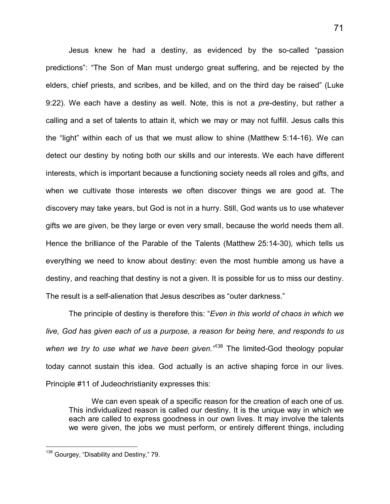Jesus knew he had a destiny, as evidenced by the so-called "passion predictions": "The Son of Man must undergo great suffering, and be rejected by the elders, chief priests, and scribes, and be killed, and on the third day be raised" (Luke 9:22). We each have a destiny as well. Note, this is not a *pre-*destiny, but rather a calling and a set of talents to attain it, which we may or may not fulfill. Jesus calls this the "light" within each of us that we must allow to shine (Matthew 5:14-16). We can detect our destiny by noting both our skills and our interests. We each have different interests, which is important because a functioning society needs all roles and gifts, and when we cultivate those interests we often discover things we are good at. The discovery may take years, but God is not in a hurry. Still, God wants us to use whatever gifts we are given, be they large or even very small, because the world needs them all. Hence the brilliance of the Parable of the Talents (Matthew 25:14-30), which tells us everything we need to know about destiny: even the most humble among us have a destiny, and reaching that destiny is not a given. It is possible for us to miss our destiny. The result is a self-alienation that Jesus describes as "outer darkness."

The principle of destiny is therefore this: "*Even in this world of chaos in which we live, God has given each of us a purpose, a reason for being here, and responds to us when we try to use what we have been given."*[138](#page-76-0) The limited-God theology popular today cannot sustain this idea. God actually is an active shaping force in our lives. Principle #11 of Judeochristianity expresses this:

We can even speak of a specific reason for the creation of each one of us. This individualized reason is called our destiny. It is the unique way in which we each are called to express goodness in our own lives. It may involve the talents we were given, the jobs we must perform, or entirely different things, including

-

<span id="page-76-0"></span><sup>&</sup>lt;sup>138</sup> Gourgey, "Disability and Destiny," 79.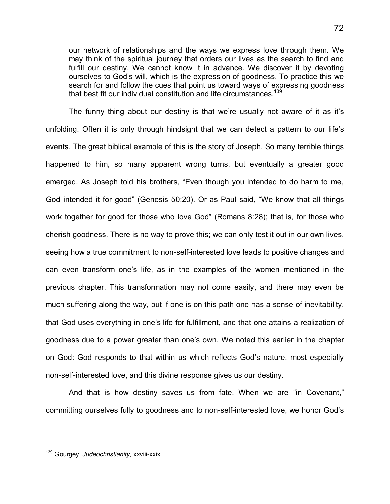our network of relationships and the ways we express love through them. We may think of the spiritual journey that orders our lives as the search to find and fulfill our destiny. We cannot know it in advance. We discover it by devoting ourselves to God's will, which is the expression of goodness. To practice this we search for and follow the cues that point us toward ways of expressing goodness that best fit our individual constitution and life circumstances.<sup>[13](#page-77-0)</sup>

The funny thing about our destiny is that we're usually not aware of it as it's unfolding. Often it is only through hindsight that we can detect a pattern to our life's events. The great biblical example of this is the story of Joseph. So many terrible things happened to him, so many apparent wrong turns, but eventually a greater good emerged. As Joseph told his brothers, "Even though you intended to do harm to me, God intended it for good" (Genesis 50:20). Or as Paul said, "We know that all things work together for good for those who love God" (Romans 8:28); that is, for those who cherish goodness. There is no way to prove this; we can only test it out in our own lives, seeing how a true commitment to non-self-interested love leads to positive changes and can even transform one's life, as in the examples of the women mentioned in the previous chapter. This transformation may not come easily, and there may even be much suffering along the way, but if one is on this path one has a sense of inevitability, that God uses everything in one's life for fulfillment, and that one attains a realization of goodness due to a power greater than one's own. We noted this earlier in the chapter on God: God responds to that within us which reflects God's nature, most especially non-self-interested love, and this divine response gives us our destiny.

And that is how destiny saves us from fate. When we are "in Covenant," committing ourselves fully to goodness and to non-self-interested love, we honor God's

-

<span id="page-77-0"></span><sup>139</sup> Gourgey, *Judeochristianity,* xxviii-xxix.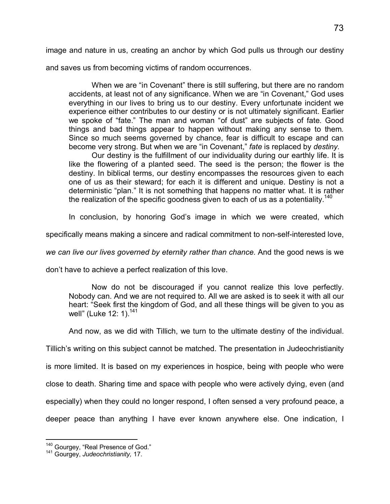image and nature in us, creating an anchor by which God pulls us through our destiny

and saves us from becoming victims of random occurrences.

When we are "in Covenant" there is still suffering, but there are no random accidents, at least not of any significance. When we are "in Covenant," God uses everything in our lives to bring us to our destiny. Every unfortunate incident we experience either contributes to our destiny or is not ultimately significant. Earlier we spoke of "fate." The man and woman "of dust" are subjects of fate. Good things and bad things appear to happen without making any sense to them. Since so much seems governed by chance, fear is difficult to escape and can become very strong. But when we are "in Covenant," *fate* is replaced by *destiny.*

Our destiny is the fulfillment of our individuality during our earthly life. It is like the flowering of a planted seed. The seed is the person; the flower is the destiny. In biblical terms, our destiny encompasses the resources given to each one of us as their steward; for each it is different and unique. Destiny is not a deterministic "plan." It is not something that happens no matter what. It is rather the realization of the specific goodness given to each of us as a potentiality.<sup>[140](#page-78-0)</sup>

In conclusion, by honoring God's image in which we were created, which

specifically means making a sincere and radical commitment to non-self-interested love,

*we can live our lives governed by eternity rather than chance.* And the good news is we

don't have to achieve a perfect realization of this love.

Now do not be discouraged if you cannot realize this love perfectly. Nobody can. And we are not required to. All we are asked is to seek it with all our heart: "Seek first the kingdom of God, and all these things will be given to you as well" (Luke 12: 1).<sup>[141](#page-78-1)</sup>

And now, as we did with Tillich, we turn to the ultimate destiny of the individual.

Tillich's writing on this subject cannot be matched. The presentation in Judeochristianity

is more limited. It is based on my experiences in hospice, being with people who were

close to death. Sharing time and space with people who were actively dying, even (and

especially) when they could no longer respond, I often sensed a very profound peace, a

deeper peace than anything I have ever known anywhere else. One indication, I

 $\overline{1}$ 

<span id="page-78-0"></span><sup>&</sup>lt;sup>140</sup> Gourgey, "Real Presence of God."

<span id="page-78-1"></span><sup>141</sup> Gourgey, *Judeochristianity,* 17.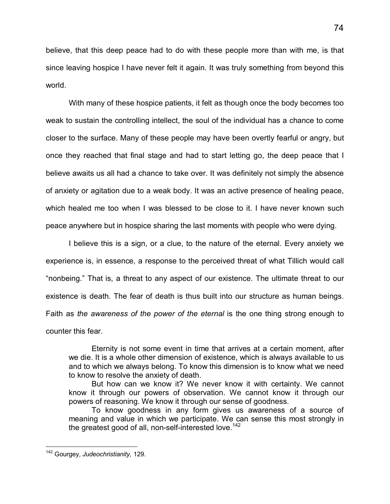believe, that this deep peace had to do with these people more than with me, is that since leaving hospice I have never felt it again. It was truly something from beyond this world.

With many of these hospice patients, it felt as though once the body becomes too weak to sustain the controlling intellect, the soul of the individual has a chance to come closer to the surface. Many of these people may have been overtly fearful or angry, but once they reached that final stage and had to start letting go, the deep peace that I believe awaits us all had a chance to take over. It was definitely not simply the absence of anxiety or agitation due to a weak body. It was an active presence of healing peace, which healed me too when I was blessed to be close to it. I have never known such peace anywhere but in hospice sharing the last moments with people who were dying.

I believe this is a sign, or a clue, to the nature of the eternal. Every anxiety we experience is, in essence, a response to the perceived threat of what Tillich would call "nonbeing." That is, a threat to any aspect of our existence. The ultimate threat to our existence is death. The fear of death is thus built into our structure as human beings. Faith as *the awareness of the power of the eternal* is the one thing strong enough to counter this fear.

Eternity is not some event in time that arrives at a certain moment, after we die. It is a whole other dimension of existence, which is always available to us and to which we always belong. To know this dimension is to know what we need to know to resolve the anxiety of death.

But how can we know it? We never know it with certainty. We cannot know it through our powers of observation. We cannot know it through our powers of reasoning. We know it through our sense of goodness.

To know goodness in any form gives us awareness of a source of meaning and value in which we participate. We can sense this most strongly in the greatest good of all, non-self-interested love[.](#page-79-0)<sup>142</sup>

l

<span id="page-79-0"></span><sup>142</sup> Gourgey, *Judeochristianity,* 129.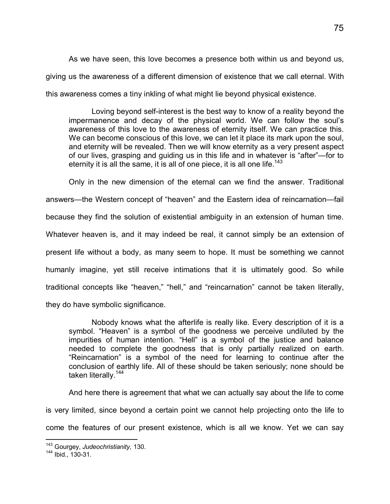As we have seen, this love becomes a presence both within us and beyond us, giving us the awareness of a different dimension of existence that we call eternal. With this awareness comes a tiny inkling of what might lie beyond physical existence.

Loving beyond self-interest is the best way to know of a reality beyond the impermanence and decay of the physical world. We can follow the soul's awareness of this love to the awareness of eternity itself. We can practice this. We can become conscious of this love, we can let it place its mark upon the soul, and eternity will be revealed. Then we will know eternity as a very present aspect of our lives, grasping and guiding us in this life and in whatever is "after"—for to eternity it is all the same, it is all of one piece, it is all one life.<sup>[143](#page-80-0)</sup>

Only in the new dimension of the eternal can we find the answer. Traditional answers—the Western concept of "heaven" and the Eastern idea of reincarnation—fail because they find the solution of existential ambiguity in an extension of human time. Whatever heaven is, and it may indeed be real, it cannot simply be an extension of present life without a body, as many seem to hope. It must be something we cannot humanly imagine, yet still receive intimations that it is ultimately good. So while traditional concepts like "heaven," "hell," and "reincarnation" cannot be taken literally, they do have symbolic significance.

Nobody knows what the afterlife is really like. Every description of it is a symbol. "Heaven" is a symbol of the goodness we perceive undiluted by the impurities of human intention. "Hell" is a symbol of the justice and balance needed to complete the goodness that is only partially realized on earth. "Reincarnation" is a symbol of the need for learning to continue after the conclusion of earthly life. All of these should be taken seriously; none should be taken literally.<sup>[14](#page-80-1)4</sup>

And here there is agreement that what we can actually say about the life to come

is very limited, since beyond a certain point we cannot help projecting onto the life to

come the features of our present existence, which is all we know. Yet we can say

 $\overline{1}$ 

<span id="page-80-0"></span><sup>143</sup> Gourgey, *Judeochristianity,* 130.

<span id="page-80-1"></span><sup>144</sup> Ibid., 130-31.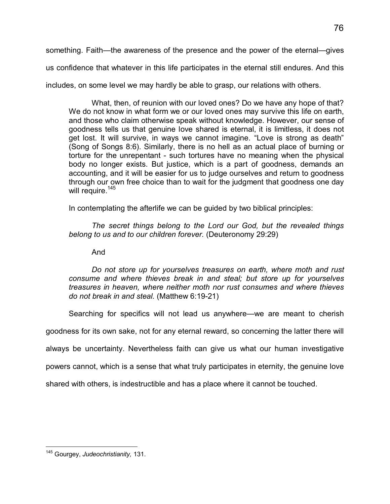something. Faith—the awareness of the presence and the power of the eternal—gives us confidence that whatever in this life participates in the eternal still endures. And this includes, on some level we may hardly be able to grasp, our relations with others.

What, then, of reunion with our loved ones? Do we have any hope of that? We do not know in what form we or our loved ones may survive this life on earth, and those who claim otherwise speak without knowledge. However, our sense of goodness tells us that genuine love shared is eternal, it is limitless, it does not get lost. It will survive, in ways we cannot imagine. "Love is strong as death" (Song of Songs 8:6). Similarly, there is no hell as an actual place of burning or torture for the unrepentant - such tortures have no meaning when the physical body no longer exists. But justice, which is a part of goodness, demands an accounting, and it will be easier for us to judge ourselves and return to goodness through our own free choice than to wait for the judgment that goodness one day will require.<sup>[14](#page-81-0)5</sup>

In contemplating the afterlife we can be guided by two biblical principles:

*The secret things belong to the Lord our God, but the revealed things belong to us and to our children forever.* (Deuteronomy 29:29)

And

*Do not store up for yourselves treasures on earth, where moth and rust consume and where thieves break in and steal; but store up for yourselves treasures in heaven, where neither moth nor rust consumes and where thieves do not break in and steal.* (Matthew 6:19-21)

Searching for specifics will not lead us anywhere—we are meant to cherish

goodness for its own sake, not for any eternal reward, so concerning the latter there will

always be uncertainty. Nevertheless faith can give us what our human investigative

powers cannot, which is a sense that what truly participates in eternity, the genuine love

shared with others, is indestructible and has a place where it cannot be touched.

<span id="page-81-0"></span><sup>-</sup><sup>145</sup> Gourgey, *Judeochristianity,* 131.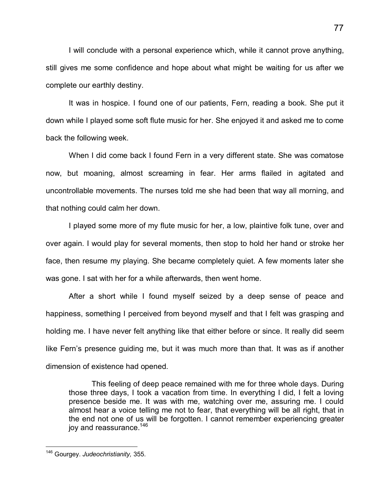I will conclude with a personal experience which, while it cannot prove anything, still gives me some confidence and hope about what might be waiting for us after we complete our earthly destiny.

It was in hospice. I found one of our patients, Fern, reading a book. She put it down while I played some soft flute music for her. She enjoyed it and asked me to come back the following week.

When I did come back I found Fern in a very different state. She was comatose now, but moaning, almost screaming in fear. Her arms flailed in agitated and uncontrollable movements. The nurses told me she had been that way all morning, and that nothing could calm her down.

I played some more of my flute music for her, a low, plaintive folk tune, over and over again. I would play for several moments, then stop to hold her hand or stroke her face, then resume my playing. She became completely quiet. A few moments later she was gone. I sat with her for a while afterwards, then went home.

After a short while I found myself seized by a deep sense of peace and happiness, something I perceived from beyond myself and that I felt was grasping and holding me. I have never felt anything like that either before or since. It really did seem like Fern's presence guiding me, but it was much more than that. It was as if another dimension of existence had opened.

This feeling of deep peace remained with me for three whole days. During those three days, I took a vacation from time. In everything I did, I felt a loving presence beside me. It was with me, watching over me, assuring me. I could almost hear a voice telling me not to fear, that everything will be all right, that in the end not one of us will be forgotten. I cannot remember experiencing greater joy and reassurance[.](#page-82-0)<sup>146</sup>

l

<span id="page-82-0"></span><sup>146</sup> Gourgey. *Judeochristianity,* 355.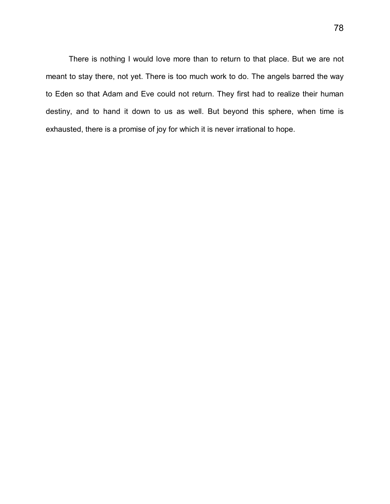There is nothing I would love more than to return to that place. But we are not meant to stay there, not yet. There is too much work to do. The angels barred the way to Eden so that Adam and Eve could not return. They first had to realize their human destiny, and to hand it down to us as well. But beyond this sphere, when time is exhausted, there is a promise of joy for which it is never irrational to hope.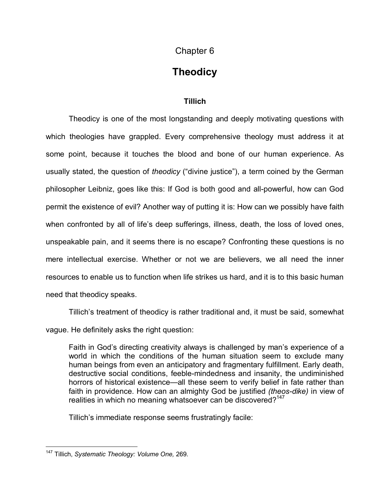## Chapter 6

# **Theodicy**

### **Tillich**

Theodicy is one of the most longstanding and deeply motivating questions with which theologies have grappled. Every comprehensive theology must address it at some point, because it touches the blood and bone of our human experience. As usually stated, the question of *theodicy* ("divine justice"), a term coined by the German philosopher Leibniz, goes like this: If God is both good and all-powerful, how can God permit the existence of evil? Another way of putting it is: How can we possibly have faith when confronted by all of life's deep sufferings, illness, death, the loss of loved ones, unspeakable pain, and it seems there is no escape? Confronting these questions is no mere intellectual exercise. Whether or not we are believers, we all need the inner resources to enable us to function when life strikes us hard, and it is to this basic human need that theodicy speaks.

Tillich's treatment of theodicy is rather traditional and, it must be said, somewhat vague. He definitely asks the right question:

Faith in God's directing creativity always is challenged by man's experience of a world in which the conditions of the human situation seem to exclude many human beings from even an anticipatory and fragmentary fulfillment. Early death, destructive social conditions, feeble-mindedness and insanity, the undiminished horrors of historical existence—all these seem to verify belief in fate rather than faith in providence. How can an almighty God be justified *(theos-dike)* in view of realities in which no meaning whatsoever can be discovered?<sup>[14](#page-84-0)7</sup>

Tillich's immediate response seems frustratingly facile:

<span id="page-84-0"></span><sup>-</sup><sup>147</sup> Tillich, *Systematic Theology: Volume One,* 269.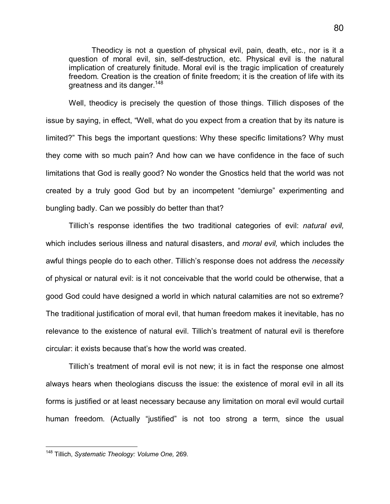Theodicy is not a question of physical evil, pain, death, etc., nor is it a question of moral evil, sin, self-destruction, etc. Physical evil is the natural implication of creaturely finitude. Moral evil is the tragic implication of creaturely freedom. Creation is the creation of finite freedom; it is the creation of life with its greatness and its danger.<sup>[148](#page-85-0)</sup>

Well, theodicy is precisely the question of those things. Tillich disposes of the issue by saying, in effect, "Well, what do you expect from a creation that by its nature is limited?" This begs the important questions: Why these specific limitations? Why must they come with so much pain? And how can we have confidence in the face of such limitations that God is really good? No wonder the Gnostics held that the world was not created by a truly good God but by an incompetent "demiurge" experimenting and bungling badly. Can we possibly do better than that?

Tillich's response identifies the two traditional categories of evil: *natural evil,* which includes serious illness and natural disasters, and *moral evil,* which includes the awful things people do to each other. Tillich's response does not address the *necessity* of physical or natural evil: is it not conceivable that the world could be otherwise, that a good God could have designed a world in which natural calamities are not so extreme? The traditional justification of moral evil, that human freedom makes it inevitable, has no relevance to the existence of natural evil. Tillich's treatment of natural evil is therefore circular: it exists because that's how the world was created.

Tillich's treatment of moral evil is not new; it is in fact the response one almost always hears when theologians discuss the issue: the existence of moral evil in all its forms is justified or at least necessary because any limitation on moral evil would curtail human freedom. (Actually "justified" is not too strong a term, since the usual

-

<span id="page-85-0"></span><sup>148</sup> Tillich, *Systematic Theology: Volume One,* 269.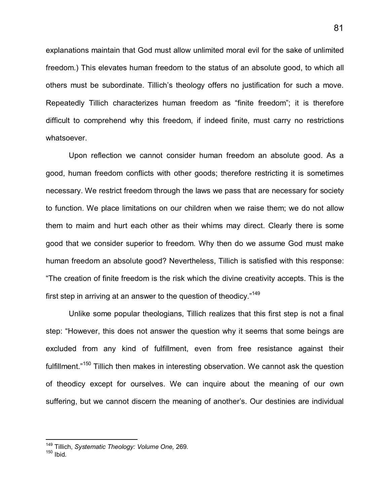explanations maintain that God must allow unlimited moral evil for the sake of unlimited freedom.) This elevates human freedom to the status of an absolute good, to which all others must be subordinate. Tillich's theology offers no justification for such a move. Repeatedly Tillich characterizes human freedom as "finite freedom"; it is therefore difficult to comprehend why this freedom, if indeed finite, must carry no restrictions whatsoever.

Upon reflection we cannot consider human freedom an absolute good. As a good, human freedom conflicts with other goods; therefore restricting it is sometimes necessary. We restrict freedom through the laws we pass that are necessary for society to function. We place limitations on our children when we raise them; we do not allow them to maim and hurt each other as their whims may direct. Clearly there is some good that we consider superior to freedom. Why then do we assume God must make human freedom an absolute good? Nevertheless, Tillich is satisfied with this response: "The creation of finite freedom is the risk which the divine creativity accepts. This is the first step in arriving at an answer to the question of theodicy.["](#page-86-0)<sup>149</sup>

Unlike some popular theologians, Tillich realizes that this first step is not a final step: "However, this does not answer the question why it seems that some beings are excluded from any kind of fulfillment, even from free resistance against their fulfillment."<sup>[15](#page-86-1)0</sup> Tillich then makes in interesting observation. We cannot ask the question of theodicy except for ourselves. We can inquire about the meaning of our own suffering, but we cannot discern the meaning of another's. Our destinies are individual

 $\overline{a}$ 

<span id="page-86-0"></span><sup>149</sup> Tillich, *Systematic Theology: Volume One,* 269.

<span id="page-86-1"></span> $150$  Ibid.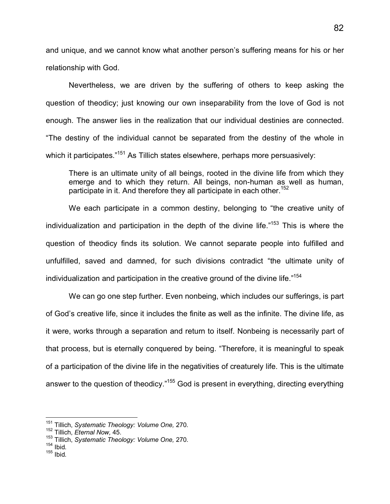and unique, and we cannot know what another person's suffering means for his or her relationship with God.

Nevertheless, we are driven by the suffering of others to keep asking the question of theodicy; just knowing our own inseparability from the love of God is not enough. The answer lies in the realization that our individual destinies are connected. "The destiny of the individual cannot be separated from the destiny of the whole in which it participates."<sup>[15](#page-87-0)1</sup> As Tillich states elsewhere, perhaps more persuasively:

There is an ultimate unity of all beings, rooted in the divine life from which they emerge and to which they return. All beings, non-human as well as human, participate in it. And therefore they all participate in each other.<sup>[152](#page-87-1)</sup>

We each participate in a common destiny, belonging to "the creative unity of individualization and participation in the depth of the divine life. $153$  This is where the question of theodicy finds its solution. We cannot separate people into fulfilled and unfulfilled, saved and damned, for such divisions contradict "the ultimate unity of individualization and participation in the creative ground of the divine life."<sup>[154](#page-87-3)</sup>

We can go one step further. Even nonbeing, which includes our sufferings, is part of God's creative life, since it includes the finite as well as the infinite. The divine life, as it were, works through a separation and return to itself. Nonbeing is necessarily part of that process, but is eternally conquered by being. "Therefore, it is meaningful to speak of a participation of the divine life in the negativities of creaturely life. This is the ultimate answer to the question of theodicy."<sup>155</sup> God is present in everything, directing everything

<span id="page-87-3"></span> $154$  Ibid.

 $\overline{a}$ 

<span id="page-87-0"></span><sup>151</sup> Tillich, *Systematic Theology: Volume One,* 270.

<span id="page-87-1"></span><sup>152</sup> Tillich, *Eternal Now,* 45.

<span id="page-87-2"></span><sup>153</sup> Tillich, *Systematic Theology: Volume One,* 270.

 $155$  Ibid.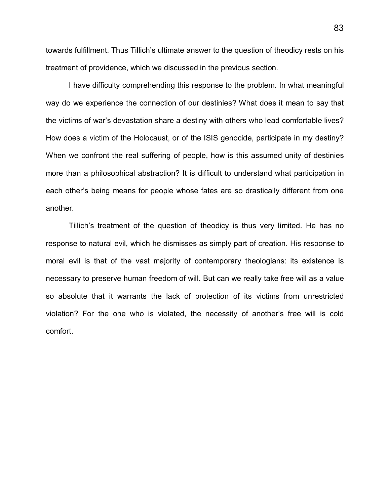towards fulfillment. Thus Tillich's ultimate answer to the question of theodicy rests on his treatment of providence, which we discussed in the previous section.

I have difficulty comprehending this response to the problem. In what meaningful way do we experience the connection of our destinies? What does it mean to say that the victims of war's devastation share a destiny with others who lead comfortable lives? How does a victim of the Holocaust, or of the ISIS genocide, participate in my destiny? When we confront the real suffering of people, how is this assumed unity of destinies more than a philosophical abstraction? It is difficult to understand what participation in each other's being means for people whose fates are so drastically different from one another.

Tillich's treatment of the question of theodicy is thus very limited. He has no response to natural evil, which he dismisses as simply part of creation. His response to moral evil is that of the vast majority of contemporary theologians: its existence is necessary to preserve human freedom of will. But can we really take free will as a value so absolute that it warrants the lack of protection of its victims from unrestricted violation? For the one who is violated, the necessity of another's free will is cold comfort.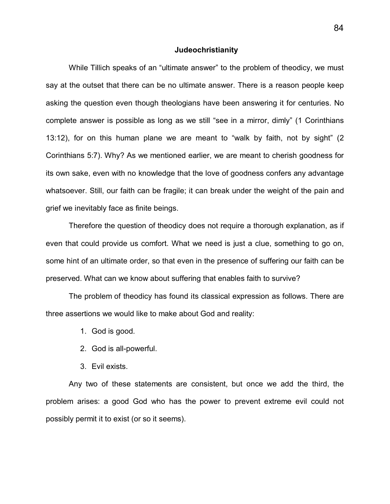#### **Judeochristianity**

While Tillich speaks of an "ultimate answer" to the problem of theodicy, we must say at the outset that there can be no ultimate answer. There is a reason people keep asking the question even though theologians have been answering it for centuries. No complete answer is possible as long as we still "see in a mirror, dimly" (1 Corinthians 13:12), for on this human plane we are meant to "walk by faith, not by sight" (2 Corinthians 5:7). Why? As we mentioned earlier, we are meant to cherish goodness for its own sake, even with no knowledge that the love of goodness confers any advantage whatsoever. Still, our faith can be fragile; it can break under the weight of the pain and grief we inevitably face as finite beings.

Therefore the question of theodicy does not require a thorough explanation, as if even that could provide us comfort. What we need is just a clue, something to go on, some hint of an ultimate order, so that even in the presence of suffering our faith can be preserved. What can we know about suffering that enables faith to survive?

The problem of theodicy has found its classical expression as follows. There are three assertions we would like to make about God and reality:

- 1. God is good.
- 2. God is all-powerful.
- 3. Evil exists.

Any two of these statements are consistent, but once we add the third, the problem arises: a good God who has the power to prevent extreme evil could not possibly permit it to exist (or so it seems).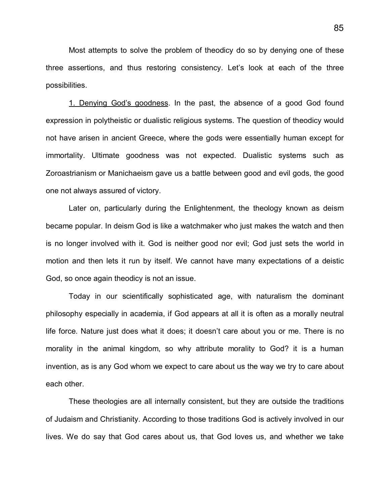Most attempts to solve the problem of theodicy do so by denying one of these three assertions, and thus restoring consistency. Let's look at each of the three possibilities.

1. Denying God's goodness. In the past, the absence of a good God found expression in polytheistic or dualistic religious systems. The question of theodicy would not have arisen in ancient Greece, where the gods were essentially human except for immortality. Ultimate goodness was not expected. Dualistic systems such as Zoroastrianism or Manichaeism gave us a battle between good and evil gods, the good one not always assured of victory.

Later on, particularly during the Enlightenment, the theology known as deism became popular. In deism God is like a watchmaker who just makes the watch and then is no longer involved with it. God is neither good nor evil; God just sets the world in motion and then lets it run by itself. We cannot have many expectations of a deistic God, so once again theodicy is not an issue.

Today in our scientifically sophisticated age, with naturalism the dominant philosophy especially in academia, if God appears at all it is often as a morally neutral life force. Nature just does what it does; it doesn't care about you or me. There is no morality in the animal kingdom, so why attribute morality to God? it is a human invention, as is any God whom we expect to care about us the way we try to care about each other.

These theologies are all internally consistent, but they are outside the traditions of Judaism and Christianity. According to those traditions God is actively involved in our lives. We do say that God cares about us, that God loves us, and whether we take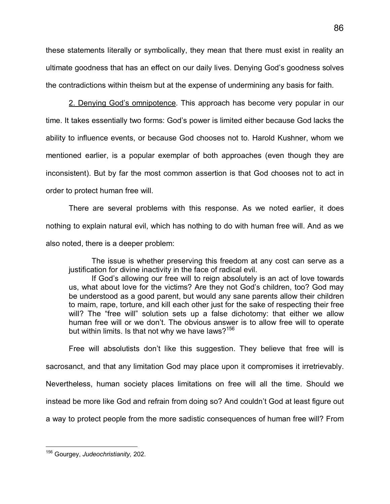these statements literally or symbolically, they mean that there must exist in reality an ultimate goodness that has an effect on our daily lives. Denying God's goodness solves the contradictions within theism but at the expense of undermining any basis for faith.

2. Denying God's omnipotence. This approach has become very popular in our time. It takes essentially two forms: God's power is limited either because God lacks the ability to influence events, or because God chooses not to. Harold Kushner, whom we mentioned earlier, is a popular exemplar of both approaches (even though they are inconsistent). But by far the most common assertion is that God chooses not to act in order to protect human free will.

There are several problems with this response. As we noted earlier, it does nothing to explain natural evil, which has nothing to do with human free will. And as we also noted, there is a deeper problem:

The issue is whether preserving this freedom at any cost can serve as a justification for divine inactivity in the face of radical evil.

If God's allowing our free will to reign absolutely is an act of love towards us, what about love for the victims? Are they not God's children, too? God may be understood as a good parent, but would any sane parents allow their children to maim, rape, torture, and kill each other just for the sake of respecting their free will? The "free will" solution sets up a false dichotomy: that either we allow human free will or we don't. The obvious answer is to allow free will to operate but within limits. Is that not why we have laws?<sup>[15](#page-91-0)6</sup>

Free will absolutists don't like this suggestion. They believe that free will is sacrosanct, and that any limitation God may place upon it compromises it irretrievably. Nevertheless, human society places limitations on free will all the time. Should we instead be more like God and refrain from doing so? And couldn't God at least figure out a way to protect people from the more sadistic consequences of human free will? From

<span id="page-91-0"></span>l <sup>156</sup> Gourgey, *Judeochristianity,* 202.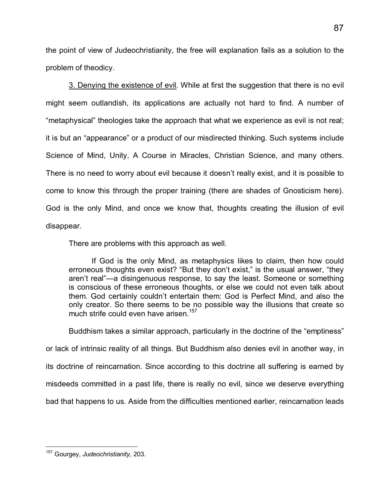the point of view of Judeochristianity, the free will explanation fails as a solution to the problem of theodicy.

3. Denying the existence of evil. While at first the suggestion that there is no evil might seem outlandish, its applications are actually not hard to find. A number of "metaphysical" theologies take the approach that what we experience as evil is not real; it is but an "appearance" or a product of our misdirected thinking. Such systems include Science of Mind, Unity, A Course in Miracles, Christian Science, and many others. There is no need to worry about evil because it doesn't really exist, and it is possible to come to know this through the proper training (there are shades of Gnosticism here). God is the only Mind, and once we know that, thoughts creating the illusion of evil disappear.

There are problems with this approach as well.

If God is the only Mind, as metaphysics likes to claim, then how could erroneous thoughts even exist? "But they don't exist," is the usual answer, "they aren't real"—a disingenuous response, to say the least. Someone or something is conscious of these erroneous thoughts, or else we could not even talk about them. God certainly couldn't entertain them: God is Perfect Mind, and also the only creator. So there seems to be no possible way the illusions that create so much strife could even have arisen.<sup>[15](#page-92-0)7</sup>

Buddhism takes a similar approach, particularly in the doctrine of the "emptiness" or lack of intrinsic reality of all things. But Buddhism also denies evil in another way, in its doctrine of reincarnation. Since according to this doctrine all suffering is earned by misdeeds committed in a past life, there is really no evil, since we deserve everything bad that happens to us. Aside from the difficulties mentioned earlier, reincarnation leads

<span id="page-92-0"></span>l <sup>157</sup> Gourgey, *Judeochristianity,* 203.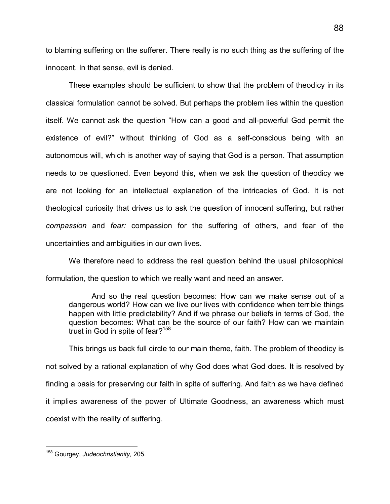to blaming suffering on the sufferer. There really is no such thing as the suffering of the innocent. In that sense, evil is denied.

These examples should be sufficient to show that the problem of theodicy in its classical formulation cannot be solved. But perhaps the problem lies within the question itself. We cannot ask the question "How can a good and all-powerful God permit the existence of evil?" without thinking of God as a self-conscious being with an autonomous will, which is another way of saying that God is a person. That assumption needs to be questioned. Even beyond this, when we ask the question of theodicy we are not looking for an intellectual explanation of the intricacies of God. It is not theological curiosity that drives us to ask the question of innocent suffering, but rather *compassion* and *fear:* compassion for the suffering of others, and fear of the uncertainties and ambiguities in our own lives.

We therefore need to address the real question behind the usual philosophical formulation, the question to which we really want and need an answer.

And so the real question becomes: How can we make sense out of a dangerous world? How can we live our lives with confidence when terrible things happen with little predictability? And if we phrase our beliefs in terms of God, the question becomes: What can be the source of our faith? How can we maintain trust in God in spite of fear?<sup>[158](#page-93-0)</sup>

This brings us back full circle to our main theme, faith. The problem of theodicy is not solved by a rational explanation of why God does what God does. It is resolved by finding a basis for preserving our faith in spite of suffering. And faith as we have defined it implies awareness of the power of Ultimate Goodness, an awareness which must coexist with the reality of suffering.

<span id="page-93-0"></span><sup>-</sup><sup>158</sup> Gourgey, *Judeochristianity,* 205.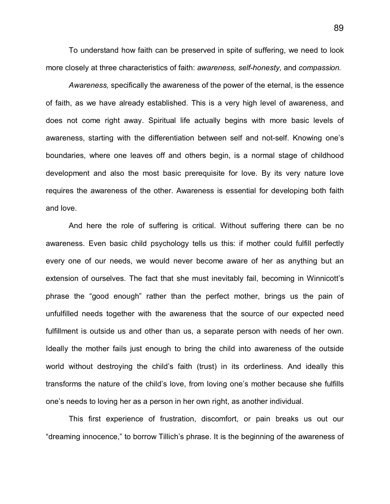To understand how faith can be preserved in spite of suffering, we need to look more closely at three characteristics of faith: *awareness, self-honesty,* and *compassion.*

*Awareness,* specifically the awareness of the power of the eternal, is the essence of faith, as we have already established. This is a very high level of awareness, and does not come right away. Spiritual life actually begins with more basic levels of awareness, starting with the differentiation between self and not-self. Knowing one's boundaries, where one leaves off and others begin, is a normal stage of childhood development and also the most basic prerequisite for love. By its very nature love requires the awareness of the other. Awareness is essential for developing both faith and love.

And here the role of suffering is critical. Without suffering there can be no awareness. Even basic child psychology tells us this: if mother could fulfill perfectly every one of our needs, we would never become aware of her as anything but an extension of ourselves. The fact that she must inevitably fail, becoming in Winnicott's phrase the "good enough" rather than the perfect mother, brings us the pain of unfulfilled needs together with the awareness that the source of our expected need fulfillment is outside us and other than us, a separate person with needs of her own. Ideally the mother fails just enough to bring the child into awareness of the outside world without destroying the child's faith (trust) in its orderliness. And ideally this transforms the nature of the child's love, from loving one's mother because she fulfills one's needs to loving her as a person in her own right, as another individual.

This first experience of frustration, discomfort, or pain breaks us out our "dreaming innocence," to borrow Tillich's phrase. It is the beginning of the awareness of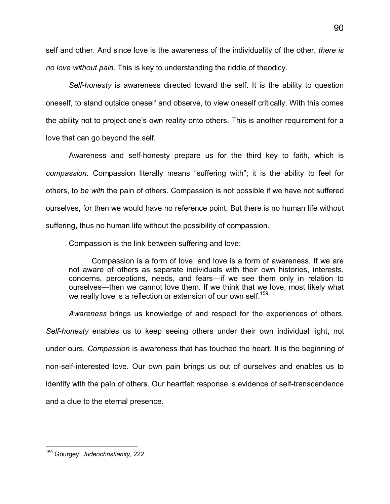self and other. And since love is the awareness of the individuality of the other, *there is no love without pain.* This is key to understanding the riddle of theodicy.

*Self-honesty* is awareness directed toward the self. It is the ability to question oneself, to stand outside oneself and observe, to view oneself critically. With this comes the ability not to project one's own reality onto others. This is another requirement for a love that can go beyond the self.

Awareness and self-honesty prepare us for the third key to faith, which is *compassion.* Compassion literally means "suffering with"; it is the ability to feel for others, to *be with* the pain of others. Compassion is not possible if we have not suffered ourselves, for then we would have no reference point. But there is no human life without suffering, thus no human life without the possibility of compassion.

Compassion is the link between suffering and love:

Compassion is a form of love, and love is a form of awareness. If we are not aware of others as separate individuals with their own histories, interests, concerns, perceptions, needs, and fears—if we see them only in relation to ourselves—then we cannot love them. If we think that we love, most likely what we really love is a reflection or extension of our own self.<sup>[159](#page-95-0)</sup>

*Awareness* brings us knowledge of and respect for the experiences of others. *Self-honesty* enables us to keep seeing others under their own individual light, not under ours. *Compassion* is awareness that has touched the heart. It is the beginning of non-self-interested love. Our own pain brings us out of ourselves and enables us to identify with the pain of others. Our heartfelt response is evidence of self-transcendence and a clue to the eternal presence.

l

<span id="page-95-0"></span><sup>159</sup> Gourgey, *Judeochristianity,* 222.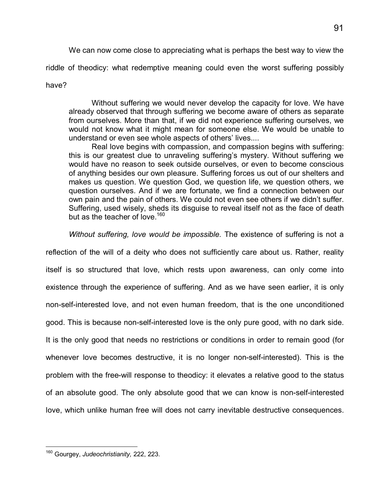We can now come close to appreciating what is perhaps the best way to view the

riddle of theodicy: what redemptive meaning could even the worst suffering possibly

#### have?

Without suffering we would never develop the capacity for love. We have already observed that through suffering we become aware of others as separate from ourselves. More than that, if we did not experience suffering ourselves, we would not know what it might mean for someone else. We would be unable to understand or even see whole aspects of others' lives....

Real love begins with compassion, and compassion begins with suffering: this is our greatest clue to unraveling suffering's mystery. Without suffering we would have no reason to seek outside ourselves, or even to become conscious of anything besides our own pleasure. Suffering forces us out of our shelters and makes us question. We question God, we question life, we question others, we question ourselves. And if we are fortunate, we find a connection between our own pain and the pain of others. We could not even see others if we didn't suffer. Suffering, used wisely, sheds its disguise to reveal itself not as the face of death but as the teacher of love.<sup>[160](#page-96-0)</sup>

*Without suffering, love would be impossible.* The existence of suffering is not a

reflection of the will of a deity who does not sufficiently care about us. Rather, reality itself is so structured that love, which rests upon awareness, can only come into existence through the experience of suffering. And as we have seen earlier, it is only non-self-interested love, and not even human freedom, that is the one unconditioned good. This is because non-self-interested love is the only pure good, with no dark side. It is the only good that needs no restrictions or conditions in order to remain good (for whenever love becomes destructive, it is no longer non-self-interested). This is the problem with the free-will response to theodicy: it elevates a relative good to the status of an absolute good. The only absolute good that we can know is non-self-interested love, which unlike human free will does not carry inevitable destructive consequences.

<span id="page-96-0"></span>l <sup>160</sup> Gourgey, *Judeochristianity,* 222, 223.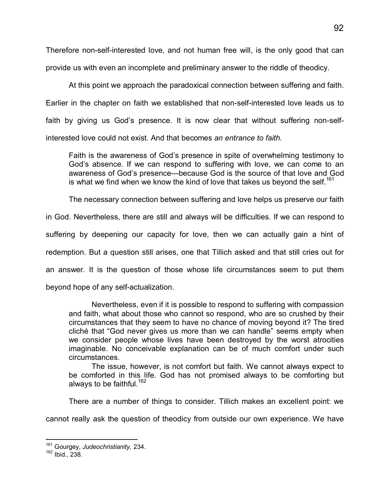Therefore non-self-interested love, and not human free will, is the only good that can provide us with even an incomplete and preliminary answer to the riddle of theodicy.

At this point we approach the paradoxical connection between suffering and faith. Earlier in the chapter on faith we established that non-self-interested love leads us to faith by giving us God's presence. It is now clear that without suffering non-selfinterested love could not exist. And that becomes *an entrance to faith.*

Faith is the awareness of God's presence in spite of overwhelming testimony to God's absence. If we can respond to suffering with love, we can come to an awareness of God's presence—because God is the source of that love and God is what we find when we know the kind of love that takes us beyond the self.<sup>[161](#page-97-0)</sup>

The necessary connection between suffering and love helps us preserve our faith

in God. Nevertheless, there are still and always will be difficulties. If we can respond to

suffering by deepening our capacity for love, then we can actually gain a hint of

redemption. But a question still arises, one that Tillich asked and that still cries out for

an answer. It is the question of those whose life circumstances seem to put them

beyond hope of any self-actualization.

Nevertheless, even if it is possible to respond to suffering with compassion and faith, what about those who cannot so respond, who are so crushed by their circumstances that they seem to have no chance of moving beyond it? The tired cliché that "God never gives us more than we can handle" seems empty when we consider people whose lives have been destroyed by the worst atrocities imaginable. No conceivable explanation can be of much comfort under such circumstances.

The issue, however, is not comfort but faith. We cannot always expect to be comforted in this life. God has not promised always to be comforting but always to be faithful.<sup>[162](#page-97-1)</sup>

There are a number of things to consider. Tillich makes an excellent point: we

cannot really ask the question of theodicy from outside our own experience. We have

 $\overline{a}$ 

<span id="page-97-0"></span><sup>161</sup> Gourgey, *Judeochristianity,* 234.

<span id="page-97-1"></span><sup>162</sup> Ibid., 238.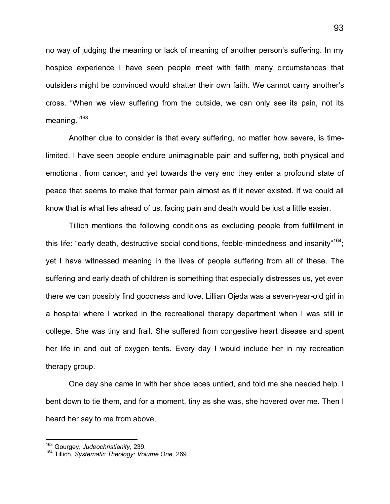no way of judging the meaning or lack of meaning of another person's suffering. In my hospice experience I have seen people meet with faith many circumstances that outsiders might be convinced would shatter their own faith. We cannot carry another's cross. "When we view suffering from the outside, we can only see its pain, not its meaning.["](#page-98-0)<sup>163</sup>

Another clue to consider is that every suffering, no matter how severe, is timelimited. I have seen people endure unimaginable pain and suffering, both physical and emotional, from cancer, and yet towards the very end they enter a profound state of peace that seems to make that former pain almost as if it never existed. If we could all know that is what lies ahead of us, facing pain and death would be just a little easier.

Tillich mentions the following conditions as excluding people from fulfillment in this life: "early death, destructive social conditions, feeble-mindedness and insanity"<sup>[16](#page-98-1)4</sup>; yet I have witnessed meaning in the lives of people suffering from all of these. The suffering and early death of children is something that especially distresses us, yet even there we can possibly find goodness and love. Lillian Ojeda was a seven-year-old girl in a hospital where I worked in the recreational therapy department when I was still in college. She was tiny and frail. She suffered from congestive heart disease and spent her life in and out of oxygen tents. Every day I would include her in my recreation therapy group.

One day she came in with her shoe laces untied, and told me she needed help. I bent down to tie them, and for a moment, tiny as she was, she hovered over me. Then I heard her say to me from above,

 $\overline{1}$ 

<span id="page-98-0"></span><sup>163</sup> Gourgey, *Judeochristianity*, 239.

<span id="page-98-1"></span><sup>164</sup> Tillich, *Systematic Theology: Volume One,* 269.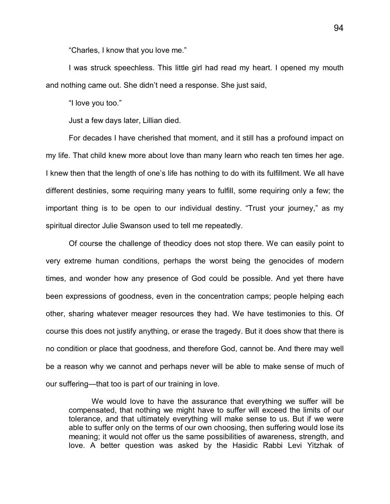"Charles, I know that you love me."

I was struck speechless. This little girl had read my heart. I opened my mouth and nothing came out. She didn't need a response. She just said,

"I love you too."

Just a few days later, Lillian died.

For decades I have cherished that moment, and it still has a profound impact on my life. That child knew more about love than many learn who reach ten times her age. I knew then that the length of one's life has nothing to do with its fulfillment. We all have different destinies, some requiring many years to fulfill, some requiring only a few; the important thing is to be open to our individual destiny. "Trust your journey," as my spiritual director Julie Swanson used to tell me repeatedly.

Of course the challenge of theodicy does not stop there. We can easily point to very extreme human conditions, perhaps the worst being the genocides of modern times, and wonder how any presence of God could be possible. And yet there have been expressions of goodness, even in the concentration camps; people helping each other, sharing whatever meager resources they had. We have testimonies to this. Of course this does not justify anything, or erase the tragedy. But it does show that there is no condition or place that goodness, and therefore God, cannot be. And there may well be a reason why we cannot and perhaps never will be able to make sense of much of our suffering—that too is part of our training in love.

We would love to have the assurance that everything we suffer will be compensated, that nothing we might have to suffer will exceed the limits of our tolerance, and that ultimately everything will make sense to us. But if we were able to suffer only on the terms of our own choosing, then suffering would lose its meaning; it would not offer us the same possibilities of awareness, strength, and love. A better question was asked by the Hasidic Rabbi Levi Yitzhak of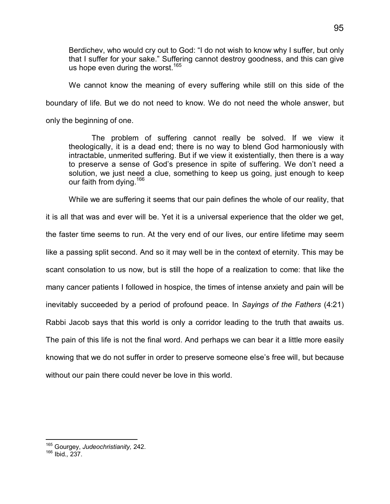Berdichev, who would cry out to God: "I do not wish to know why I suffer, but only that I suffer for your sake." Suffering cannot destroy goodness, and this can give us hope even during the worst.<sup>[165](#page-100-0)</sup>

We cannot know the meaning of every suffering while still on this side of the boundary of life. But we do not need to know. We do not need the whole answer, but only the beginning of one.

The problem of suffering cannot really be solved. If we view it theologically, it is a dead end; there is no way to blend God harmoniously with intractable, unmerited suffering. But if we view it existentially, then there is a way to preserve a sense of God's presence in spite of suffering. We don't need a solution, we just need a clue, something to keep us going, just enough to keep our faith from dying.<sup>[16](#page-100-1)6</sup>

While we are suffering it seems that our pain defines the whole of our reality, that

it is all that was and ever will be. Yet it is a universal experience that the older we get, the faster time seems to run. At the very end of our lives, our entire lifetime may seem like a passing split second. And so it may well be in the context of eternity. This may be scant consolation to us now, but is still the hope of a realization to come: that like the many cancer patients I followed in hospice, the times of intense anxiety and pain will be inevitably succeeded by a period of profound peace. In *Sayings of the Fathers* (4:21) Rabbi Jacob says that this world is only a corridor leading to the truth that awaits us. The pain of this life is not the final word. And perhaps we can bear it a little more easily knowing that we do not suffer in order to preserve someone else's free will, but because without our pain there could never be love in this world.

 $\overline{a}$ 

<span id="page-100-0"></span><sup>165</sup> Gourgey, *Judeochristianity,* 242.

<span id="page-100-1"></span><sup>166</sup> Ibid.*,* 237.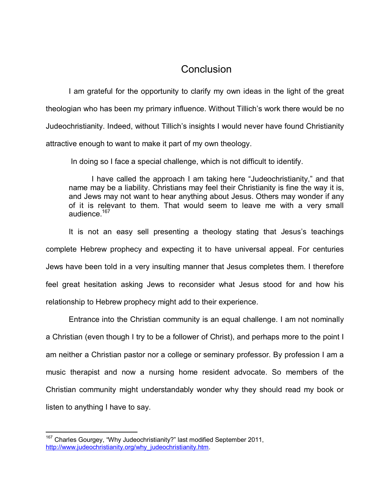## **Conclusion**

I am grateful for the opportunity to clarify my own ideas in the light of the great theologian who has been my primary influence. Without Tillich's work there would be no Judeochristianity. Indeed, without Tillich's insights I would never have found Christianity attractive enough to want to make it part of my own theology.

In doing so I face a special challenge, which is not difficult to identify.

I have called the approach I am taking here "Judeochristianity," and that name may be a liability. Christians may feel their Christianity is fine the way it is, and Jews may not want to hear anything about Jesus. Others may wonder if any of it is relevant to them. That would seem to leave me with a very small audience.<sup>[16](#page-101-0)7</sup>

It is not an easy sell presenting a theology stating that Jesus's teachings complete Hebrew prophecy and expecting it to have universal appeal. For centuries Jews have been told in a very insulting manner that Jesus completes them. I therefore feel great hesitation asking Jews to reconsider what Jesus stood for and how his relationship to Hebrew prophecy might add to their experience.

Entrance into the Christian community is an equal challenge. I am not nominally a Christian (even though I try to be a follower of Christ), and perhaps more to the point I am neither a Christian pastor nor a college or seminary professor. By profession I am a music therapist and now a nursing home resident advocate. So members of the Christian community might understandably wonder why they should read my book or listen to anything I have to say.

<span id="page-101-0"></span><sup>-</sup> $167$  Charles Gourgey, "Why Judeochristianity?" last modified September 2011, http://www.judeochristianity.org/why\_judeochristianity.htm.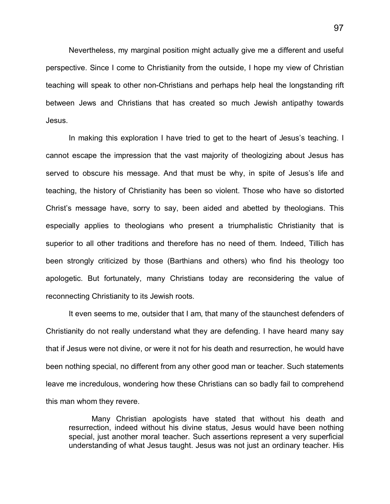Nevertheless, my marginal position might actually give me a different and useful perspective. Since I come to Christianity from the outside, I hope my view of Christian teaching will speak to other non-Christians and perhaps help heal the longstanding rift between Jews and Christians that has created so much Jewish antipathy towards Jesus.

In making this exploration I have tried to get to the heart of Jesus's teaching. I cannot escape the impression that the vast majority of theologizing about Jesus has served to obscure his message. And that must be why, in spite of Jesus's life and teaching, the history of Christianity has been so violent. Those who have so distorted Christ's message have, sorry to say, been aided and abetted by theologians. This especially applies to theologians who present a triumphalistic Christianity that is superior to all other traditions and therefore has no need of them. Indeed, Tillich has been strongly criticized by those (Barthians and others) who find his theology too apologetic. But fortunately, many Christians today are reconsidering the value of reconnecting Christianity to its Jewish roots.

It even seems to me, outsider that I am, that many of the staunchest defenders of Christianity do not really understand what they are defending. I have heard many say that if Jesus were not divine, or were it not for his death and resurrection, he would have been nothing special, no different from any other good man or teacher. Such statements leave me incredulous, wondering how these Christians can so badly fail to comprehend this man whom they revere.

Many Christian apologists have stated that without his death and resurrection, indeed without his divine status, Jesus would have been nothing special, just another moral teacher. Such assertions represent a very superficial understanding of what Jesus taught. Jesus was not just an ordinary teacher. His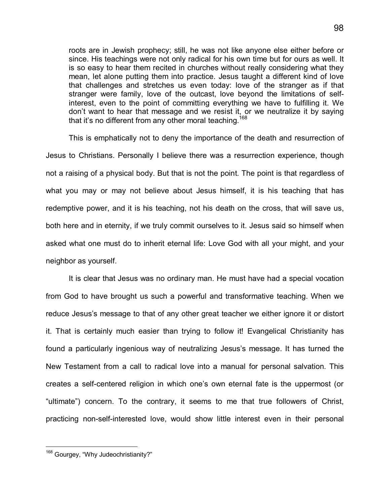roots are in Jewish prophecy; still, he was not like anyone else either before or since. His teachings were not only radical for his own time but for ours as well. It is so easy to hear them recited in churches without really considering what they mean, let alone putting them into practice. Jesus taught a different kind of love that challenges and stretches us even today: love of the stranger as if that stranger were family, love of the outcast, love beyond the limitations of selfinterest, even to the point of committing everything we have to fulfilling it. We don't want to hear that message and we resist it, or we neutralize it by saying that it's no different from any other moral teaching.<sup>[168](#page-103-0)</sup>

This is emphatically not to deny the importance of the death and resurrection of Jesus to Christians. Personally I believe there was a resurrection experience, though not a raising of a physical body. But that is not the point. The point is that regardless of what you may or may not believe about Jesus himself, it is his teaching that has redemptive power, and it is his teaching, not his death on the cross, that will save us, both here and in eternity, if we truly commit ourselves to it. Jesus said so himself when asked what one must do to inherit eternal life: Love God with all your might, and your neighbor as yourself.

It is clear that Jesus was no ordinary man. He must have had a special vocation from God to have brought us such a powerful and transformative teaching. When we reduce Jesus's message to that of any other great teacher we either ignore it or distort it. That is certainly much easier than trying to follow it! Evangelical Christianity has found a particularly ingenious way of neutralizing Jesus's message. It has turned the New Testament from a call to radical love into a manual for personal salvation. This creates a self-centered religion in which one's own eternal fate is the uppermost (or "ultimate") concern. To the contrary, it seems to me that true followers of Christ, practicing non-self-interested love, would show little interest even in their personal

l

<span id="page-103-0"></span><sup>&</sup>lt;sup>168</sup> Gourgey, "Why Judeochristianity?"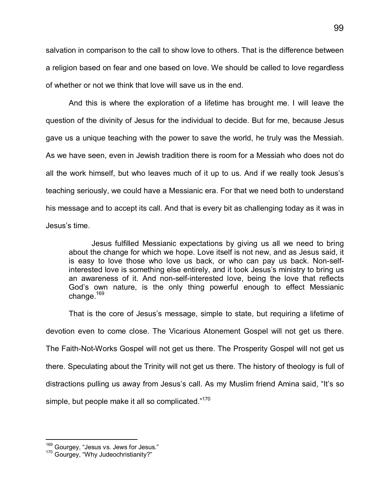salvation in comparison to the call to show love to others. That is the difference between a religion based on fear and one based on love. We should be called to love regardless of whether or not we think that love will save us in the end.

And this is where the exploration of a lifetime has brought me. I will leave the question of the divinity of Jesus for the individual to decide. But for me, because Jesus gave us a unique teaching with the power to save the world, he truly was the Messiah. As we have seen, even in Jewish tradition there is room for a Messiah who does not do all the work himself, but who leaves much of it up to us. And if we really took Jesus's teaching seriously, we could have a Messianic era. For that we need both to understand his message and to accept its call. And that is every bit as challenging today as it was in Jesus's time.

Jesus fulfilled Messianic expectations by giving us all we need to bring about the change for which we hope. Love itself is not new, and as Jesus said, it is easy to love those who love us back, or who can pay us back. Non-selfinterested love is something else entirely, and it took Jesus's ministry to bring us an awareness of it. And non-self-interested love, being the love that reflects God's own nature, is the only thing powerful enough to effect Messianic change.<sup>[16](#page-104-0)9</sup>

That is the core of Jesus's message, simple to state, but requiring a lifetime of devotion even to come close. The Vicarious Atonement Gospel will not get us there. The Faith-Not-Works Gospel will not get us there. The Prosperity Gospel will not get us there. Speculating about the Trinity will not get us there. The history of theology is full of distractions pulling us away from Jesus's call. As my Muslim friend Amina said, "It's so simple, but people make it all so complicated."<sup>170</sup>

 $\overline{1}$ <sup>169</sup> Gourgey, "Jesus vs. Jews for Jesus."

<span id="page-104-0"></span><sup>170</sup> Gourgey, "Why Judeochristianity?"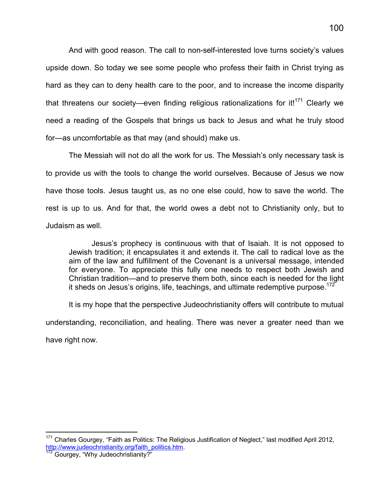And with good reason. The call to non-self-interested love turns society's values upside down. So today we see some people who profess their faith in Christ trying as hard as they can to deny health care to the poor, and to increase the income disparity that threatens our society—even finding religious rationalizations for it!<sup>[171](#page-105-0)</sup> Clearly we need a reading of the Gospels that brings us back to Jesus and what he truly stood for—as uncomfortable as that may (and should) make us.

The Messiah will not do all the work for us. The Messiah's only necessary task is to provide us with the tools to change the world ourselves. Because of Jesus we now have those tools. Jesus taught us, as no one else could, how to save the world. The rest is up to us. And for that, the world owes a debt not to Christianity only, but to Judaism as well.

Jesus's prophecy is continuous with that of Isaiah. It is not opposed to Jewish tradition; it encapsulates it and extends it. The call to radical love as the aim of the law and fulfillment of the Covenant is a universal message, intended for everyone. To appreciate this fully one needs to respect both Jewish and Christian tradition—and to preserve them both, since each is needed for the light it sheds on Jesus's origins, life, teachings, and ultimate redemptive purpose.<sup>[17](#page-105-1)2</sup>

It is my hope that the perspective Judeochristianity offers will contribute to mutual understanding, reconciliation, and healing. There was never a greater need than we have right now.

<span id="page-105-0"></span><sup>-</sup><sup>171</sup> Charles Gourgey, "Faith as Politics: The Religious Justification of Neglect," last modified April 2012, http://www.judeochristianity.org/faith\_politics.htm.

<span id="page-105-1"></span><sup>&</sup>lt;sup>172</sup> Gourgey, "Why Judeochristianity?"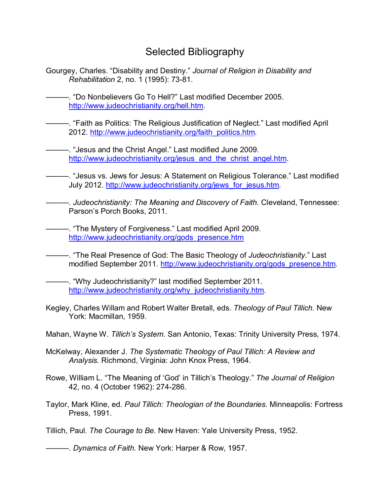# Selected Bibliography

Gourgey, Charles. "Disability and Destiny." *Journal of Religion in Disability and Rehabilitation* 2, no. 1 (1995): 73-81.

———. "Do Nonbelievers Go To Hell?" Last modified December 2005. <http://www.judeochristianity.org/hell.htm>.

———. "Faith as Politics: The Religious Justification of Neglect." Last modified April 2012. [http://www.judeochristianity.org/faith\\_politics.htm](http://www.judeochristianity.org/faith_politics.htm).

———. "Jesus and the Christ Angel." Last modified June 2009. [http://www.judeochristianity.org/jesus\\_and\\_the\\_christ\\_angel.htm](http://www.judeochristianity.org/jesus_and_the_christ_angel.htm).

———. "Jesus vs. Jews for Jesus: A Statement on Religious Tolerance." Last modified July 2012. [http://www.judeochristianity.org/jews\\_for\\_jesus.htm](http://www.judeochristianity.org/jews_for_jesus.htm).

———. *Judeochristianity: The Meaning and Discovery of Faith.* Cleveland, Tennessee: Parson's Porch Books, 2011.

-. "The Mystery of Forgiveness." Last modified April 2009. [http://www.judeochristianity.org/gods\\_presence.htm](http://www.judeochristianity.org/gods_presence.htm)

———. "The Real Presence of God: The Basic Theology of *Judeochristianity*." Last modified September 2011. [http://www.judeochristianity.org/gods\\_presence.htm](http://www.judeochristianity.org/gods_presence.htm).

———. "Why Judeochristianity?" last modified September 2011. [http://www.judeochristianity.org/why\\_judeochristianity.htm](http://www.judeochristianity.org/why_judeochristianity.htm).

Kegley, Charles Willam and Robert Walter Bretall, eds. *Theology of Paul Tillich.* New York: Macmillan, 1959.

Mahan, Wayne W. *Tillich's System.* San Antonio, Texas: Trinity University Press, 1974.

- McKelway, Alexander J. *The Systematic Theology of Paul Tillich: A Review and Analysis.* Richmond, Virginia: John Knox Press, 1964.
- Rowe, William L. "The Meaning of 'God' in Tillich's Theology." *The Journal of Religion* 42, no. 4 (October 1962): 274-286.
- Taylor, Mark Kline, ed. *Paul Tillich: Theologian of the Boundaries.* Minneapolis: Fortress Press, 1991.

Tillich, Paul. *The Courage to Be.* New Haven: Yale University Press, 1952.

———. *Dynamics of Faith.* New York: Harper & Row, 1957.